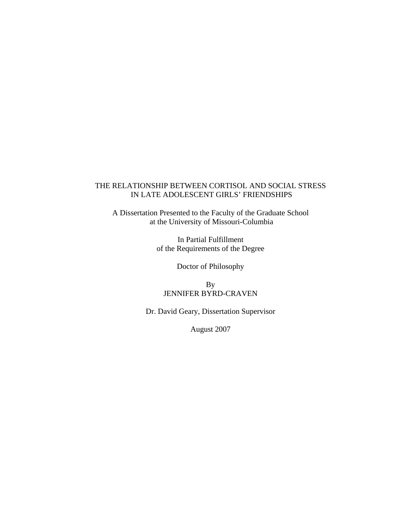### THE RELATIONSHIP BETWEEN CORTISOL AND SOCIAL STRESS IN LATE ADOLESCENT GIRLS' FRIENDSHIPS

A Dissertation Presented to the Faculty of the Graduate School at the University of Missouri-Columbia

> In Partial Fulfillment of the Requirements of the Degree

> > Doctor of Philosophy

By JENNIFER BYRD-CRAVEN

Dr. David Geary, Dissertation Supervisor

August 2007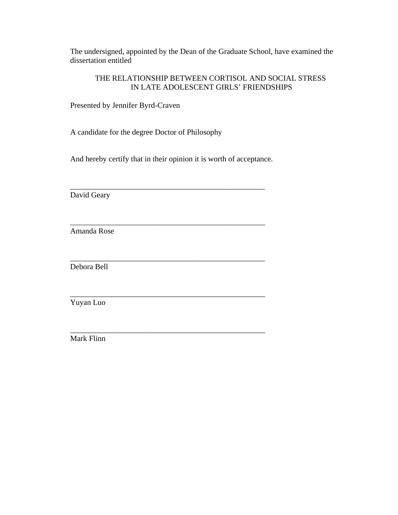The undersigned, appointed by the Dean of the Graduate School, have examined the dissertation entitled

### THE RELATIONSHIP BETWEEN CORTISOL AND SOCIAL STRESS IN LATE ADOLESCENT GIRLS' FRIENDSHIPS

Presented by Jennifer Byrd-Craven

A candidate for the degree Doctor of Philosophy

And hereby certify that in their opinion it is worth of acceptance.

\_\_\_\_\_\_\_\_\_\_\_\_\_\_\_\_\_\_\_\_\_\_\_\_\_\_\_\_\_\_\_\_\_\_\_\_\_\_\_\_\_\_\_\_\_\_\_\_\_\_

\_\_\_\_\_\_\_\_\_\_\_\_\_\_\_\_\_\_\_\_\_\_\_\_\_\_\_\_\_\_\_\_\_\_\_\_\_\_\_\_\_\_\_\_\_\_\_\_\_\_

\_\_\_\_\_\_\_\_\_\_\_\_\_\_\_\_\_\_\_\_\_\_\_\_\_\_\_\_\_\_\_\_\_\_\_\_\_\_\_\_\_\_\_\_\_\_\_\_\_\_

David Geary

Amanda Rose

\_\_\_\_\_\_\_\_\_\_\_\_\_\_\_\_\_\_\_\_\_\_\_\_\_\_\_\_\_\_\_\_\_\_\_\_\_\_\_\_\_\_\_\_\_\_\_\_\_\_ Debora Bell

Yuyan Luo

\_\_\_\_\_\_\_\_\_\_\_\_\_\_\_\_\_\_\_\_\_\_\_\_\_\_\_\_\_\_\_\_\_\_\_\_\_\_\_\_\_\_\_\_\_\_\_\_\_\_ Mark Flinn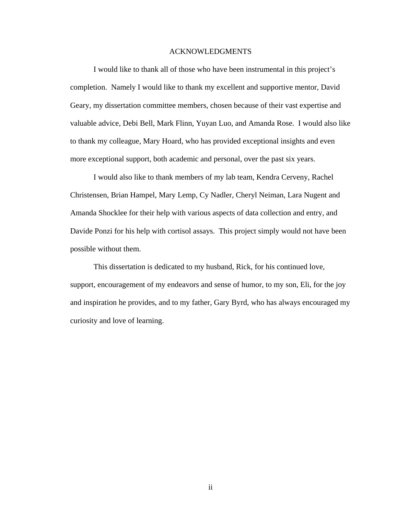#### ACKNOWLEDGMENTS

 I would like to thank all of those who have been instrumental in this project's completion. Namely I would like to thank my excellent and supportive mentor, David Geary, my dissertation committee members, chosen because of their vast expertise and valuable advice, Debi Bell, Mark Flinn, Yuyan Luo, and Amanda Rose. I would also like to thank my colleague, Mary Hoard, who has provided exceptional insights and even more exceptional support, both academic and personal, over the past six years.

I would also like to thank members of my lab team, Kendra Cerveny, Rachel Christensen, Brian Hampel, Mary Lemp, Cy Nadler, Cheryl Neiman, Lara Nugent and Amanda Shocklee for their help with various aspects of data collection and entry, and Davide Ponzi for his help with cortisol assays. This project simply would not have been possible without them.

This dissertation is dedicated to my husband, Rick, for his continued love, support, encouragement of my endeavors and sense of humor, to my son, Eli, for the joy and inspiration he provides, and to my father, Gary Byrd, who has always encouraged my curiosity and love of learning.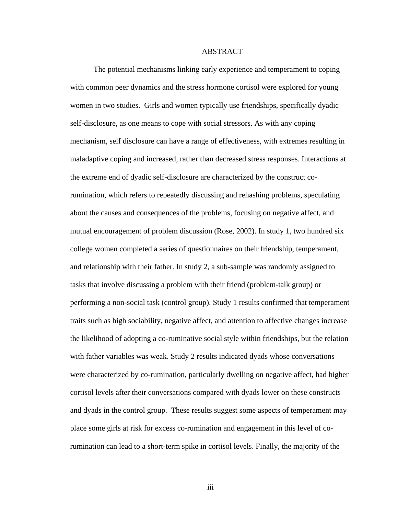#### ABSTRACT

The potential mechanisms linking early experience and temperament to coping with common peer dynamics and the stress hormone cortisol were explored for young women in two studies. Girls and women typically use friendships, specifically dyadic self-disclosure, as one means to cope with social stressors. As with any coping mechanism, self disclosure can have a range of effectiveness, with extremes resulting in maladaptive coping and increased, rather than decreased stress responses. Interactions at the extreme end of dyadic self-disclosure are characterized by the construct corumination, which refers to repeatedly discussing and rehashing problems, speculating about the causes and consequences of the problems, focusing on negative affect, and mutual encouragement of problem discussion (Rose, 2002). In study 1, two hundred six college women completed a series of questionnaires on their friendship, temperament, and relationship with their father. In study 2, a sub-sample was randomly assigned to tasks that involve discussing a problem with their friend (problem-talk group) or performing a non-social task (control group). Study 1 results confirmed that temperament traits such as high sociability, negative affect, and attention to affective changes increase the likelihood of adopting a co-ruminative social style within friendships, but the relation with father variables was weak. Study 2 results indicated dyads whose conversations were characterized by co-rumination, particularly dwelling on negative affect, had higher cortisol levels after their conversations compared with dyads lower on these constructs and dyads in the control group. These results suggest some aspects of temperament may place some girls at risk for excess co-rumination and engagement in this level of corumination can lead to a short-term spike in cortisol levels. Finally, the majority of the

iii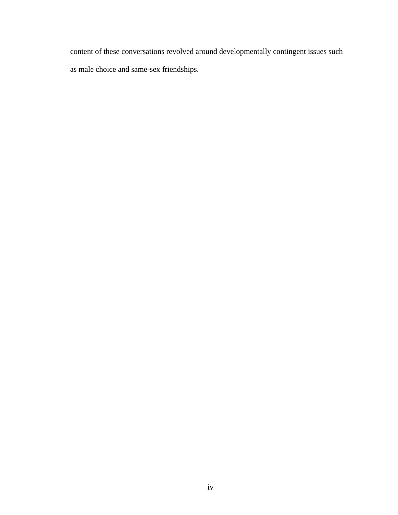content of these conversations revolved around developmentally contingent issues such as male choice and same-sex friendships.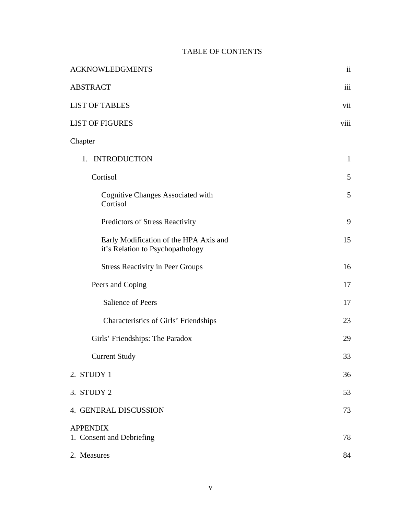# TABLE OF CONTENTS

| <b>ACKNOWLEDGMENTS</b>                                                     | $\overline{\textbf{ii}}$ |
|----------------------------------------------------------------------------|--------------------------|
| <b>ABSTRACT</b>                                                            | iii                      |
| <b>LIST OF TABLES</b>                                                      | vii                      |
| <b>LIST OF FIGURES</b>                                                     | viii                     |
| Chapter                                                                    |                          |
| 1. INTRODUCTION                                                            | $\mathbf{1}$             |
| Cortisol                                                                   | 5                        |
| <b>Cognitive Changes Associated with</b><br>Cortisol                       | 5                        |
| Predictors of Stress Reactivity                                            | 9                        |
| Early Modification of the HPA Axis and<br>it's Relation to Psychopathology | 15                       |
| <b>Stress Reactivity in Peer Groups</b>                                    | 16                       |
| Peers and Coping                                                           | 17                       |
| <b>Salience of Peers</b>                                                   | 17                       |
| Characteristics of Girls' Friendships                                      | 23                       |
| Girls' Friendships: The Paradox                                            | 29                       |
| <b>Current Study</b>                                                       | 33                       |
| 2. STUDY 1                                                                 | 36                       |
| 3. STUDY 2                                                                 | 53                       |
| 4. GENERAL DISCUSSION                                                      | 73                       |
| <b>APPENDIX</b><br>1. Consent and Debriefing                               | 78                       |
| 2. Measures                                                                | 84                       |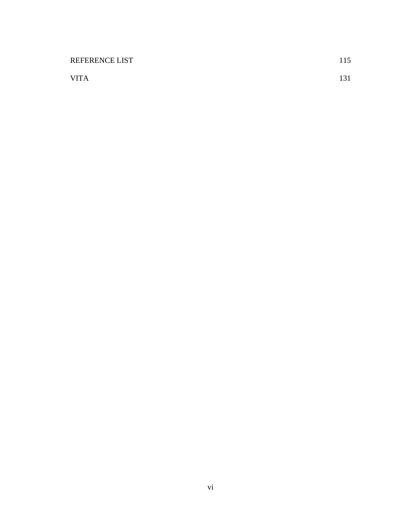| <b>REFERENCE LIST</b> | 115 |
|-----------------------|-----|
| <b>VITA</b>           |     |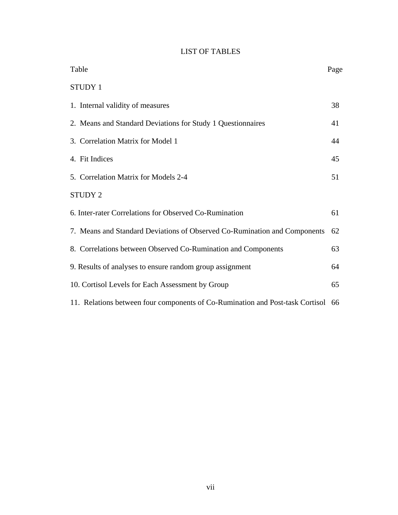# LIST OF TABLES

| Table                                                                            | Page |
|----------------------------------------------------------------------------------|------|
| <b>STUDY 1</b>                                                                   |      |
| 1. Internal validity of measures                                                 | 38   |
| 2. Means and Standard Deviations for Study 1 Questionnaires                      | 41   |
| 3. Correlation Matrix for Model 1                                                | 44   |
| 4. Fit Indices                                                                   | 45   |
| 5. Correlation Matrix for Models 2-4                                             | 51   |
| STUDY 2                                                                          |      |
| 6. Inter-rater Correlations for Observed Co-Rumination                           | 61   |
| 7. Means and Standard Deviations of Observed Co-Rumination and Components        | 62   |
| 8. Correlations between Observed Co-Rumination and Components                    | 63   |
| 9. Results of analyses to ensure random group assignment                         | 64   |
| 10. Cortisol Levels for Each Assessment by Group                                 | 65   |
| 11. Relations between four components of Co-Rumination and Post-task Cortisol 66 |      |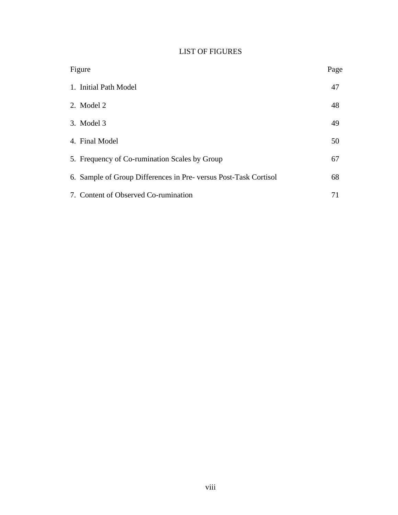# LIST OF FIGURES

| Figure                                                          | Page |
|-----------------------------------------------------------------|------|
| 1. Initial Path Model                                           | 47   |
| 2. Model 2                                                      | 48   |
| 3. Model 3                                                      | 49   |
| 4. Final Model                                                  | 50   |
| 5. Frequency of Co-rumination Scales by Group                   | 67   |
| 6. Sample of Group Differences in Pre-versus Post-Task Cortisol | 68   |
| 7. Content of Observed Co-rumination                            | 71   |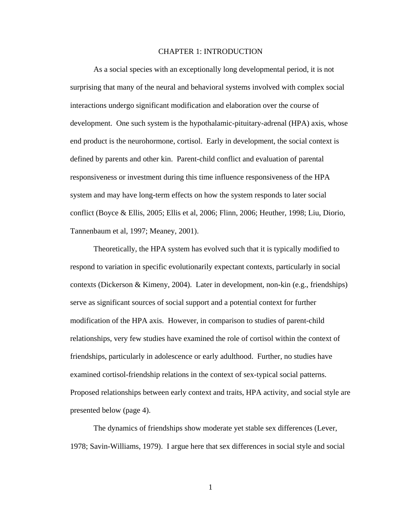### CHAPTER 1: INTRODUCTION

As a social species with an exceptionally long developmental period, it is not surprising that many of the neural and behavioral systems involved with complex social interactions undergo significant modification and elaboration over the course of development. One such system is the hypothalamic-pituitary-adrenal (HPA) axis, whose end product is the neurohormone, cortisol. Early in development, the social context is defined by parents and other kin. Parent-child conflict and evaluation of parental responsiveness or investment during this time influence responsiveness of the HPA system and may have long-term effects on how the system responds to later social conflict (Boyce & Ellis, 2005; Ellis et al, 2006; Flinn, 2006; Heuther, 1998; Liu, Diorio, Tannenbaum et al, 1997; Meaney, 2001).

Theoretically, the HPA system has evolved such that it is typically modified to respond to variation in specific evolutionarily expectant contexts, particularly in social contexts (Dickerson & Kimeny, 2004). Later in development, non-kin (e.g., friendships) serve as significant sources of social support and a potential context for further modification of the HPA axis. However, in comparison to studies of parent-child relationships, very few studies have examined the role of cortisol within the context of friendships, particularly in adolescence or early adulthood. Further, no studies have examined cortisol-friendship relations in the context of sex-typical social patterns. Proposed relationships between early context and traits, HPA activity, and social style are presented below (page 4).

The dynamics of friendships show moderate yet stable sex differences (Lever, 1978; Savin-Williams, 1979). I argue here that sex differences in social style and social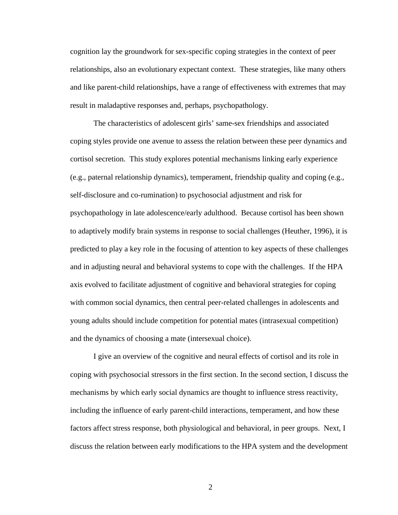cognition lay the groundwork for sex-specific coping strategies in the context of peer relationships, also an evolutionary expectant context. These strategies, like many others and like parent-child relationships, have a range of effectiveness with extremes that may result in maladaptive responses and, perhaps, psychopathology.

The characteristics of adolescent girls' same-sex friendships and associated coping styles provide one avenue to assess the relation between these peer dynamics and cortisol secretion. This study explores potential mechanisms linking early experience (e.g., paternal relationship dynamics), temperament, friendship quality and coping (e.g., self-disclosure and co-rumination) to psychosocial adjustment and risk for psychopathology in late adolescence/early adulthood. Because cortisol has been shown to adaptively modify brain systems in response to social challenges (Heuther, 1996), it is predicted to play a key role in the focusing of attention to key aspects of these challenges and in adjusting neural and behavioral systems to cope with the challenges. If the HPA axis evolved to facilitate adjustment of cognitive and behavioral strategies for coping with common social dynamics, then central peer-related challenges in adolescents and young adults should include competition for potential mates (intrasexual competition) and the dynamics of choosing a mate (intersexual choice).

I give an overview of the cognitive and neural effects of cortisol and its role in coping with psychosocial stressors in the first section. In the second section, I discuss the mechanisms by which early social dynamics are thought to influence stress reactivity, including the influence of early parent-child interactions, temperament, and how these factors affect stress response, both physiological and behavioral, in peer groups. Next, I discuss the relation between early modifications to the HPA system and the development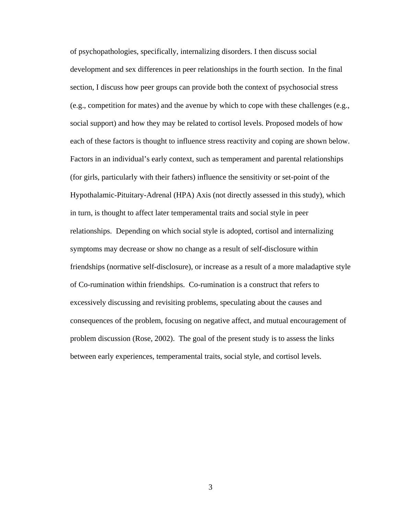of psychopathologies, specifically, internalizing disorders. I then discuss social development and sex differences in peer relationships in the fourth section. In the final section, I discuss how peer groups can provide both the context of psychosocial stress (e.g., competition for mates) and the avenue by which to cope with these challenges (e.g., social support) and how they may be related to cortisol levels. Proposed models of how each of these factors is thought to influence stress reactivity and coping are shown below. Factors in an individual's early context, such as temperament and parental relationships (for girls, particularly with their fathers) influence the sensitivity or set-point of the Hypothalamic-Pituitary-Adrenal (HPA) Axis (not directly assessed in this study), which in turn, is thought to affect later temperamental traits and social style in peer relationships. Depending on which social style is adopted, cortisol and internalizing symptoms may decrease or show no change as a result of self-disclosure within friendships (normative self-disclosure), or increase as a result of a more maladaptive style of Co-rumination within friendships. Co-rumination is a construct that refers to excessively discussing and revisiting problems, speculating about the causes and consequences of the problem, focusing on negative affect, and mutual encouragement of problem discussion (Rose, 2002). The goal of the present study is to assess the links between early experiences, temperamental traits, social style, and cortisol levels.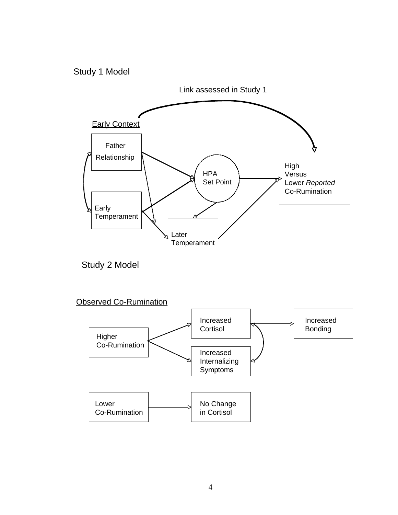## Study 1 Model

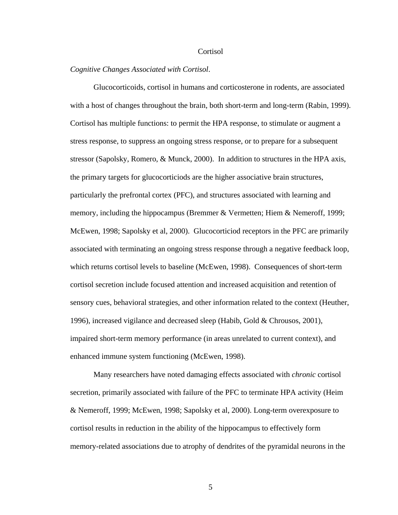#### **Cortisol**

### *Cognitive Changes Associated with Cort isol*.

Glucocorticoids, cortisol in humans and corticosterone in rodents, are associated with a host of changes throughout the brain, both short-term and long-term (Rabin, 1999). stressor (Sapolsky, Romero, & Munck, 2000). In addition to structures in the HPA axis, particularly the prefrontal cortex (PFC), and structures associated with learning and memory, including the hippocampus (Bremmer & Vermetten; Hiem & Nemeroff, 1999; sensory cues, behavioral strategies, and other information related to the context (Heuther, impaired short-term memory performance (in areas unrelated to current context), and Cortisol has multiple functions: to permit the HPA response, to stimulate or augment a stress response, to suppress an ongoing stress response, or to prepare for a subsequent the primary targets for glucocorticiods are the higher associative brain structures, McEwen, 1998; Sapolsky et al, 2000). Glucocorticiod receptors in the PFC are primarily associated with terminating an ongoing stress response through a negative feedback loop, which returns cortisol levels to baseline (McEwen, 1998). Consequences of short-term cortisol secretion include focused attention and increased acquisition and retention of 1996), increased vigilance and decreased sleep (Habib, Gold & Chrousos, 2001), enhanced immune system functioning (McEwen, 1998).

Many researchers have noted damaging effects associated with *chronic* cortisol secretio n, primarily associated with failure of the PFC to terminate HPA activity (Heim memory-related associations due to atrophy of dendrites of the pyramidal neurons in the & Nemeroff, 1999; McEwen, 1998; Sapolsky et al, 2000). Long-term overexposure to cortisol results in reduction in the ability of the hippocampus to effectively form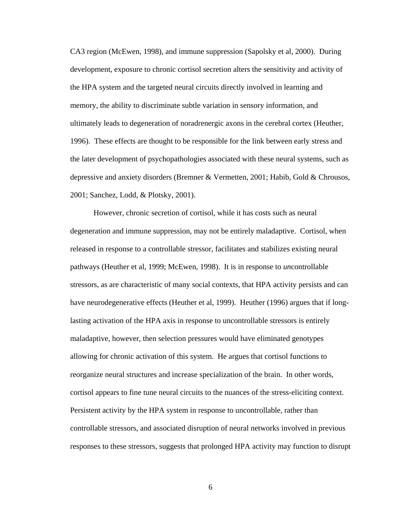CA3 region (McEwen, 1998), and immune suppression (Sapolsky et al, 2000). During development, exposure to chronic cortisol secretion alters the sensitivity and activity of the HPA system and the targeted neural circuits directly involved in learning and memory, the ability to discriminate subtle variation in sensory information, and ultimately leads to degeneration of noradrenergic axons in the cerebral cortex (H euther, 1996). These effects are thought to be responsible for the link between early stress and the later development of psychopathologies associated with these neural systems, such a s depressive and anxiety disorders (Bremner & Vermetten, 2001; Habib, Gold & Chrousos, 2001; Sanchez, Lodd, & Plotsky, 2001).

 However, chronic secretion of cor tisol, while it has costs such as neural degeneration and immune suppression, may not be entirely maladaptive. Cortisol, when stressors, as are characteristic of many social contexts, that HPA activity persists and can reorganize neural structures and increase specialization of the brain. In other words, cortisol appears to fine tune neural circuits to the nuances of the stress-eliciting context. controllable stressors, and associated disruption of neural networks involved in previous responses to these stressors, suggests that prolonged HPA activity may function to disrupt released in response to a controllable stressor, facilitates and stabilizes existing neural pathways (Heuther et al, 1999; McEwen, 1998). It is in response to *un*controllable have neurodegenerative effects (Heuther et al, 1999). Heuther (1996) argues that if longlasting activation of the HPA axis in response to uncontrollable stressors is entirely maladaptive, however, then selection pressures would have eliminated genotypes allowing for chronic activation of this system. He argues that cortisol functions to Persistent activity by the HPA system in response to uncontrollable, rather than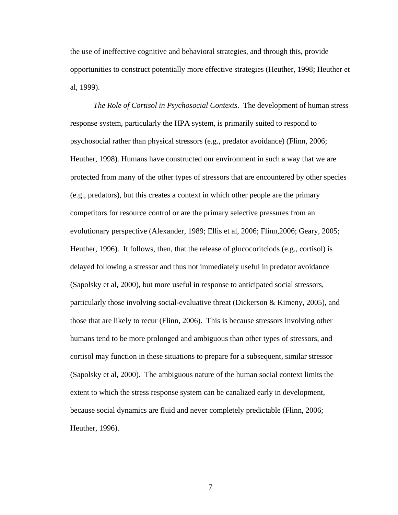the use of ineffective cognitive and behavioral strategies, and through this, provide opportunities to construct potentially more effective strategies (Heuther, 1998; Heut her et al, 1999).

*The Role of Cortisol in Psychosocial Contexts*. The development of human stress respon se system, particularly the HPA system, is primarily suited to respond to psychosocial rather than physical stressors (e.g., predator avoidance) (Flinn, 2006; Heuther, 1998). Humans have constructed our environment in such a way that we are protected from many of the other types of stressors that are encountered by other species evolutionary perspective (Alexander, 1989; Ellis et al, 2006; Flinn, 2006; Geary, 2005; particularly those involving social-evaluative threat (Dickerson & Kimeny, 2005), and (e.g., predators), but this creates a context in which other people are the primary competitors for resource control or are the primary selective pressures from an Heuther, 1996). It follows, then, that the release of glucocoritciods (e.g., cortisol) is delayed following a stressor and thus not immediately useful in predator avoidance (Sapolsky et al, 2000), but more useful in response to anticipated social stressors, those that are likely to recur (Flinn, 2006). This is because stressors involving other humans tend to be more prolonged and ambiguous than other types of stressors, and cortisol may function in these situations to prepare for a subsequent, similar stressor (Sapolsky et al, 2000). The ambiguous nature of the human social context limits the extent to which the stress response system can be canalized early in development, because social dynamics are fluid and never completely predictable (Flinn, 2006; Heuther, 1996).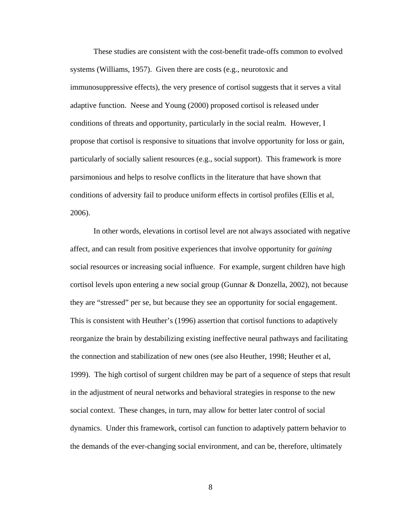These studies are consistent with the cost-benefit trade-offs common to evolved systems (Williams, 1957). Given there are costs (e.g., neurotoxic and immunosuppressive effects), the very presence of cortisol suggests that it serves a vital adaptive function. Neese and Young (2000) proposed cortisol is released under conditions of threats and opportunity, particularly in the social realm. However, I propose that cortisol is responsive to situations that involve opportunity for loss or gain, particularly of socially salient resources (e.g., social support). This framework is more parsimonious and helps to resolve conflicts in the literature that have shown that conditions of adversity fail to produce uniform effects in cortisol profiles (Ellis et al, 2006).

In other words, elevations in cortisol level are not always associated with negative affect, and can result from positive experiences that involve opportunity for *gaining* social resources or increasing social influence. For example, surgent children have high cortisol levels upon entering a new social group (Gunnar & Donzella, 2002), not because they are "stressed" per se, but because they see an opportunity for social engagement. This is consistent with Heuther's (1996) assertion that cortisol functions to adaptively reorganize the brain by destabilizing existing ineffective neural pathways and facilitating the connection and stabilization of new ones (see also Heuther, 1998; Heuther et al, 1999). The high cortisol of surgent children may be part of a sequence of steps that result in the adjustment of neural networks and behavioral strategies in response to the new social context. These changes, in turn, may allow for better later control of social dynamics. Under this framework, cortisol can function to adaptively pattern behavior to the demands of the ever-changing social environment, and can be, therefore, ultimately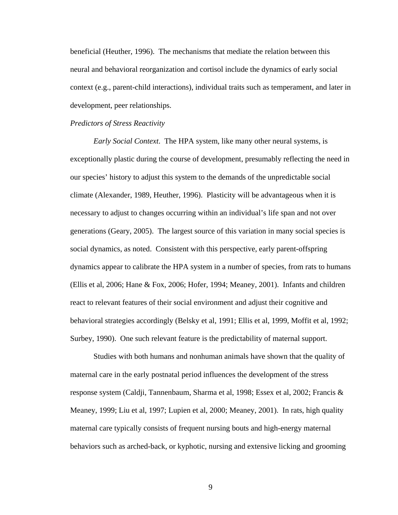beneficial (Heuther, 1996). The mechanisms that mediate the relation between this neural and behavioral reorganization and cortisol include the dynamics of early social context (e.g., parent-child interactions), individual traits such as temperament, and later in development, peer relationships.

### *Predictors of Stress Reactivity*

*Early Social Context*. The HPA system, like many other neural systems, is exceptionally plastic during the course of development, presumably reflecting the need in our species' history to adjust this system to the demands of the unpredictable social climate (Alexander, 1989, Heuther, 1996). Plasticity will be advantageous when it is necessary to adjust to changes occurring within an individual's life span and not over generations (Geary, 2005). The largest source of this variation in many social species is social dynamics, as noted. Consistent with this perspective, early parent-offspring dynamics appear to calibrate the HPA system in a number of species, from rats to humans (Ellis et al, 2006; Hane & Fox, 2006; Hofer, 1994; Meaney, 2001). Infants and children react to relevant features of their social environment and adjust their cognitive and behavioral strategies accordingly (Belsky et al, 1991; Ellis et al, 1999, Moffit et al, 1992; Surbey, 1990). One such relevant feature is the predictability of maternal support.

Studies with both humans and nonhuman animals have shown that the quality of maternal care in the early postnatal period influences the development of the stress response system (Caldji, Tannenbaum, Sharma et al, 1998; Essex et al, 2002; Francis & Meaney, 1999; Liu et al, 1997; Lupien et al, 2000; Meaney, 2001). In rats, high quality maternal care typically consists of frequent nursing bouts and high-energy maternal behaviors such as arched-back, or kyphotic, nursing and extensive licking and grooming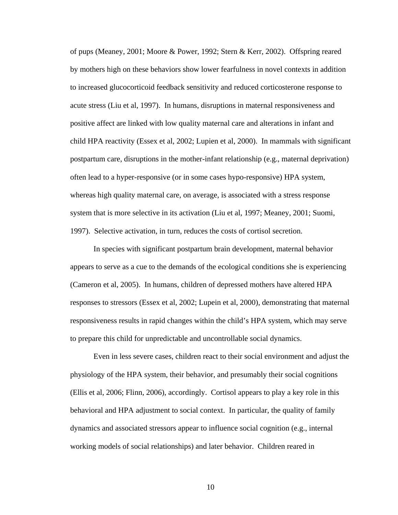of pups (Meaney, 2001; Moore & Power, 1992; Stern & Kerr, 2002). Offspring reared by mothers high on these behaviors show lower fearfulness in novel contexts in addition to increased glucocorticoid feedback sensitivity and reduced corticosterone response to acute stress (Liu et al, 1997). In humans, disruptions in maternal responsiveness and positive affect are linked with low quality maternal care and alterations in infant and child HPA reactivity (Essex et al, 2002; Lupien et al, 2000). In mammals with significant postpartum care, disruptions in the mother-infant relationship (e.g., maternal deprivation) often lead to a hyper-responsive (or in some cases hypo-responsive) HPA system, whereas high quality maternal care, on average, is associated with a stress response system that is more selective in its activation (Liu et al, 1997; Meaney, 2001; Suomi, 1997). Selective activation, in turn, reduces the costs of cortisol secretion.

In species with significant postpartum brain development, maternal behavior appears to serve as a cue to the demands of the ecological conditions she is experiencing (Cameron et al, 2005). In humans, children of depressed mothers have altered HPA responses to stressors (Essex et al, 2002; Lupein et al, 2000), demonstrating that maternal responsiveness results in rapid changes within the child's HPA system, which may serve to prepare this child for unpredictable and uncontrollable social dynamics.

Even in less severe cases, children react to their social environment and adjust the physiology of the HPA system, their behavior, and presumably their social cognitions (Ellis et al, 2006; Flinn, 2006), accordingly. Cortisol appears to play a key role in this behavioral and HPA adjustment to social context. In particular, the quality of family dynamics and associated stressors appear to influence social cognition (e.g., internal working models of social relationships) and later behavior. Children reared in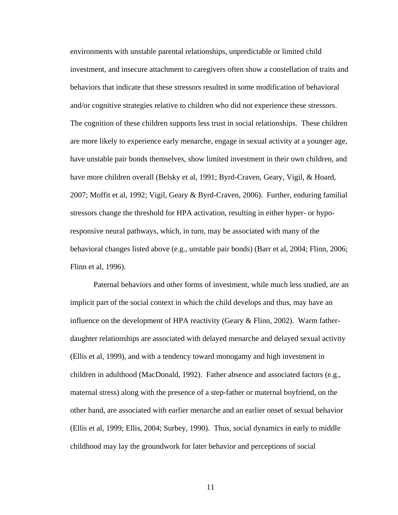environments with unstable parental relationships, unpredictable or limited child investment, and insecure attachment to caregivers often show a constellation of traits and behaviors that indicate that these stressors resulted in some modification of behavioral and/or cognitive strategies relative to children who did not experience these stressors. The cognition of these children supports less trust in social relationships. These children are more likely to experience early menarche, engage in sexual activity at a younger age, have unstable pair bonds themselves, show limited investment in their own children, and have more children overall (Belsky et al, 1991; Byrd-Craven, Geary, Vigil, & Hoard, 2007; Moffit et al, 1992; Vigil, Geary & Byrd-Craven, 2006). Further, enduring familial stressors change the threshold for HPA activation, resulting in either hyper- or hyporesponsive neural pathways, which, in turn, may be associated with many of the behavioral changes listed above (e.g., unstable pair bonds) (Barr et al, 2004; Flinn, 2006; Flinn et al, 1996).

Paternal behaviors and other forms of investment, while much less studied, are an implicit part of the social context in which the child develops and thus, may have an influence on the development of HPA reactivity (Geary & Flinn, 2002). Warm fatherdaughter relationships are associated with delayed menarche and delayed sexual activity (Ellis et al, 1999), and with a tendency toward monogamy and high investment in children in adulthood (MacDonald, 1992). Father absence and associated factors (e.g., maternal stress) along with the presence of a step-father or maternal boyfriend, on the other hand, are associated with earlier menarche and an earlier onset of sexual behavior (Ellis et al, 1999; Ellis, 2004; Surbey, 1990). Thus, social dynamics in early to middle childhood may lay the groundwork for later behavior and perceptions of social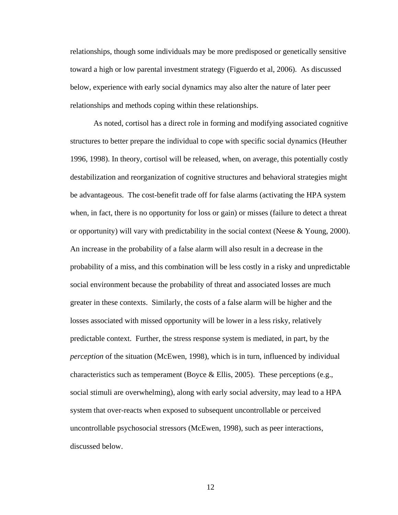relationships, though some individuals may be more predisposed or genetically sensitive toward a high or low parental investment strategy (Figuerdo et al, 2006). As discussed below, experience with early social dynamics may also alter the nature of later peer relationships and methods coping within these relationships.

As noted, cortisol has a direct role in forming and modifying associated cognitive structures to better prepare the individual to cope with specific social dynamics (Heuther 1996, 1998). In theory, cortisol will be released, when, on average, this potentially costly destabilization and reorganization of cognitive structures and behavioral strategies might be advantageous. The cost-benefit trade off for false alarms (activating the HPA system when, in fact, there is no opportunity for loss or gain) or misses (failure to detect a threat or opportunity) will vary with predictability in the social context (Neese & Young, 2000). An increase in the probability of a false alarm will also result in a decrease in the probability of a miss, and this combination will be less costly in a risky and unpredictable social environment because the probability of threat and associated losses are much greater in these contexts. Similarly, the costs of a false alarm will be higher and the losses associated with missed opportunity will be lower in a less risky, relatively predictable context. Further, the stress response system is mediated, in part, by the *perception* of the situation (McEwen, 1998), which is in turn, influenced by individual characteristics such as temperament (Boyce & Ellis, 2005). These perceptions (e.g., social stimuli are overwhelming), along with early social adversity, may lead to a HPA system that over-reacts when exposed to subsequent uncontrollable or perceived uncontrollable psychosocial stressors (McEwen, 1998), such as peer interactions, discussed below.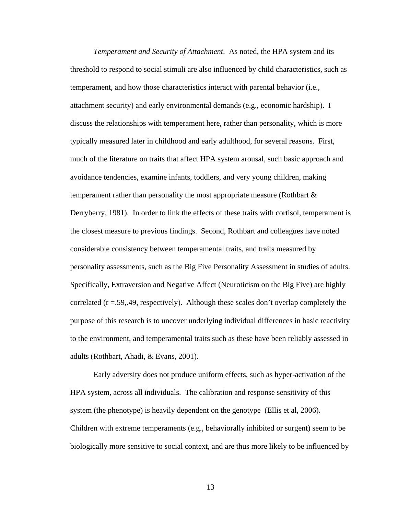*Temperament and Security of Attachment*. As noted, the HPA system and its threshold to respond to social stimuli are also influenced by child characteristics, such as temperament, and how those characteristics interact with parental behavior (i.e., attachment security) and early environmental demands (e.g., economic hardship). I discuss the relationships with temperament here, rather than personality, which is more typically measured later in childhood and early adulthood, for several reasons. First, much of the literature on traits that affect HPA system arousal, such basic approach and avoidance tendencies, examine infants, toddlers, and very young children, making temperament rather than personality the most appropriate measure (Rothbart & Derryberry, 1981). In order to link the effects of these traits with cortisol, temperament is the closest measure to previous findings. Second, Rothbart and colleagues have noted considerable consistency between temperamental traits, and traits measured by personality assessments, such as the Big Five Personality Assessment in studies of adults. Specifically, Extraversion and Negative Affect (Neuroticism on the Big Five) are highly correlated (r =.59,.49, respectively). Although these scales don't overlap completely the purpose of this research is to uncover underlying individual differences in basic reactivity to the environment, and temperamental traits such as these have been reliably assessed in adults (Rothbart, Ahadi, & Evans, 2001).

Early adversity does not produce uniform effects, such as hyper-activation of the HPA system, across all individuals. The calibration and response sensitivity of this system (the phenotype) is heavily dependent on the genotype (Ellis et al, 2006). Children with extreme temperaments (e.g., behaviorally inhibited or surgent) seem to be biologically more sensitive to social context, and are thus more likely to be influenced by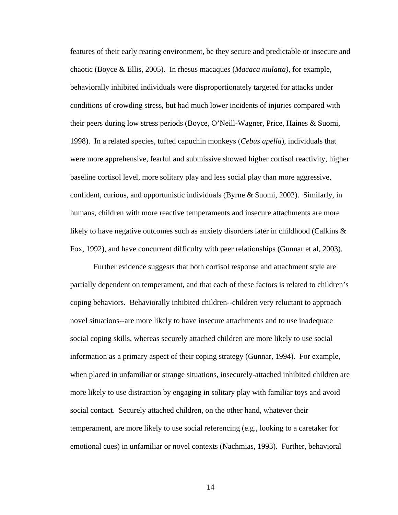features of their early rearing environment, be they secure and predictable or insecure and chaotic (Boyce & Ellis, 2005). In rhesus macaques (*Macaca mulatta)*, for example, behaviorally inhibited individuals were disproportionately targeted for attacks under conditions of crowding stress, but had much lower incidents of injuries compared with their peers during low stress periods (Boyce, O'Neill-Wagner, Price, Haines & Suomi, 1998). In a related species, tufted capuchin monkeys (*Cebus apella*), individuals that were more apprehensive, fearful and submissive showed higher cortisol reactivity, higher baseline cortisol level, more solitary play and less social play than more aggressive, confident, curious, and opportunistic individuals (Byrne & Suomi, 2002). Similarly, in humans, children with more reactive temperaments and insecure attachments are more likely to have negative outcomes such as anxiety disorders later in childhood (Calkins & Fox, 1992), and have concurrent difficulty with peer relationships (Gunnar et al, 2003).

Further evidence suggests that both cortisol response and attachment style are partially dependent on temperament, and that each of these factors is related to children's coping behaviors. Behaviorally inhibited children--children very reluctant to approach novel situations--are more likely to have insecure attachments and to use inadequate social coping skills, whereas securely attached children are more likely to use social information as a primary aspect of their coping strategy (Gunnar, 1994). For example, when placed in unfamiliar or strange situations, insecurely-attached inhibited children are more likely to use distraction by engaging in solitary play with familiar toys and avoid social contact. Securely attached children, on the other hand, whatever their temperament, are more likely to use social referencing (e.g., looking to a caretaker for emotional cues) in unfamiliar or novel contexts (Nachmias, 1993). Further, behavioral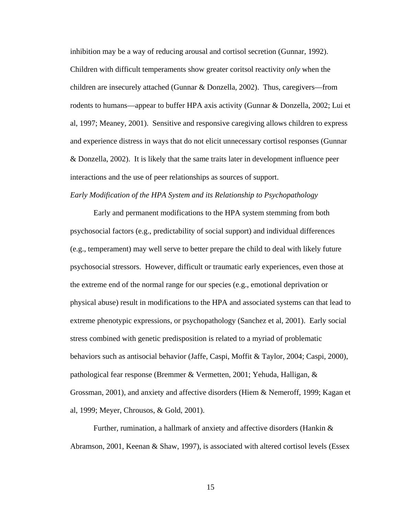inhibition may be a way of reducing arousal and cortisol secretion (Gunnar, 1992). Children with difficult temperaments show greater coritsol reactivity *only* when the children are insecurely attached (Gunnar & Donzella, 2002). Thus, caregivers—from rodents to humans—appear to buffer HPA axis activity (Gunnar & Donzella, 2002; Lui et al, 1997; Meaney, 2001). Sensitive and responsive caregiving allows children to express and experience distress in ways that do not elicit unnecessary cortisol responses (Gunnar & Donzella, 2002). It is likely that the same traits later in development influence peer interactions and the use of peer relationships as sources of support.

*Early Modification of the HPA System and its Relationship to Psychopathology*

Early and permanent modifications to the HPA system stemming from both psychosocial factors (e.g., predictability of social support) and individual differences (e.g., temperament) may well serve to better prepare the child to deal with likely future psychosocial stressors. However, difficult or traumatic early experiences, even those at the extreme end of the normal range for our species (e.g., emotional deprivation or physical abuse) result in modifications to the HPA and associated systems can that lead to extreme phenotypic expressions, or psychopathology (Sanchez et al, 2001). Early social stress combined with genetic predisposition is related to a myriad of problematic behaviors such as antisocial behavior (Jaffe, Caspi, Moffit & Taylor, 2004; Caspi, 2000), pathological fear response (Bremmer & Vermetten, 2001; Yehuda, Halligan, & Grossman, 2001), and anxiety and affective disorders (Hiem & Nemeroff, 1999; Kagan et al, 1999; Meyer, Chrousos, & Gold, 2001).

Further, rumination, a hallmark of anxiety and affective disorders (Hankin & Abramson, 2001, Keenan & Shaw, 1997), is associated with altered cortisol levels (Essex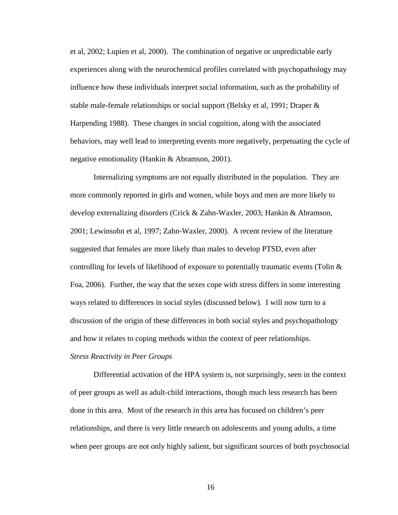et al, 2002; Lupien et al, 2000). The combination of negative or unpredictable early experiences along with the neurochemical profiles correlated with psychopathology may influence how these individuals interpret social information, such as the probability of stable male-female relationships or social support (Belsky et al, 1991; Draper & Harpending 1988). These changes in social cognition, along with the associated behaviors, may well lead to interpreting events more negatively, perpetuating the cycle of negative emotionality (Hankin & Abramson, 2001).

Internalizing symptoms are not equally distributed in the population. They are more commonly reported in girls and women, while boys and men are more likely to develop externalizing disorders (Crick & Zahn-Waxler, 2003; Hankin & Abramson, 2001; Lewinsohn et al, 1997; Zahn-Waxler, 2000). A recent review of the literature suggested that females are more likely than males to develop PTSD, even after controlling for levels of likelihood of exposure to potentially traumatic events (Tolin & Foa, 2006). Further, the way that the sexes cope with stress differs in some interesting ways related to differences in social styles (discussed below). I will now turn to a discussion of the origin of these differences in both social styles and psychopathology and how it relates to coping methods within the context of peer relationships.

### *Stress Reactivity in Peer Groups*

Differential activation of the HPA system is, not surprisingly, seen in the context of peer groups as well as adult-child interactions, though much less research has been done in this area. Most of the research in this area has focused on children's peer relationships, and there is very little research on adolescents and young adults, a time when peer groups are not only highly salient, but significant sources of both psychosocial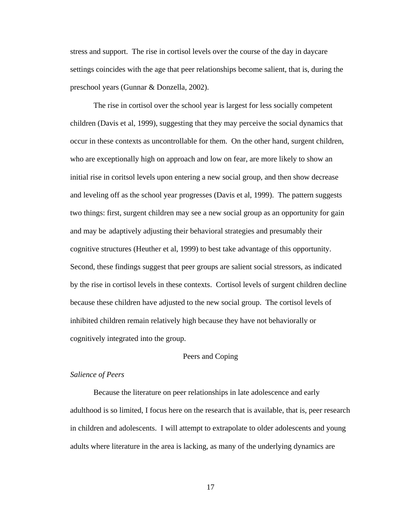stress and support. The rise in cortisol levels over the course of the day in daycare settings coincides with the age that peer relationships become salient, that is, during the preschool years (Gunnar & Donzella, 2002).

The rise in cortisol over the school year is largest for less socially competent children (Davis et al, 1999), suggesting that they may perceive the social dynamics that occur in these contexts as uncontrollable for them. On the other hand, surgent children, who are exceptionally high on approach and low on fear, are more likely to show an initial rise in coritsol levels upon entering a new social group, and then show decrease and leveling off as the school year progresses (Davis et al, 1999). The pattern suggests two things: first, surgent children may see a new social group as an opportunity for gain and may be adaptively adjusting their behavioral strategies and presumably their cognitive structures (Heuther et al, 1999) to best take advantage of this opportunity. Second, these findings suggest that peer groups are salient social stressors, as indicated by the rise in cortisol levels in these contexts. Cortisol levels of surgent children decline because these children have adjusted to the new social group. The cortisol levels of inhibited children remain relatively high because they have not behaviorally or cognitively integrated into the group.

#### Peers and Coping

#### *Salience of Peers*

Because the literature on peer relationships in late adolescence and early adulthood is so limited, I focus here on the research that is available, that is, peer research in children and adolescents. I will attempt to extrapolate to older adolescents and young adults where literature in the area is lacking, as many of the underlying dynamics are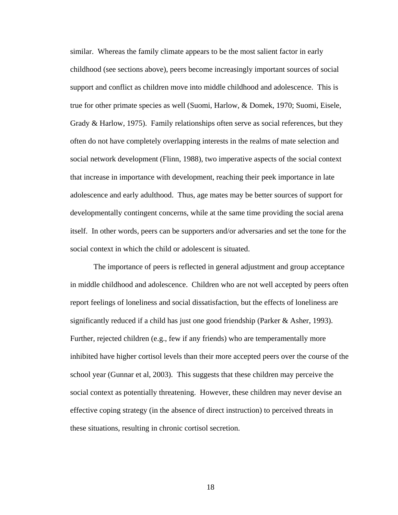similar. Whereas the family climate appears to be the most salient factor in early childhood (see sections above), peers become increasingly important sources of social support and conflict as children move into middle childhood and adolescence. This is true for other primate species as well (Suomi, Harlow, & Domek, 1970; Suomi, Eisele, Grady & Harlow, 1975). Family relationships often serve as social references, but they often do not have completely overlapping interests in the realms of mate selection and social network development (Flinn, 1988), two imperative aspects of the social context that increase in importance with development, reaching their peek importance in late adolescence and early adulthood. Thus, age mates may be better sources of support for developmentally contingent concerns, while at the same time providing the social arena itself. In other words, peers can be supporters and/or adversaries and set the tone for the social context in which the child or adolescent is situated.

The importance of peers is reflected in general adjustment and group acceptance in middle childhood and adolescence. Children who are not well accepted by peers often report feelings of loneliness and social dissatisfaction, but the effects of loneliness are significantly reduced if a child has just one good friendship (Parker  $\&$  Asher, 1993). Further, rejected children (e.g., few if any friends) who are temperamentally more inhibited have higher cortisol levels than their more accepted peers over the course of the school year (Gunnar et al, 2003). This suggests that these children may perceive the social context as potentially threatening. However, these children may never devise an effective coping strategy (in the absence of direct instruction) to perceived threats in these situations, resulting in chronic cortisol secretion.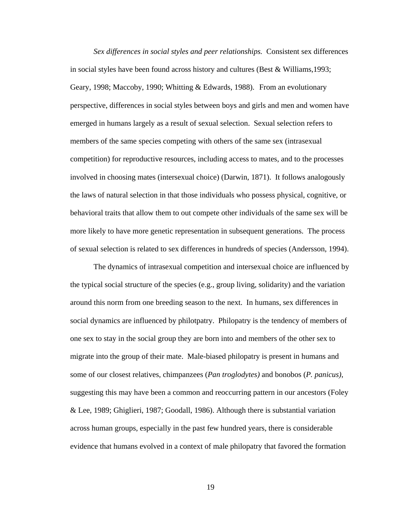*Sex differences in social styles and peer relationships.* Consistent sex differences in social styles have been found across history and cultures (Best & Williams,1993; Geary, 1998; Maccoby, 1990; Whitting & Edwards, 1988). From an evolutionary perspective, differences in social styles between boys and girls and men and women have emerged in humans largely as a result of sexual selection. Sexual selection refers to members of the same species competing with others of the same sex (intrasexual competition) for reproductive resources, including access to mates, and to the processes involved in choosing mates (intersexual choice) (Darwin, 1871). It follows analogously the laws of natural selection in that those individuals who possess physical, cognitive, or behavioral traits that allow them to out compete other individuals of the same sex will be more likely to have more genetic representation in subsequent generations. The process of sexual selection is related to sex differences in hundreds of species (Andersson, 1994).

The dynamics of intrasexual competition and intersexual choice are influenced by the typical social structure of the species (e.g., group living, solidarity) and the variation around this norm from one breeding season to the next. In humans, sex differences in social dynamics are influenced by philotpatry. Philopatry is the tendency of members of one sex to stay in the social group they are born into and members of the other sex to migrate into the group of their mate. Male-biased philopatry is present in humans and some of our closest relatives, chimpanzees (*Pan troglodytes)* and bonobos (*P. panicus)*, suggesting this may have been a common and reoccurring pattern in our ancestors (Foley & Lee, 1989; Ghiglieri, 1987; Goodall, 1986). Although there is substantial variation across human groups, especially in the past few hundred years, there is considerable evidence that humans evolved in a context of male philopatry that favored the formation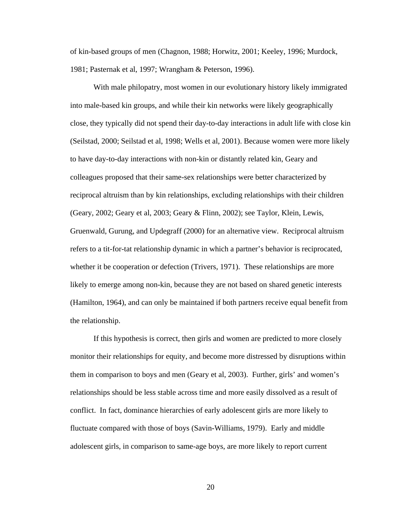of kin-based groups of men (Chagnon, 1988; Horwitz, 2001; Keeley, 1996; Murdock, 1981; Pasternak et al, 1997; Wrangham & Peterson, 1996).

With male philopatry, most women in our evolutionary history likely immigrated into male-based kin groups, and while their kin networks were likely geographically close, they typically did not spend their day-to-day interactions in adult life with close kin (Seilstad, 2000; Seilstad et al, 1998; Wells et al, 2001). Because women were more likely to have day-to-day interactions with non-kin or distantly related kin, Geary and colleagues proposed that their same-sex relationships were better characterized by reciprocal altruism than by kin relationships, excluding relationships with their children (Geary, 2002; Geary et al, 2003; Geary & Flinn, 2002); see Taylor, Klein, Lewis, Gruenwald, Gurung, and Updegraff (2000) for an alternative view. Reciprocal altruism refers to a tit-for-tat relationship dynamic in which a partner's behavior is reciprocated, whether it be cooperation or defection (Trivers, 1971). These relationships are more likely to emerge among non-kin, because they are not based on shared genetic interests (Hamilton, 1964), and can only be maintained if both partners receive equal benefit from the relationship.

If this hypothesis is correct, then girls and women are predicted to more closely monitor their relationships for equity, and become more distressed by disruptions within them in comparison to boys and men (Geary et al, 2003). Further, girls' and women's relationships should be less stable across time and more easily dissolved as a result of conflict. In fact, dominance hierarchies of early adolescent girls are more likely to fluctuate compared with those of boys (Savin-Williams, 1979). Early and middle adolescent girls, in comparison to same-age boys, are more likely to report current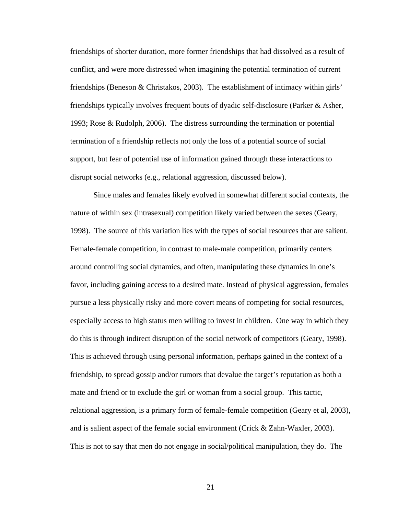friendships of shorter duration, more former friendships that had dissolved as a result of conflict, and were more distressed when imagining the potential termination of current friendships (Beneson & Christakos, 2003). The establishment of intimacy within girls' friendships typically involves frequent bouts of dyadic self-disclosure (Parker & Asher, 1993; Rose & Rudolph, 2006). The distress surrounding the termination or potential termination of a friendship reflects not only the loss of a potential source of social support, but fear of potential use of information gained through these interactions to disrupt social networks (e.g., relational aggression, discussed below).

Since males and females likely evolved in somewhat different social contexts, the nature of within sex (intrasexual) competition likely varied between the sexes (Geary, 1998). The source of this variation lies with the types of social resources that are salient. Female-female competition, in contrast to male-male competition, primarily centers around controlling social dynamics, and often, manipulating these dynamics in one's favor, including gaining access to a desired mate. Instead of physical aggression, females pursue a less physically risky and more covert means of competing for social resources, especially access to high status men willing to invest in children. One way in which they do this is through indirect disruption of the social network of competitors (Geary, 1998). This is achieved through using personal information, perhaps gained in the context of a friendship, to spread gossip and/or rumors that devalue the target's reputation as both a mate and friend or to exclude the girl or woman from a social group. This tactic, relational aggression, is a primary form of female-female competition (Geary et al, 2003), and is salient aspect of the female social environment (Crick & Zahn-Waxler, 2003). This is not to say that men do not engage in social/political manipulation, they do. The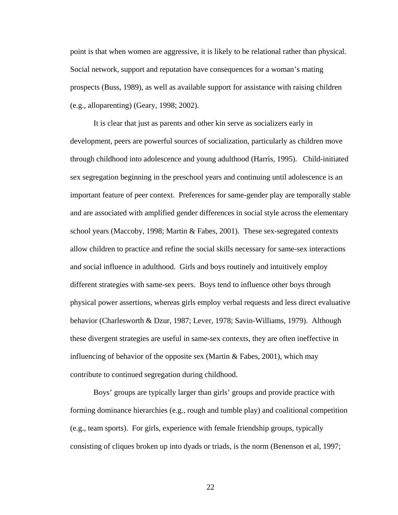point is that when women are aggressive, it is likely to be relational rather than physical. Social network, support and reputation have consequences for a woman's mating prospects (Buss, 1989), as well as available support for assistance with raising children (e.g., alloparenting) (Geary, 1998; 2002).

It is clear that just as parents and other kin serve as socializers early in development, peers are powerful sources of socialization, particularly as children move through childhood into adolescence and young adulthood (Harris, 1995). Child-initiated sex segregation beginning in the preschool years and continuing until adolescence is an important feature of peer context. Preferences for same-gender play are temporally stable and are associated with amplified gender differences in social style across the elementary school years (Maccoby, 1998; Martin & Fabes, 2001). These sex-segregated contexts allow children to practice and refine the social skills necessary for same-sex interactions and social influence in adulthood. Girls and boys routinely and intuitively employ different strategies with same-sex peers. Boys tend to influence other boys through physical power assertions, whereas girls employ verbal requests and less direct evaluative behavior (Charlesworth & Dzur, 1987; Lever, 1978; Savin-Williams, 1979). Although these divergent strategies are useful in same-sex contexts, they are often ineffective in influencing of behavior of the opposite sex (Martin  $&$  Fabes, 2001), which may contribute to continued segregation during childhood.

Boys' groups are typically larger than girls' groups and provide practice with forming dominance hierarchies (e.g., rough and tumble play) and coalitional competition (e.g., team sports). For girls, experience with female friendship groups, typically consisting of cliques broken up into dyads or triads, is the norm (Benenson et al, 1997;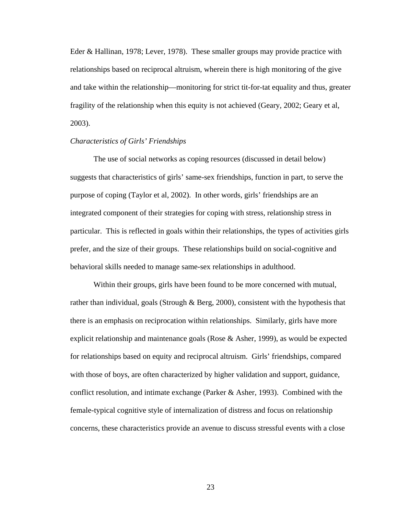Eder & Hallinan, 1978; Lever, 1978). These smaller groups may provide practice with relationships based on reciprocal altruism, wherein there is high monitoring of the give and take within the relationship—monitoring for strict tit-for-tat equality and thus, greater fragility of the relationship when this equity is not achieved (Geary, 2002; Geary et al, 2003).

### *Characteristics of Girls' Friendships*

The use of social networks as coping resources (discussed in detail below) suggests that characteristics of girls' same-sex friendships, function in part, to serve the purpose of coping (Taylor et al, 2002). In other words, girls' friendships are an integrated component of their strategies for coping with stress, relationship stress in particular. This is reflected in goals within their relationships, the types of activities girls prefer, and the size of their groups. These relationships build on social-cognitive and behavioral skills needed to manage same-sex relationships in adulthood.

 Within their groups, girls have been found to be more concerned with mutual, rather than individual, goals (Strough & Berg, 2000), consistent with the hypothesis that there is an emphasis on reciprocation within relationships. Similarly, girls have more explicit relationship and maintenance goals (Rose & Asher, 1999), as would be expected for relationships based on equity and reciprocal altruism. Girls' friendships, compared with those of boys, are often characterized by higher validation and support, guidance, conflict resolution, and intimate exchange (Parker & Asher, 1993). Combined with the female-typical cognitive style of internalization of distress and focus on relationship concerns, these characteristics provide an avenue to discuss stressful events with a close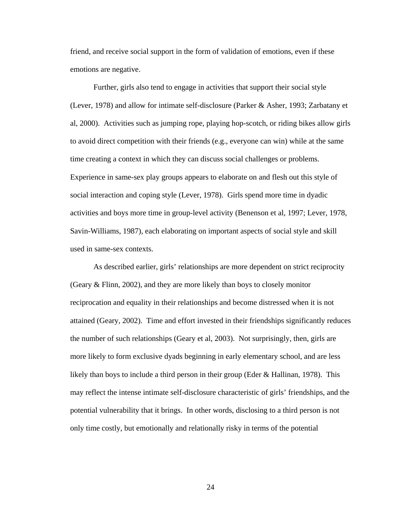friend, and receive social support in the form of validation of emotions, even if these emotions are negative.

 Further, girls also tend to engage in activities that support their social style (Lever, 1978) and allow for intimate self-disclosure (Parker & Asher, 1993; Zarbatany et al, 2000). Activities such as jumping rope, playing hop-scotch, or riding bikes allow girls to avoid direct competition with their friends (e.g., everyone can win) while at the same time creating a context in which they can discuss social challenges or problems. Experience in same-sex play groups appears to elaborate on and flesh out this style of social interaction and coping style (Lever, 1978). Girls spend more time in dyadic activities and boys more time in group-level activity (Benenson et al, 1997; Lever, 1978, Savin-Williams, 1987), each elaborating on important aspects of social style and skill used in same-sex contexts.

As described earlier, girls' relationships are more dependent on strict reciprocity (Geary & Flinn, 2002), and they are more likely than boys to closely monitor reciprocation and equality in their relationships and become distressed when it is not attained (Geary, 2002). Time and effort invested in their friendships significantly reduces the number of such relationships (Geary et al, 2003). Not surprisingly, then, girls are more likely to form exclusive dyads beginning in early elementary school, and are less likely than boys to include a third person in their group (Eder & Hallinan, 1978). This may reflect the intense intimate self-disclosure characteristic of girls' friendships, and the potential vulnerability that it brings. In other words, disclosing to a third person is not only time costly, but emotionally and relationally risky in terms of the potential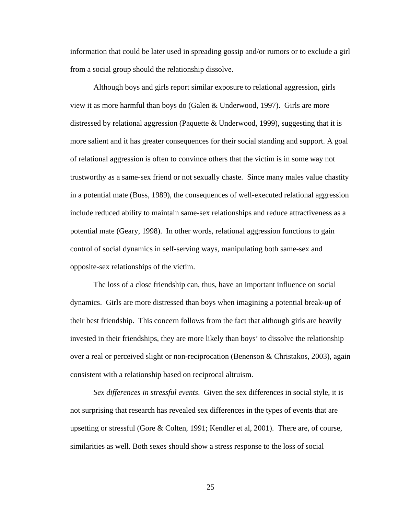information that could be later used in spreading gossip and/or rumors or to exclude a girl from a social group should the relationship dissolve.

 Although boys and girls report similar exposure to relational aggression, girls view it as more harmful than boys do (Galen & Underwood, 1997). Girls are more distressed by relational aggression (Paquette & Underwood, 1999), suggesting that it is more salient and it has greater consequences for their social standing and support. A goal of relational aggression is often to convince others that the victim is in some way not trustworthy as a same-sex friend or not sexually chaste. Since many males value chastity in a potential mate (Buss, 1989), the consequences of well-executed relational aggression include reduced ability to maintain same-sex relationships and reduce attractiveness as a potential mate (Geary, 1998). In other words, relational aggression functions to gain control of social dynamics in self-serving ways, manipulating both same-sex and opposite-sex relationships of the victim.

 The loss of a close friendship can, thus, have an important influence on social dynamics. Girls are more distressed than boys when imagining a potential break-up of their best friendship. This concern follows from the fact that although girls are heavily invested in their friendships, they are more likely than boys' to dissolve the relationship over a real or perceived slight or non-reciprocation (Benenson & Christakos, 2003), again consistent with a relationship based on reciprocal altruism.

*Sex differences in stressful events*. Given the sex differences in social style, it is not surprising that research has revealed sex differences in the types of events that are upsetting or stressful (Gore & Colten, 1991; Kendler et al, 2001). There are, of course, similarities as well. Both sexes should show a stress response to the loss of social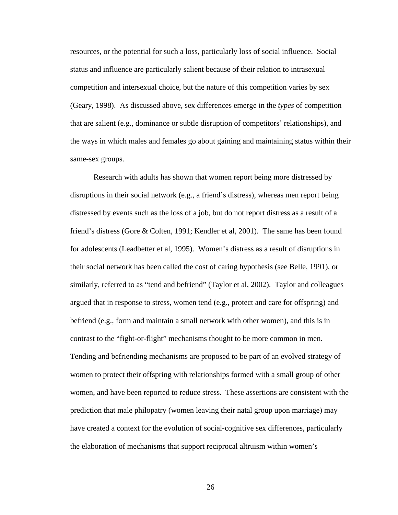resources, or the potential for such a loss, particularly loss of social influence. Social status and influence are particularly salient because of their relation to intrasexual competition and intersexual choice, but the nature of this competition varies by sex (Geary, 1998). As discussed above, sex differences emerge in the *types* of competition that are salient (e.g., dominance or subtle disruption of competitors' relationships), and the ways in which males and females go about gaining and maintaining status within their same-sex groups.

Research with adults has shown that women report being more distressed by disruptions in their social network (e.g., a friend's distress), whereas men report being distressed by events such as the loss of a job, but do not report distress as a result of a friend's distress (Gore & Colten, 1991; Kendler et al, 2001). The same has been found for adolescents (Leadbetter et al, 1995). Women's distress as a result of disruptions in their social network has been called the cost of caring hypothesis (see Belle, 1991), or similarly, referred to as "tend and befriend" (Taylor et al, 2002). Taylor and colleagues argued that in response to stress, women tend (e.g., protect and care for offspring) and befriend (e.g., form and maintain a small network with other women), and this is in contrast to the "fight-or-flight" mechanisms thought to be more common in men. Tending and befriending mechanisms are proposed to be part of an evolved strategy of women to protect their offspring with relationships formed with a small group of other women, and have been reported to reduce stress. These assertions are consistent with the prediction that male philopatry (women leaving their natal group upon marriage) may have created a context for the evolution of social-cognitive sex differences, particularly the elaboration of mechanisms that support reciprocal altruism within women's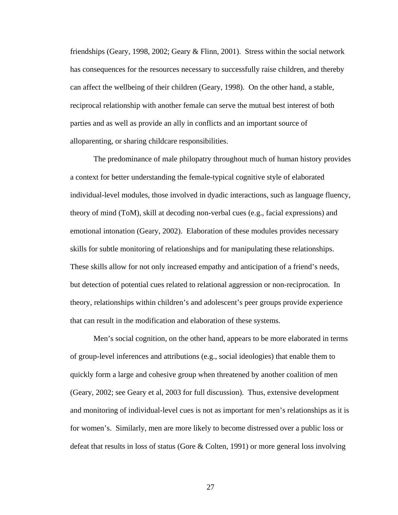friendships (Geary, 1998, 2002; Geary & Flinn, 2001). Stress within the social network has consequences for the resources necessary to successfully raise children, and thereby can affect the wellbeing of their children (Geary, 1998). On the other hand, a stable, reciprocal relationship with another female can serve the mutual best interest of both parties and as well as provide an ally in conflicts and an important source of alloparenting, or sharing childcare responsibilities.

The predominance of male philopatry throughout much of human history provides a context for better understanding the female-typical cognitive style of elaborated individual-level modules, those involved in dyadic interactions, such as language fluency, theory of mind (ToM), skill at decoding non-verbal cues (e.g., facial expressions) and emotional intonation (Geary, 2002). Elaboration of these modules provides necessary skills for subtle monitoring of relationships and for manipulating these relationships. These skills allow for not only increased empathy and anticipation of a friend's needs, but detection of potential cues related to relational aggression or non-reciprocation. In theory, relationships within children's and adolescent's peer groups provide experience that can result in the modification and elaboration of these systems.

Men's social cognition, on the other hand, appears to be more elaborated in terms of group-level inferences and attributions (e.g., social ideologies) that enable them to quickly form a large and cohesive group when threatened by another coalition of men (Geary, 2002; see Geary et al, 2003 for full discussion). Thus, extensive development and monitoring of individual-level cues is not as important for men's relationships as it is for women's. Similarly, men are more likely to become distressed over a public loss or defeat that results in loss of status (Gore & Colten, 1991) or more general loss involving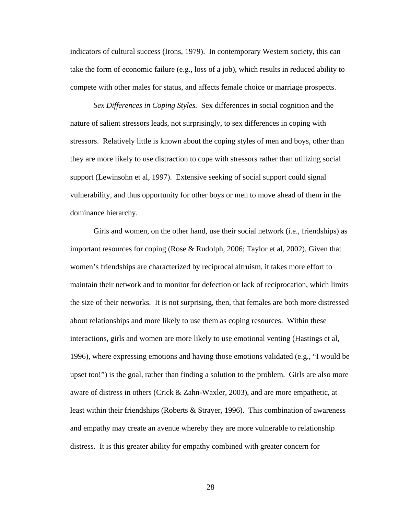indicators of cultural success (Irons, 1979). In contemporary Western society, this can take the form of economic failure (e.g., loss of a job), which results in reduced ability to compete with other males for status, and affects female choice or marriage prospects.

*Sex Differences in Coping Styles.* Sex differences in social cognition and the nature of salient stressors leads, not surprisingly, to sex differences in coping with stressors. Relatively little is known about the coping styles of men and boys, other than they are more likely to use distraction to cope with stressors rather than utilizing social support (Lewinsohn et al, 1997). Extensive seeking of social support could signal vulnerability, and thus opportunity for other boys or men to move ahead of them in the dominance hierarchy.

Girls and women, on the other hand, use their social network (i.e., friendships) as important resources for coping (Rose & Rudolph, 2006; Taylor et al, 2002). Given that women's friendships are characterized by reciprocal altruism, it takes more effort to maintain their network and to monitor for defection or lack of reciprocation, which limits the size of their networks. It is not surprising, then, that females are both more distressed about relationships and more likely to use them as coping resources. Within these interactions, girls and women are more likely to use emotional venting (Hastings et al, 1996), where expressing emotions and having those emotions validated (e.g., "I would be upset too!") is the goal, rather than finding a solution to the problem. Girls are also more aware of distress in others (Crick & Zahn-Waxler, 2003), and are more empathetic, at least within their friendships (Roberts & Strayer, 1996). This combination of awareness and empathy may create an avenue whereby they are more vulnerable to relationship distress. It is this greater ability for empathy combined with greater concern for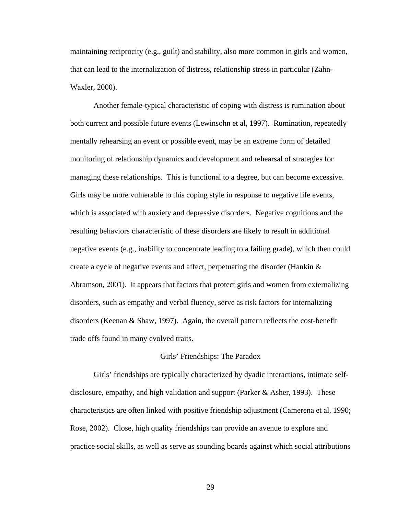maintaining reciprocity (e.g., guilt) and stability, also more common in girls and women, that can lead to the internalization of distress, relationship stress in particular (Zahn-Waxler, 2000).

 Another female-typical characteristic of coping with distress is rumination about both current and possible future events (Lewinsohn et al, 1997). Rumination, repeatedly mentally rehearsing an event or possible event, may be an extreme form of detailed monitoring of relationship dynamics and development and rehearsal of strategies for managing these relationships. This is functional to a degree, but can become excessive. Girls may be more vulnerable to this coping style in response to negative life events, which is associated with anxiety and depressive disorders. Negative cognitions and the resulting behaviors characteristic of these disorders are likely to result in additional negative events (e.g., inability to concentrate leading to a failing grade), which then could create a cycle of negative events and affect, perpetuating the disorder (Hankin & Abramson, 2001). It appears that factors that protect girls and women from externalizing disorders, such as empathy and verbal fluency, serve as risk factors for internalizing disorders (Keenan & Shaw, 1997). Again, the overall pattern reflects the cost-benefit trade offs found in many evolved traits.

#### Girls' Friendships: The Paradox

 Girls' friendships are typically characterized by dyadic interactions, intimate selfdisclosure, empathy, and high validation and support (Parker & Asher, 1993). These characteristics are often linked with positive friendship adjustment (Camerena et al, 1990; Rose, 2002). Close, high quality friendships can provide an avenue to explore and practice social skills, as well as serve as sounding boards against which social attributions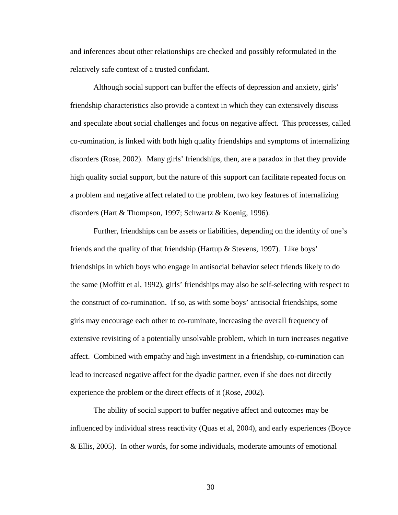and inferences about other relationships are checked and possibly reformulated in the relatively safe context of a trusted confidant.

Although social support can buffer the effects of depression and anxiety, girls' friendship characteristics also provide a context in which they can extensively discuss and speculate about social challenges and focus on negative affect. This processes, called co-rumination, is linked with both high quality friendships and symptoms of internalizing disorders (Rose, 2002). Many girls' friendships, then, are a paradox in that they provide high quality social support, but the nature of this support can facilitate repeated focus on a problem and negative affect related to the problem, two key features of internalizing disorders (Hart & Thompson, 1997; Schwartz & Koenig, 1996).

 Further, friendships can be assets or liabilities, depending on the identity of one's friends and the quality of that friendship (Hartup & Stevens, 1997). Like boys' friendships in which boys who engage in antisocial behavior select friends likely to do the same (Moffitt et al, 1992), girls' friendships may also be self-selecting with respect to the construct of co-rumination. If so, as with some boys' antisocial friendships, some girls may encourage each other to co-ruminate, increasing the overall frequency of extensive revisiting of a potentially unsolvable problem, which in turn increases negative affect. Combined with empathy and high investment in a friendship, co-rumination can lead to increased negative affect for the dyadic partner, even if she does not directly experience the problem or the direct effects of it (Rose, 2002).

The ability of social support to buffer negative affect and outcomes may be influenced by individual stress reactivity (Quas et al, 2004), and early experiences (Boyce & Ellis, 2005). In other words, for some individuals, moderate amounts of emotional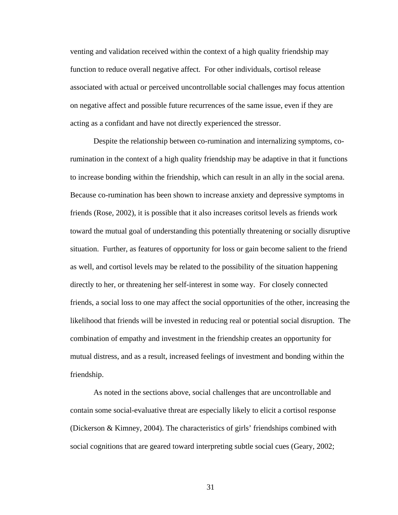venting and validation received within the context of a high quality friendship may function to reduce overall negative affect. For other individuals, cortisol release associated with actual or perceived uncontrollable social challenges may focus attention on negative affect and possible future recurrences of the same issue, even if they are acting as a confidant and have not directly experienced the stressor.

Despite the relationship between co-rumination and internalizing symptoms, corumination in the context of a high quality friendship may be adaptive in that it functions to increase bonding within the friendship, which can result in an ally in the social arena. Because co-rumination has been shown to increase anxiety and depressive symptoms in friends (Rose, 2002), it is possible that it also increases coritsol levels as friends work toward the mutual goal of understanding this potentially threatening or socially disruptive situation. Further, as features of opportunity for loss or gain become salient to the friend as well, and cortisol levels may be related to the possibility of the situation happening directly to her, or threatening her self-interest in some way. For closely connected friends, a social loss to one may affect the social opportunities of the other, increasing the likelihood that friends will be invested in reducing real or potential social disruption. The combination of empathy and investment in the friendship creates an opportunity for mutual distress, and as a result, increased feelings of investment and bonding within the friendship.

As noted in the sections above, social challenges that are uncontrollable and contain some social-evaluative threat are especially likely to elicit a cortisol response (Dickerson & Kimney, 2004). The characteristics of girls' friendships combined with social cognitions that are geared toward interpreting subtle social cues (Geary, 2002;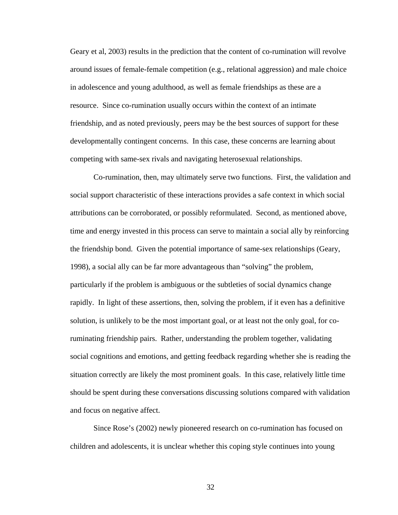Geary et al, 2003) results in the prediction that the content of co-rumination will revolve around issues of female-female competition (e.g., relational aggression) and male choice in adolescence and young adulthood, as well as female friendships as these are a resource. Since co-rumination usually occurs within the context of an intimate friendship, and as noted previously, peers may be the best sources of support for these developmentally contingent concerns. In this case, these concerns are learning about competing with same-sex rivals and navigating heterosexual relationships.

Co-rumination, then, may ultimately serve two functions. First, the validation and social support characteristic of these interactions provides a safe context in which social attributions can be corroborated, or possibly reformulated. Second, as mentioned above, time and energy invested in this process can serve to maintain a social ally by reinforcing the friendship bond. Given the potential importance of same-sex relationships (Geary, 1998), a social ally can be far more advantageous than "solving" the problem, particularly if the problem is ambiguous or the subtleties of social dynamics change rapidly. In light of these assertions, then, solving the problem, if it even has a definitive solution, is unlikely to be the most important goal, or at least not the only goal, for coruminating friendship pairs. Rather, understanding the problem together, validating social cognitions and emotions, and getting feedback regarding whether she is reading the situation correctly are likely the most prominent goals. In this case, relatively little time should be spent during these conversations discussing solutions compared with validation and focus on negative affect.

Since Rose's (2002) newly pioneered research on co-rumination has focused on children and adolescents, it is unclear whether this coping style continues into young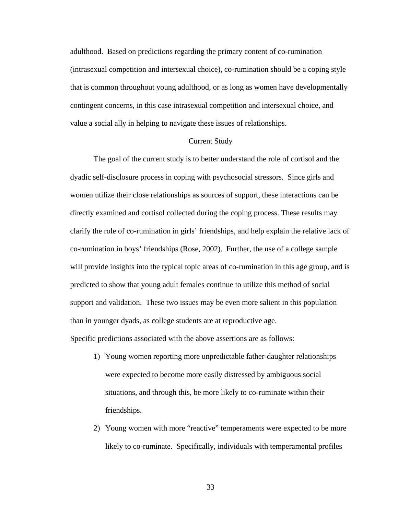adulthood. Based on predictions regarding the primary content of co-rumination (intrasexual competition and intersexual choice), co-rumination should be a coping style that is common throughout young adulthood, or as long as women have developmentally contingent concerns, in this case intrasexual competition and intersexual choice, and value a social ally in helping to navigate these issues of relationships.

### Current Study

The goal of the current study is to better understand the role of cortisol and the dyadic self-disclosure process in coping with psychosocial stressors. Since girls and women utilize their close relationships as sources of support, these interactions can be directly examined and cortisol collected during the coping process. These results may clarify the role of co-rumination in girls' friendships, and help explain the relative lack of co-rumination in boys' friendships (Rose, 2002). Further, the use of a college sample will provide insights into the typical topic areas of co-rumination in this age group, and is predicted to show that young adult females continue to utilize this method of social support and validation. These two issues may be even more salient in this population than in younger dyads, as college students are at reproductive age. Specific predictions associated with the above assertions are as follows:

- 1) Young women reporting more unpredictable father-daughter relationships were expected to become more easily distressed by ambiguous social situations, and through this, be more likely to co-ruminate within their friendships.
- 2) Young women with more "reactive" temperaments were expected to be more likely to co-ruminate. Specifically, individuals with temperamental profiles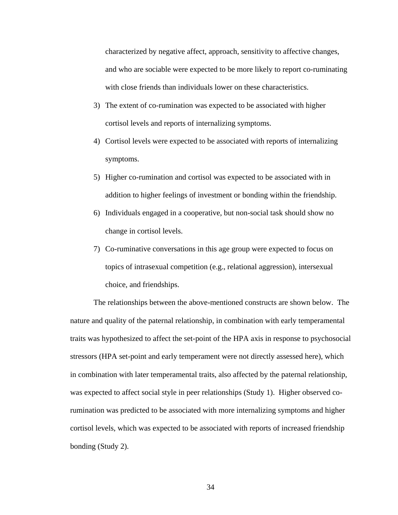characterized by negative affect, approach, sensitivity to affective changes, and who are sociable were expected to be more likely to report co-ruminating with close friends than individuals lower on these characteristics.

- 3) The extent of co-rumination was expected to be associated with higher cortisol levels and reports of internalizing symptoms.
- 4) Cortisol levels were expected to be associated with reports of internalizing symptoms.
- 5) Higher co-rumination and cortisol was expected to be associated with in addition to higher feelings of investment or bonding within the friendship.
- 6) Individuals engaged in a cooperative, but non-social task should show no change in cortisol levels.
- 7) Co-ruminative conversations in this age group were expected to focus on topics of intrasexual competition (e.g., relational aggression), intersexual choice, and friendships.

The relationships between the above-mentioned constructs are shown below. The nature and quality of the paternal relationship, in combination with early temperamental traits was hypothesized to affect the set-point of the HPA axis in response to psychosocial stressors (HPA set-point and early temperament were not directly assessed here), which in combination with later temperamental traits, also affected by the paternal relationship, was expected to affect social style in peer relationships (Study 1). Higher observed corumination was predicted to be associated with more internalizing symptoms and higher cortisol levels, which was expected to be associated with reports of increased friendship bonding (Study 2).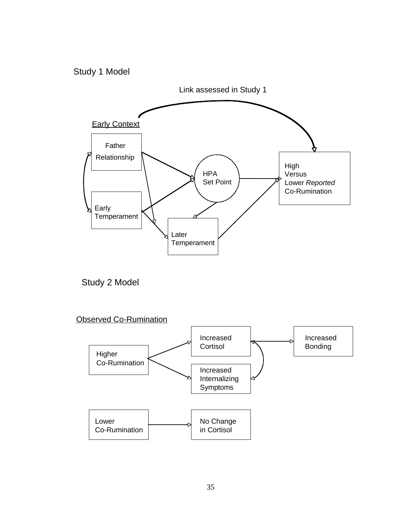## Study 1 Model



Study 2 Model

Observed Co-Rumination

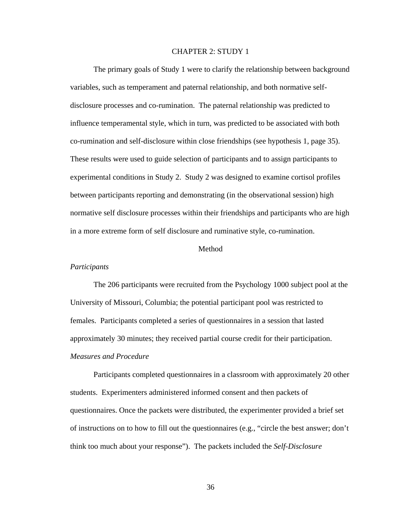#### CHAPTER 2: STUDY 1

The primary goals of Study 1 were to clarify the relationship between background variables, such as temperament and paternal relationship, and both normative selfinfluence temperamental style, which in turn, was predicted to be associated with both normative self disclosure processes within their friendships and participants who are high disclosure processes and co-rumination. The paternal relationship was predicted to co-rumination and self-disclosure within close friendships (see hypothesis 1, page 35). These results were used to guide selection of participants and to assign participants to experimental conditions in Study 2. Study 2 was designed to examine cortisol profiles between participants reporting and demonstrating (in the observational session) high in a more extreme form of self disclosure and ruminative style, co-rumination.

### Method

#### *Participants*

The 206 participants were recruited from the Psychology 1000 subject pool at the . approximately 30 minutes; they received partial course credit for their participation University of Missouri, Columbia; the potential participant pool was restricted to females. Participants completed a series of questionnaires in a session that lasted *Measures and Procedure*

Participants completed questionnaires in a classroom with approximately 20 other questionnaires. Once the packets were distributed, the experimenter provided a brief set of instructions on to how to fill out the questionnaires (e.g., "circle the best answer; don't students. Experimenters administered informed consent and then packets of think too much about your response"). The packets included the *Self-Disclosure*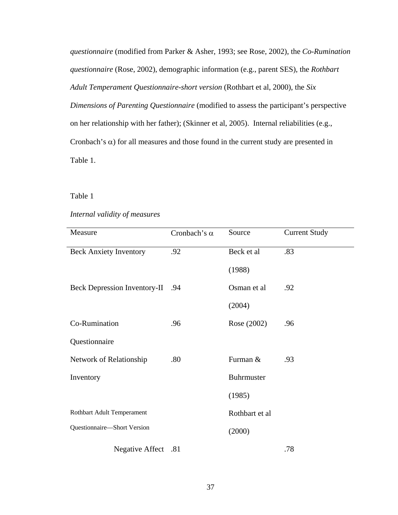*questionnaire* (modified from Parker & Asher, 1993; see Rose, 2002), the *Co-Rum ination questionnaire* (Rose, 2002), demographic information (e.g., parent SES), the *Rothbart Adult Temperament Questionnaire-short version* (Rothbart et al, 2000), the *Six Dimensions of Parenting Questionnaire* (modified to assess the participant's per spective on her relationship with her father); (Skinner et al, 2005). Internal reliabilities (e.g., Cronbach's  $\alpha$ ) for all measures and those found in the current study are presented in Table 1.

## Table 1

## Internal validity of measures

| Measure                             | Cronbach's $\alpha$ | Source         | <b>Current Study</b> |
|-------------------------------------|---------------------|----------------|----------------------|
| <b>Beck Anxiety Inventory</b>       | .92                 | Beck et al     | .83                  |
|                                     |                     | (1988)         |                      |
| <b>Beck Depression Inventory-II</b> | .94                 | Osman et al    | .92                  |
|                                     |                     | (2004)         |                      |
| Co-Rumination                       | .96                 | Rose (2002)    | .96                  |
| Questionnaire                       |                     |                |                      |
| Network of Relationship             | .80                 | Furman &       | .93                  |
| Inventory                           |                     | Buhrmuster     |                      |
|                                     |                     | (1985)         |                      |
| Rothbart Adult Temperament          |                     | Rothbart et al |                      |
| Questionnaire-Short Version         |                     | (2000)         |                      |
| Negative Affect .81                 |                     |                | .78                  |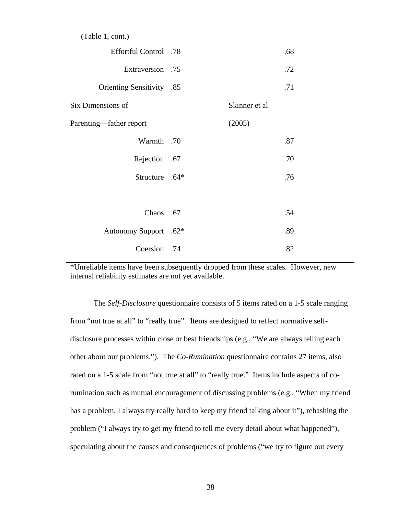|  |  |  |  | (Table 1, cont.) |
|--|--|--|--|------------------|
|--|--|--|--|------------------|

| Effortful Control .78            |               | .68 |
|----------------------------------|---------------|-----|
| Extraversion .75                 |               | .72 |
| <b>Orienting Sensitivity</b> .85 |               | .71 |
| Six Dimensions of                | Skinner et al |     |
| Parenting—father report          | (2005)        |     |
| Warmth .70                       |               | .87 |
| Rejection .67                    |               | .70 |
| Structure .64*                   |               | .76 |
|                                  |               |     |
| Chaos .67                        |               | .54 |
| Autonomy Support .62*            |               | .89 |
| Coersion .74                     |               | .82 |

\*Unreliable items have been subsequently dropped from these scales. However, new internal reliability estimates are not yet available.

The *Self-Disclosure* questionnaire consists of 5 items rated on a 1-5 scale ranging from "not true at all" to "really true". Items are designed to reflect normative selfdisclosure processes within close or best friendships (e.g., "We are always telling each rumination such as mutual encouragement of discussing problems (e.g., "When my friend other about our problems."). The *Co-Rumination* questionnaire contains 27 items, also rated on a 1-5 scale from "not true at all" to "really true." Items include aspects of cohas a problem, I always try really hard to keep my friend talking about it"), rehashing the problem ("I always try to get my friend to tell me every detail about what happened"), speculating about the causes and consequences of problems ("we try to figure out every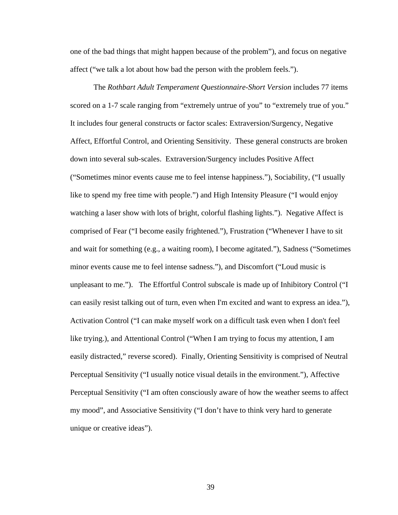one of the bad things that might happen because of the problem"), and focus on negative affect ("we talk a lot about how bad the person with the problem feels.").

The *Rothbart Adult Temperament Questionnaire-Short Version* includes 77 items scored on a 1-7 scale ranging from "extremely untrue of you" to "extremely true of you." Affect, Effortful Control, and Orienting Sensitivity. These general constructs are broken ("Sometimes minor events cause me to feel intense happiness."), Sociability, ("I usually unpleasant to me."). The Effortful Control subscale is made up of Inhibitory Control ("I easily distracted," reverse scored). Finally, Orienting Sensitivity is comprised of Neutral Perceptual Sensitivity ("I am often consciously aware of how the weather seems to affect It includes four general constructs or factor scales: Extraversion/Surgency, Negative down into several sub-scales. Extraversion/Surgency includes Positive Affect like to spend my free time with people.") and High Intensity Pleasure ("I would enjoy watching a laser show with lots of bright, colorful flashing lights."). Negative Affect is comprised of Fear ("I become easily frightened."), Frustration ("Whenever I have to sit and wait for something (e.g., a waiting room), I become agitated."), Sadness ("Sometimes minor events cause me to feel intense sadness."), and Discomfort ("Loud music is can easily resist talking out of turn, even when I'm excited and want to express an idea."), Activation Control ("I can make myself work on a difficult task even when I don't feel like trying.), and Attentional Control ("When I am trying to focus my attention, I am Perceptual Sensitivity ("I usually notice visual details in the environment."), Affective my mood", and Associative Sensitivity ("I don't have to think very hard to generate unique or creative ideas").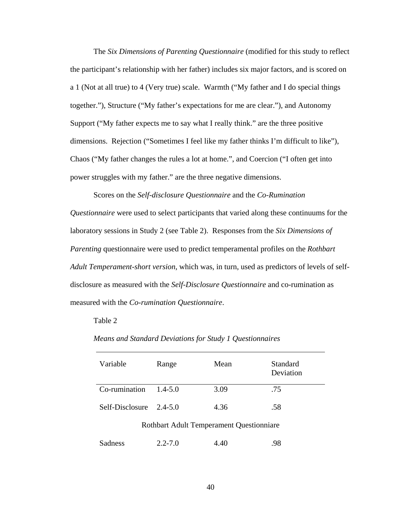The *Six Dimensions of Parenting Questionnaire* (modified for this study to reflect the participant's relationship with her father) includes six major factors, and is scored on a 1 (Not at all true) to 4 (Very true) scale. Warmth ("My father and I do special things together."), Structure ("My father's expectations for me are clear."), and Autonomy Support ("My father expects me to say what I really think." are the three positive dimensions. Rejection ("Sometimes I feel like my father thinks I'm difficult to like"), Chaos ("My father changes the rules a lot at home.", and Coercion ("I often get into power struggles with my father." are the three negative dimensions.

Scores on the *Self-disclosure Questionnaire* and the *Co-Rumination Questionnaire* were used to select participants that varied along these continuums for the laboratory sessions in Study 2 (see Table 2). Responses from the *Six Dimensions of Parenting* questionnaire were used to predict temperamental profiles on the *Rothbart Adult Temperament-short version*, which was, in turn, used as predictors of levels of selfdisclosure as measured with the *Self-Disclosure Questionnaire* and co-rumination as measured with the *Co-rumination Questionnaire*.

#### Table 2

| Variable                                 | Range       | Mean | <b>Standard</b><br>Deviation |  |  |
|------------------------------------------|-------------|------|------------------------------|--|--|
| Co-rumination                            | $1.4 - 5.0$ | 3.09 | .75                          |  |  |
| Self-Disclosure                          | $2.4 - 5.0$ | 4.36 | .58                          |  |  |
| Rothbart Adult Temperament Questionniare |             |      |                              |  |  |

*Means and Standard Deviations for Study 1 Questionnaires* 

| Sadness | $2.2 - 7.0$ | 4.40 | .98 |
|---------|-------------|------|-----|
|         |             |      |     |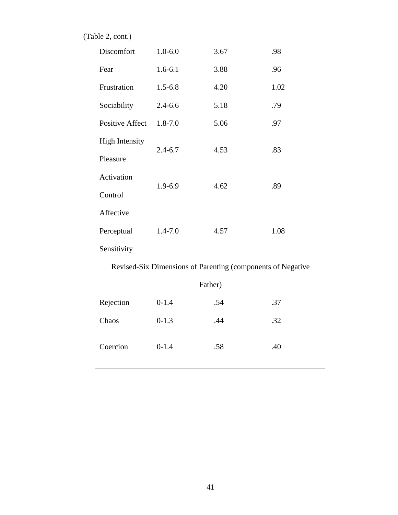(Table 2, cont.)

| Discomfort                                                  | $1.0 - 6.0$ | 3.67    | .98  |  |  |
|-------------------------------------------------------------|-------------|---------|------|--|--|
| Fear                                                        | $1.6 - 6.1$ | 3.88    | .96  |  |  |
| Frustration                                                 | $1.5 - 6.8$ | 4.20    | 1.02 |  |  |
| Sociability                                                 | $2.4 - 6.6$ | 5.18    | .79  |  |  |
| <b>Positive Affect</b>                                      | $1.8 - 7.0$ | 5.06    | .97  |  |  |
| <b>High Intensity</b>                                       | $2.4 - 6.7$ | 4.53    | .83  |  |  |
| Pleasure                                                    |             |         |      |  |  |
| Activation                                                  | 1.9-6.9     | 4.62    | .89  |  |  |
| Control                                                     |             |         |      |  |  |
| Affective                                                   |             |         |      |  |  |
| Perceptual                                                  | $1.4 - 7.0$ | 4.57    | 1.08 |  |  |
| Sensitivity                                                 |             |         |      |  |  |
| Revised-Six Dimensions of Parenting (components of Negative |             |         |      |  |  |
|                                                             |             | Father) |      |  |  |
| Rejection                                                   | $0 - 1.4$   | .54     | .37  |  |  |

Chaos 0-1.3 .44 .32

Coercion 0-1.4 .58 .40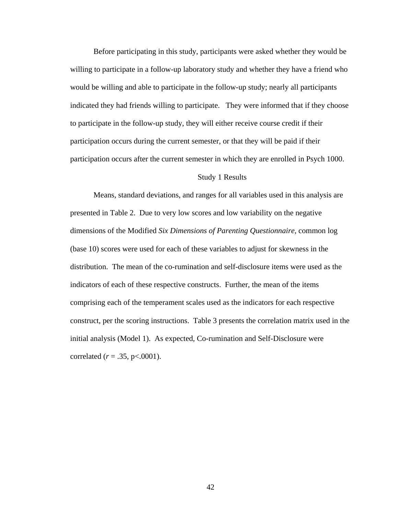Before participating in this study, participants were asked whether they would be willing to participate in a follow-up laboratory study and whether they have a friend who would be willing and able to participate in the follow-up study; nearly all participants indicated they had friends willing to participate. They were informed that if they choose to participate in the follow-up study, they will either receive course credit if their participation occurs during the current semester, or that they will be paid if their participation occurs after the current semester in which they are enrolled in Psych 1000.

#### Study 1 Results

Means, standard deviations, and ranges for all variables used in this analysis are presented in Table 2. Due to very low scores and low variability on the negative dimensions of the Modified *Six Dimensions of Parenting Questionnaire*, common log (base 10) scores were used for each of these variables to adjust for skewness in the distribution. The mean of the co-rumination and self-disclosure items were used as the indicators of each of these respective constructs. Further, the mean of the items comprising each of the temperament scales used as the indicators for each respective construct, per the scoring instructions. Table 3 presents the correlation matrix used in the initial analysis (Model 1). As expected, Co-rumination and Self-Disclosure were correlated ( $r = .35$ , p<.0001).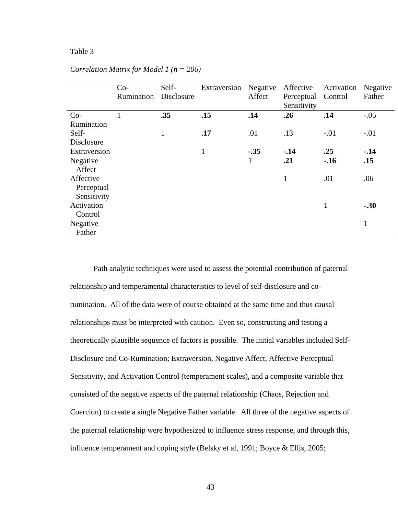## Table 3

|              | $Co-$      | Self-        | Extraversion | Negative     | Affective    | Activation | Negative     |
|--------------|------------|--------------|--------------|--------------|--------------|------------|--------------|
|              | Rumination | Disclosure   |              | Affect       | Perceptual   | Control    | Father       |
|              |            |              |              |              | Sensitivity  |            |              |
| $Co-$        | $\bf{l}$   | .35          | .15          | .14          | .26          | .14        | $-.05$       |
| Rumination   |            |              |              |              |              |            |              |
| Self-        |            | $\mathbf{1}$ | .17          | .01          | .13          | $-.01$     | $-.01$       |
| Disclosure   |            |              |              |              |              |            |              |
| Extraversion |            |              | $\mathbf{1}$ | $-.35$       | $-.14$       | .25        | $-14$        |
| Negative     |            |              |              | $\mathbf{1}$ | .21          | $-16$      | .15          |
| Affect       |            |              |              |              |              |            |              |
| Affective    |            |              |              |              | $\mathbf{1}$ | .01        | .06          |
| Perceptual   |            |              |              |              |              |            |              |
| Sensitivity  |            |              |              |              |              |            |              |
| Activation   |            |              |              |              |              | 1          | $-.30$       |
| Control      |            |              |              |              |              |            |              |
| Negative     |            |              |              |              |              |            | $\mathbf{1}$ |
| Father       |            |              |              |              |              |            |              |

*Correlation Matrix for Model 1 (n = 206)* 

 Path analytic techniques were used to assess the potential contribution of paternal relationship and temperamental characteristics to level of self-disclosure and corumination. All of the data were of course obtained at the same time and thus causal relationships must be interpreted with caution. Even so, constructing and testing a theoretically plausible sequence of factors is possible. The initial variables included Self-Disclosure and Co-Rumination; Extraversion, Negative Affect, Affective Perceptual Sensitivity, and Activation Control (temperament scales), and a composite variable that consisted of the negative aspects of the paternal relationship (Chaos, Rejection and Coercion) to create a single Negative Father variable. All three of the negative aspects of the paternal relationship were hypothesized to influence stress response, and through this, influence temperament and coping style (Belsky et al, 1991; Boyce & Ellis, 2005;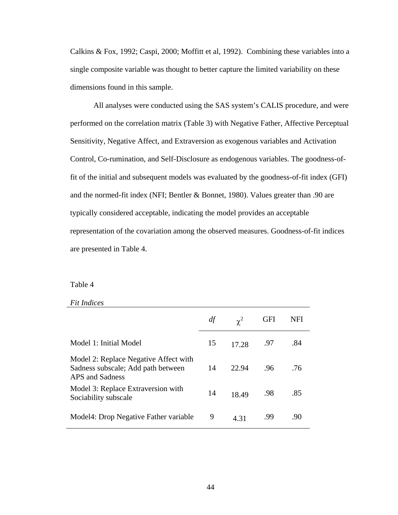Calkins & Fox, 1992; Caspi, 2000; Moffitt et al, 1992). Combining these variables into a single composite variable was thought to better capture the limited variability on these dimensions found in this sample.

All analyses were conducted using the SAS system's CALIS procedure, and were performed on the correlation matrix (Table 3) with Negative Father, Affective Perceptual Sensitivity, Negative Affect, and Extraversion as exogenous variables and Activation Control, Co-rumination, and Self-Disclosure as endogenous variables. The goodness-offit of the initial and subsequent models was evaluated by the goodness-of-fit index (GFI) and the normed-fit index (NFI; Bentler & Bonnet, 1980). Values greater than .90 are typically considered acceptable, indicating the model provides an acceptable representation of the covariation among the observed measures. Goodness-of-fit indices are presented in Table 4.

#### Table 4

#### *Fit Indices*

|                                                                                                | df | $\gamma^2$ | GFI | NFI |
|------------------------------------------------------------------------------------------------|----|------------|-----|-----|
| Model 1: Initial Model                                                                         | 15 | 17.28      | .97 | .84 |
| Model 2: Replace Negative Affect with<br>Sadness subscale; Add path between<br>APS and Sadness | 14 | 22.94      | .96 | .76 |
| Model 3: Replace Extraversion with<br>Sociability subscale                                     | 14 | 18.49      | .98 | .85 |
| Model4: Drop Negative Father variable                                                          | 9  | 4.31       | .99 | .90 |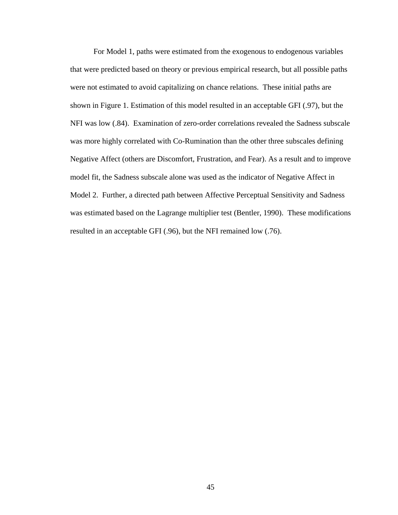For Model 1, paths were estimated from the exogenous to endogenous variables that were predicted based on theory or previous empirical research, but all possible paths were not estimated to avoid capitalizing on chance relations. These initial paths are shown in Figure 1. Estimation of this model resulted in an acceptable GFI (.97), but the NFI was low (.84). Examination of zero-order correlations revealed the Sadness subscale was more highly correlated with Co-Rumination than the other three subscales defining Negative Affect (others are Discomfort, Frustration, and Fear). As a result and to improve model fit, the Sadness subscale alone was used as the indicator of Negative Affect in Model 2. Further, a directed path between Affective Perceptual Sensitivity and Sadness was estimated based on the Lagrange multiplier test (Bentler, 1990). These modifications resulted in an acceptable GFI (.96), but the NFI remained low (.76).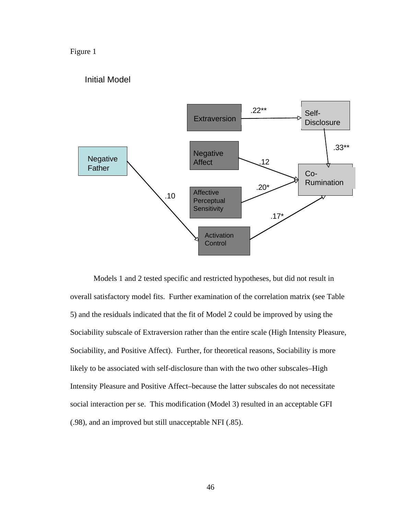## Figure 1

## Initial Model



Models 1 and 2 tested specific and restricted hypotheses, but did not result in overall satisfactory model fits. Further examination of the correlation matrix (see Table 5) and the residuals indicated that the fit of Model 2 could be improved by using the Sociability subscale of Extraversion rather than the entire scale (High Intensity Pleasure, Sociability, and Positive Affect). Further, for theoretical reasons, Sociability is more likely to be associated with self-disclosure than with the two other subscales–High Intensity Pleasure and Positive Affect–because the latter subscales do not necessitate social interaction per se. This modification (Model 3) resulted in an acceptable GFI (.98), and an improved but still unacceptable NFI (.85).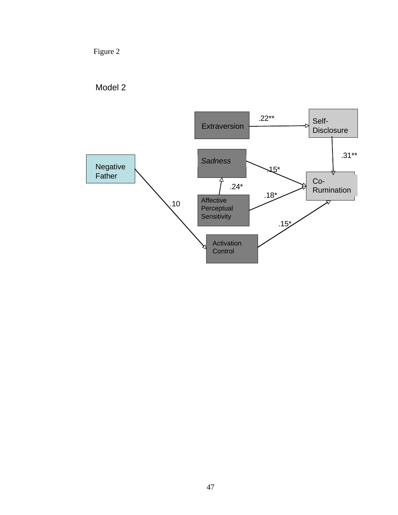Figure 2



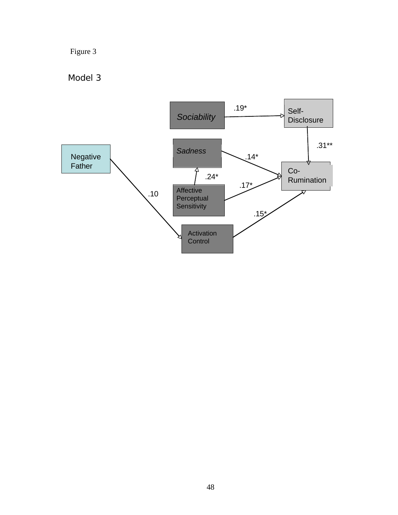# Figure 3

Model 3

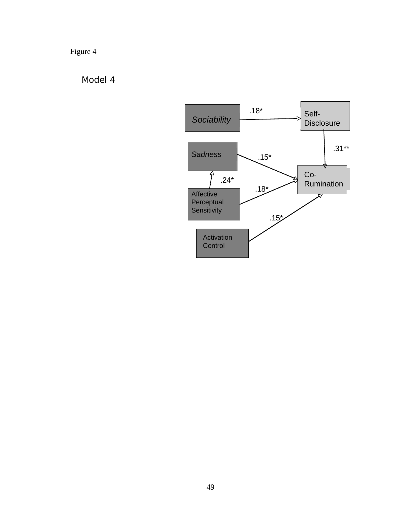# Figure 4

# Model 4

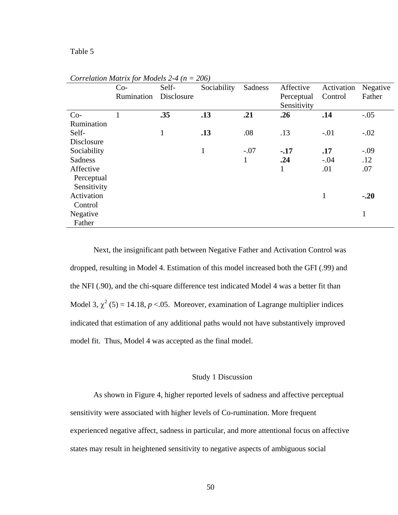|             | $Co-$      | Self-      | Sociability | Sadness      | Affective                 | Activation   | Negative     |
|-------------|------------|------------|-------------|--------------|---------------------------|--------------|--------------|
|             | Rumination | Disclosure |             |              | Perceptual<br>Sensitivity | Control      | Father       |
| $Co-$       |            | .35        | .13         | .21          | .26                       | .14          | $-.05$       |
| Rumination  |            |            |             |              |                           |              |              |
| Self-       |            | 1          | .13         | .08          | .13                       | $-.01$       | $-.02$       |
| Disclosure  |            |            |             |              |                           |              |              |
| Sociability |            |            | 1           | $-.07$       | $-.17$                    | .17          | $-.09$       |
| Sadness     |            |            |             | $\mathbf{1}$ | .24                       | $-.04$       | .12          |
| Affective   |            |            |             |              | 1                         | .01          | .07          |
| Perceptual  |            |            |             |              |                           |              |              |
| Sensitivity |            |            |             |              |                           |              |              |
| Activation  |            |            |             |              |                           | $\mathbf{1}$ | $-.20$       |
| Control     |            |            |             |              |                           |              |              |
| Negative    |            |            |             |              |                           |              | $\mathbf{1}$ |
| Father      |            |            |             |              |                           |              |              |

*Correlation Matrix for Models 2-4 (n = 206)* 

Next, the insignificant path between Negative Father and Activation Control was dropped, resulting in Model 4. Estimation of this model increased both the GFI (.99) and the NFI (.90), and the chi-square difference test indicated Model 4 was a better fit than Model 3,  $\chi^2$  (5) = 14.18, *p* <.05. Moreover, examination of Lagrange multiplier indices indicated that estimation of any additional paths would not have substantively improved model fit. Thus, Model 4 was accepted as the final model.

## Study 1 Discussion

As shown in Figure 4, higher reported levels of sadness and affective perceptual sensitivity were associated with higher levels of Co-rumination. More frequent experienced negative affect, sadness in particular, and more attentional focus on affective states may result in heightened sensitivity to negative aspects of ambiguous social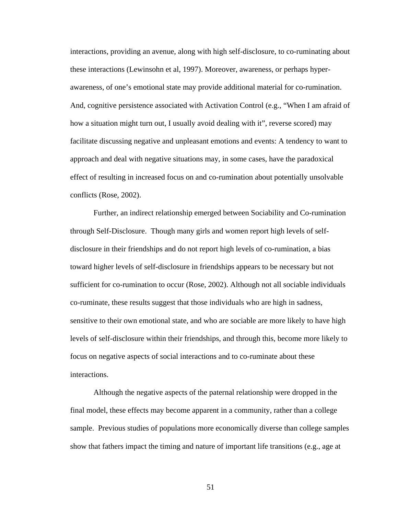interactions, providing an avenue, along with high self-disclosure, to co-ruminating about these interactions (Lewinsohn et al, 1997). Moreover, awareness, or perhaps hyperawareness, of one's emotional state may provide additional material for co-rumination. And, cognitive persistence associated with Activation Control (e.g., "When I am afraid of how a situation might turn out, I usually avoid dealing with it", reverse scored) may facilitate discussing negative and unpleasant emotions and events: A tendency to want to approach and deal with negative situations may, in some cases, have the paradoxical effect of resulting in increased focus on and co-rumination about potentially unsolvable conflicts (Rose, 2002).

Further, an indirect relationship emerged between Sociability and Co-rumination through Self-Disclosure. Though many girls and women report high levels of selfdisclosure in their friendships and do not report high levels of co-rumination, a bias toward higher levels of self-disclosure in friendships appears to be necessary but not sufficient for co-rumination to occur (Rose, 2002). Although not all sociable individuals co-ruminate, these results suggest that those individuals who are high in sadness, sensitive to their own emotional state, and who are sociable are more likely to have high levels of self-disclosure within their friendships, and through this, become more likely to focus on negative aspects of social interactions and to co-ruminate about these interactions.

Although the negative aspects of the paternal relationship were dropped in the final model, these effects may become apparent in a community, rather than a college sample. Previous studies of populations more economically diverse than college samples show that fathers impact the timing and nature of important life transitions (e.g., age at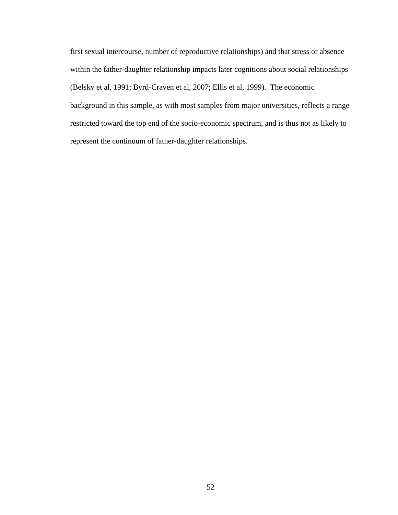first sexual intercourse, number of reproductive relationships) and that stress or absence within the father-daughter relationship impacts later cognitions about social relationships (Belsky et al, 1991; Byrd-Craven et al, 2007; Ellis et al, 1999). The economic background in this sample, as with most samples from major universities, reflects a range restricted toward the top end of the socio-economic spectrum, and is thus not as likely to represent the continuum of father-daughter relationships.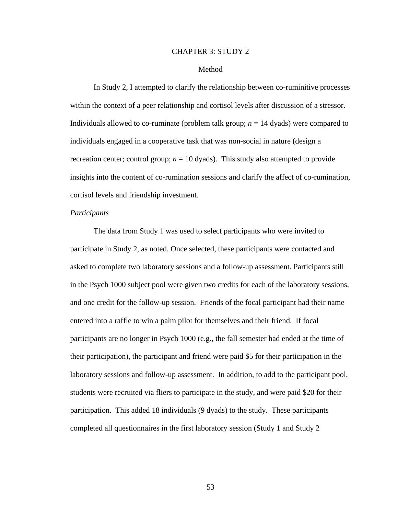#### CHAPTER 3: STUDY 2

#### Method

In Study 2, I attempted to clarify the relationship between co-ruminitive processes within the context of a peer relationship and cortisol levels after discussion of a stressor. Individuals allowed to co-ruminate (problem talk group; *n* = 14 dyads) were compared to individuals engaged in a cooperative task that was non-social in nature (design a recreation center; control group;  $n = 10$  dyads). This study also attempted to provide insights into the content of co-rumination sessions and clarify the affect of co-rumination, cortisol levels and friendship investment.

### *Participants*

 The data from Study 1 was used to select participants who were invited to participate in Study 2, as noted. Once selected, these participants were contacted and asked to complete two laboratory sessions and a follow-up assessment. Participants still in the Psych 1000 subject pool were given two credits for each of the laboratory sessions, and one credit for the follow-up session. Friends of the focal participant had their name entered into a raffle to win a palm pilot for themselves and their friend. If focal participants are no longer in Psych 1000 (e.g., the fall semester had ended at the time of their participation), the participant and friend were paid \$5 for their participation in the laboratory sessions and follow-up assessment. In addition, to add to the participant pool, students were recruited via fliers to participate in the study, and were paid \$20 for their participation. This added 18 individuals (9 dyads) to the study. These participants completed all questionnaires in the first laboratory session (Study 1 and Study 2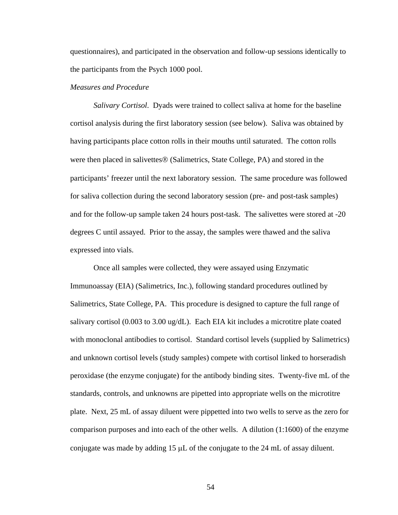questionnaires), and participated in the observation and follow-up sessions identically to the participants from the Psych 1000 pool.

## *Measures and Procedure*

*Salivary Cortisol*. Dyads were trained to collect saliva at home for the baseline cortisol analysis during the first laboratory session (see below). Saliva was obtained by having participants place cotton rolls in their mouths until saturated. The cotton rolls were then placed in salivettes® (Salimetrics, State College, PA) and stored in the participants' freezer until the next laboratory session. The same procedure was followed for saliva collection during the second laboratory session (pre- and post-task samples) and for the follow-up sample taken 24 hours post-task. The salivettes were stored at -20 degrees C until assayed. Prior to the assay, the samples were thawed and the saliva expressed into vials.

 Once all samples were collected, they were assayed using Enzymatic Immunoassay (EIA) (Salimetrics, Inc.), following standard procedures outlined by Salimetrics, State College, PA. This procedure is designed to capture the full range of salivary cortisol (0.003 to 3.00 ug/dL). Each EIA kit includes a microtitre plate coated with monoclonal antibodies to cortisol. Standard cortisol levels (supplied by Salimetrics) and unknown cortisol levels (study samples) compete with cortisol linked to horseradish peroxidase (the enzyme conjugate) for the antibody binding sites. Twenty-five mL of the standards, controls, and unknowns are pipetted into appropriate wells on the microtitre plate. Next, 25 mL of assay diluent were pippetted into two wells to serve as the zero for comparison purposes and into each of the other wells. A dilution (1:1600) of the enzyme conjugate was made by adding 15 μL of the conjugate to the 24 mL of assay diluent.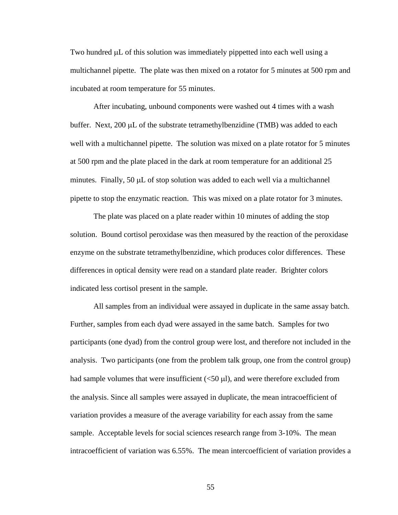Two hundred μL of this solution was immediately pippetted into each well using a multichannel pipette. The plate was then mixed on a rotator for 5 minutes at 500 rpm and incubated at room temperature for 55 minutes.

After incubating, unbound components were washed out 4 times with a wash buffer. Next, 200 μL of the substrate tetramethylbenzidine (TMB) was added to each well with a multichannel pipette. The solution was mixed on a plate rotator for 5 minutes at 500 rpm and the plate placed in the dark at room temperature for an additional 25 minutes. Finally,  $50 \mu L$  of stop solution was added to each well via a multichannel pipette to stop the enzymatic reaction. This was mixed on a plate rotator for 3 minutes.

The plate was placed on a plate reader within 10 minutes of adding the stop solution. Bound cortisol peroxidase was then measured by the reaction of the peroxidase enzyme on the substrate tetramethylbenzidine, which produces color differences. These differences in optical density were read on a standard plate reader. Brighter colors indicated less cortisol present in the sample.

All samples from an individual were assayed in duplicate in the same assay batch. Further, samples from each dyad were assayed in the same batch. Samples for two participants (one dyad) from the control group were lost, and therefore not included in the analysis. Two participants (one from the problem talk group, one from the control group) had sample volumes that were insufficient  $(<50 \mu l$ ), and were therefore excluded from the analysis. Since all samples were assayed in duplicate, the mean intracoefficient of variation provides a measure of the average variability for each assay from the same sample. Acceptable levels for social sciences research range from 3-10%. The mean intracoefficient of variation was 6.55%. The mean intercoefficient of variation provides a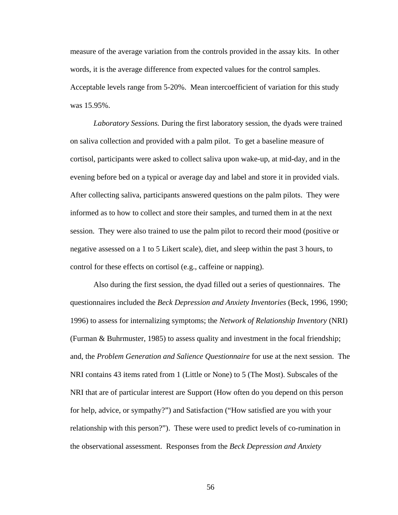measure of the average variation from the controls provided in the assay kits. In other words, it is the average difference from expected values for the control samples. Acceptable levels range from 5-20%. Mean intercoefficient of variation for this study was 15.95%.

*Laboratory Sessions.* During the first laboratory session, the dyads were trained on saliva collection and provided with a palm pilot. To get a baseline measure of cortisol, participants were asked to collect saliva upon wake-up, at mid-day, and in the evening before bed on a typical or average day and label and store it in provided vials. After collecting saliva, participants answered questions on the palm pilots. They were informed as to how to collect and store their samples, and turned them in at the next session. They were also trained to use the palm pilot to record their mood (positive or negative assessed on a 1 to 5 Likert scale), diet, and sleep within the past 3 hours, to control for these effects on cortisol (e.g., caffeine or napping).

Also during the first session, the dyad filled out a series of questionnaires. The questionnaires included the *Beck Depression and Anxiety Inventories* (Beck, 1996, 1990; 1996) to assess for internalizing symptoms; the *Network of Relationship Inventory* (NRI) (Furman & Buhrmuster, 1985) to assess quality and investment in the focal friendship; and, the *Problem Generation and Salience Questionnaire* for use at the next session. The NRI contains 43 items rated from 1 (Little or None) to 5 (The Most). Subscales of the NRI that are of particular interest are Support (How often do you depend on this person for help, advice, or sympathy?") and Satisfaction ("How satisfied are you with your relationship with this person?"). These were used to predict levels of co-rumination in the observational assessment. Responses from the *Beck Depression and Anxiety*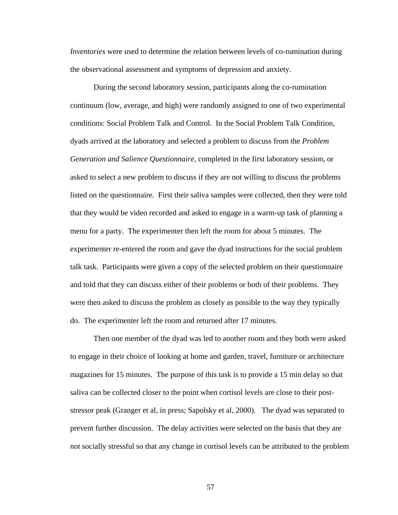*Inventories* were used to determine the relation between levels of co-rumination during the observational assessment and symptoms of depression and anxiety.

During the second laboratory session, participants along the co-rumination continuum (low, average, and high) were randomly assigned to one of two experimental conditions: Social Problem Talk and Control. In the Social Problem Talk Condition, dyads arrived at the laboratory and selected a problem to discuss from the *Problem Generation and Salience Questionnaire*, completed in the first laboratory session, or asked to select a new problem to discuss if they are not willing to discuss the problems listed on the questionnaire. First their saliva samples were collected, then they were told that they would be video recorded and asked to engage in a warm-up task of planning a menu for a party. The experimenter then left the room for about 5 minutes. The experimenter re-entered the room and gave the dyad instructions for the social problem talk task. Participants were given a copy of the selected problem on their questionnaire and told that they can discuss either of their problems or both of their problems. They were then asked to discuss the problem as closely as possible to the way they typically do. The experimenter left the room and returned after 17 minutes.

Then one member of the dyad was led to another room and they both were asked to engage in their choice of looking at home and garden, travel, furniture or architecture magazines for 15 minutes. The purpose of this task is to provide a 15 min delay so that saliva can be collected closer to the point when cortisol levels are close to their poststressor peak (Granger et al, in press; Sapolsky et al, 2000). The dyad was separated to prevent further discussion. The delay activities were selected on the basis that they are *not* socially stressful so that any change in cortisol levels can be attributed to the problem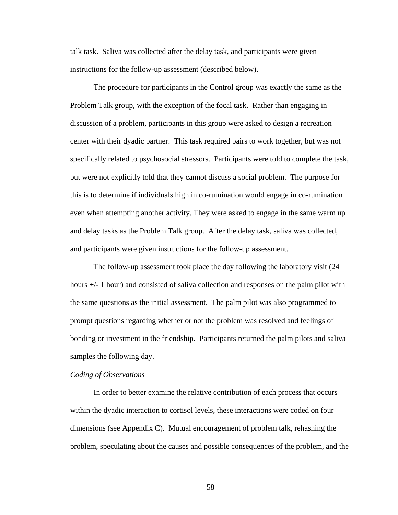talk task. Saliva was collected after the delay task, and participants were given instructions for the follow-up assessment (described below).

 The procedure for participants in the Control group was exactly the same as the Problem Talk group, with the exception of the focal task. Rather than engaging in discussion of a problem, participants in this group were asked to design a recreation center with their dyadic partner. This task required pairs to work together, but was not specifically related to psychosocial stressors. Participants were told to complete the task, but were not explicitly told that they cannot discuss a social problem. The purpose for this is to determine if individuals high in co-rumination would engage in co-rumination even when attempting another activity. They were asked to engage in the same warm up and delay tasks as the Problem Talk group. After the delay task, saliva was collected, and participants were given instructions for the follow-up assessment.

 The follow-up assessment took place the day following the laboratory visit (24 hours +/- 1 hour) and consisted of saliva collection and responses on the palm pilot with the same questions as the initial assessment. The palm pilot was also programmed to prompt questions regarding whether or not the problem was resolved and feelings of bonding or investment in the friendship. Participants returned the palm pilots and saliva samples the following day.

#### *Coding of Observations*

 In order to better examine the relative contribution of each process that occurs within the dyadic interaction to cortisol levels, these interactions were coded on four dimensions (see Appendix C). Mutual encouragement of problem talk, rehashing the problem, speculating about the causes and possible consequences of the problem, and the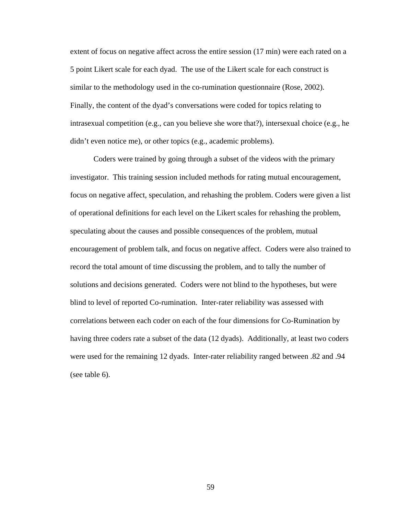extent of focus on negative affect across the entire session (17 min) were each rated on a 5 point Likert scale for each dyad. The use of the Likert scale for each construct is similar to the methodology used in the co-rumination questionnaire (Rose, 2002). Finally, the content of the dyad's conversations were coded for topics relating to intrasexual competition (e.g., can you believe she wore that?), intersexual choice (e.g., he didn't even notice me), or other topics (e.g., academic problems).

 Coders were trained by going through a subset of the videos with the primary investigator. This training session included methods for rating mutual encouragement, focus on negative affect, speculation, and rehashing the problem. Coders were given a list of operational definitions for each level on the Likert scales for rehashing the problem, speculating about the causes and possible consequences of the problem, mutual encouragement of problem talk, and focus on negative affect. Coders were also trained to record the total amount of time discussing the problem, and to tally the number of solutions and decisions generated. Coders were not blind to the hypotheses, but were blind to level of reported Co-rumination. Inter-rater reliability was assessed with correlations between each coder on each of the four dimensions for Co-Rumination by having three coders rate a subset of the data (12 dyads). Additionally, at least two coders were used for the remaining 12 dyads. Inter-rater reliability ranged between .82 and .94 (see table 6).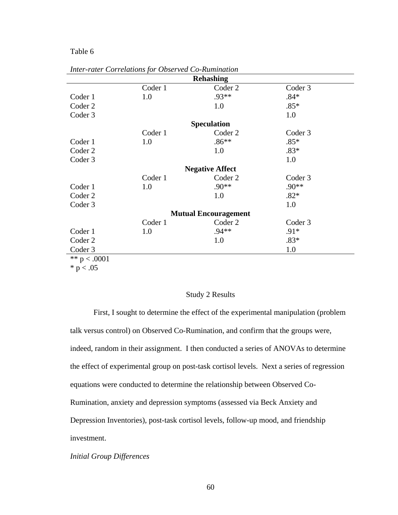## Table 6

|                | <b>Rehashing</b> |                             |         |  |  |  |
|----------------|------------------|-----------------------------|---------|--|--|--|
|                | Coder 1          | Coder 2                     | Coder 3 |  |  |  |
| Coder 1        | 1.0              | $.93**$                     | $.84*$  |  |  |  |
| Coder 2        |                  | 1.0                         | $.85*$  |  |  |  |
| Coder 3        |                  |                             | 1.0     |  |  |  |
|                |                  | <b>Speculation</b>          |         |  |  |  |
|                | Coder 1          | Coder 2                     | Coder 3 |  |  |  |
| Coder 1        | 1.0              | $.86**$                     | $.85*$  |  |  |  |
| Coder 2        |                  | 1.0                         | $.83*$  |  |  |  |
| Coder 3        |                  |                             | 1.0     |  |  |  |
|                |                  | <b>Negative Affect</b>      |         |  |  |  |
|                | Coder 1          | Coder 2                     | Coder 3 |  |  |  |
| Coder 1        | 1.0              | $.90**$                     | .90**   |  |  |  |
| Coder 2        |                  | 1.0                         | $.82*$  |  |  |  |
| Coder 3        |                  |                             | 1.0     |  |  |  |
|                |                  | <b>Mutual Encouragement</b> |         |  |  |  |
|                | Coder 1          | Coder 2                     | Coder 3 |  |  |  |
| Coder 1        | 1.0              | $.94**$                     | $.91*$  |  |  |  |
| Coder 2        |                  | 1.0                         | $.83*$  |  |  |  |
| Coder 3        |                  |                             | 1.0     |  |  |  |
| ** $p < .0001$ |                  |                             |         |  |  |  |
| $* p < .05$    |                  |                             |         |  |  |  |

*Inter-rater Correlations for Observed Co-Rumination* 

## Study 2 Results

First, I sought to determine the effect of the experimental manipulation (problem talk versus control) on Observed Co-Rumination, and confirm that the groups were, indeed, random in their assignment. I then conducted a series of ANOVAs to determine the effect of experimental group on post-task cortisol levels. Next a series of regression equations were conducted to determine the relationship between Observed Co-Rumination, anxiety and depression symptoms (assessed via Beck Anxiety and Depression Inventories), post-task cortisol levels, follow-up mood, and friendship investment.

#### *Initial Group Differences*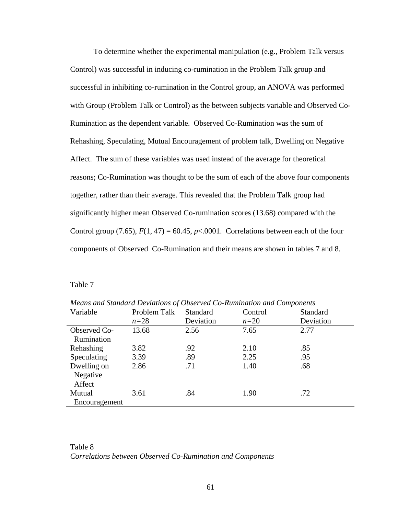To determine whether the experimental manipulation (e.g., Problem Talk versus Control) was successful in inducing co-rumination in the Problem Talk group and successful in inhibiting co-rumination in the Control group, an ANOVA was performed with Group (Problem Talk or Control) as the between subjects variable and Observed Co-Rumination as the dependent variable. Observed Co-Rumination was the sum of Rehashing, Speculating, Mutual Encouragement of problem talk, Dwelling on Negative Affect. The sum of these variables was used instead of the average for theoretical reasons; Co-Rumination was thought to be the sum of each of the above four components together, rather than their average. This revealed that the Problem Talk group had significantly higher mean Observed Co-rumination scores (13.68) compared with the Control group (7.65),  $F(1, 47) = 60.45$ ,  $p<0.001$ . Correlations between each of the four components of Observed Co-Rumination and their means are shown in tables 7 and 8.

Table 7

| Variable      | Problem Talk | <b>Standard</b> | Control | Standard  |
|---------------|--------------|-----------------|---------|-----------|
|               | $n=28$       | Deviation       | $n=20$  | Deviation |
| Observed Co-  | 13.68        | 2.56            | 7.65    | 2.77      |
| Rumination    |              |                 |         |           |
| Rehashing     | 3.82         | .92             | 2.10    | .85       |
| Speculating   | 3.39         | .89             | 2.25    | .95       |
| Dwelling on   | 2.86         | .71             | 1.40    | .68       |
| Negative      |              |                 |         |           |
| Affect        |              |                 |         |           |
| Mutual        | 3.61         | .84             | 1.90    | .72       |
| Encouragement |              |                 |         |           |

*Means and Standard Deviations of Observed Co-Rumination and Components* 

Table 8 *Correlations between Observed Co-Rumination and Components*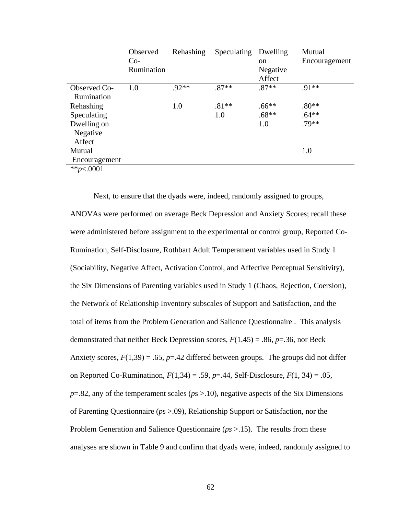|               | Observed   | Rehashing | Speculating | Dwelling      | Mutual        |
|---------------|------------|-----------|-------------|---------------|---------------|
|               | $Co-$      |           |             | <sub>on</sub> | Encouragement |
|               | Rumination |           |             | Negative      |               |
|               |            |           |             | Affect        |               |
| Observed Co-  | 1.0        | $.92**$   | $.87**$     | $.87**$       | $.91**$       |
| Rumination    |            |           |             |               |               |
| Rehashing     |            | 1.0       | $.81**$     | $.66**$       | $.80**$       |
| Speculating   |            |           | 1.0         | $.68**$       | $.64**$       |
| Dwelling on   |            |           |             | 1.0           | $.79**$       |
| Negative      |            |           |             |               |               |
| Affect        |            |           |             |               |               |
| Mutual        |            |           |             |               | 1.0           |
| Encouragement |            |           |             |               |               |
| ** $p<.0001$  |            |           |             |               |               |

Next, to ensure that the dyads were, indeed, randomly assigned to groups, ANOVAs were performed on average Beck Depression and Anxiety Scores; recall these were administered before assignment to the experimental or control group, Reported Co-Rumination, Self-Disclosure, Rothbart Adult Temperament variables used in Study 1 (Sociability, Negative Affect, Activation Control, and Affective Perceptual Sensitivity), the Six Dimensions of Parenting variables used in Study 1 (Chaos, Rejection, Coersion), the Network of Relationship Inventory subscales of Support and Satisfaction, and the total of items from the Problem Generation and Salience Questionnaire . This analysis demonstrated that neither Beck Depression scores, *F*(1,45) = .86, *p*=.36, nor Beck Anxiety scores,  $F(1,39) = .65$ ,  $p = .42$  differed between groups. The groups did not differ on Reported Co-Ruminatinon, *F*(1,34) = .59, *p*=.44, Self-Disclosure, *F*(1, 34) = .05, *p*=.82, any of the temperament scales (*ps* >.10), negative aspects of the Six Dimensions of Parenting Questionnaire (*p*s >.09), Relationship Support or Satisfaction, nor the Problem Generation and Salience Questionnaire (*ps* >.15). The results from these analyses are shown in Table 9 and confirm that dyads were, indeed, randomly assigned to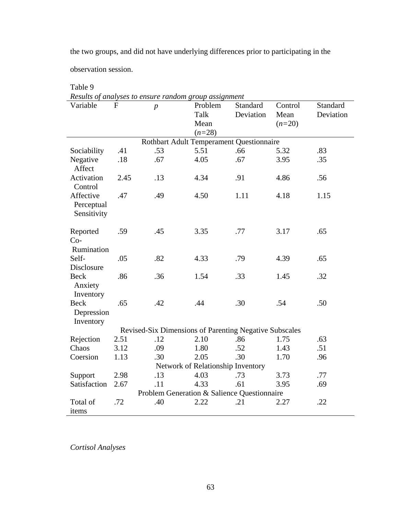the two groups, and did not have underlying differences prior to participating in the

observation session.

| Results of analyses to ensure random group assignment  |      |                  |          |           |          |           |
|--------------------------------------------------------|------|------------------|----------|-----------|----------|-----------|
| Variable                                               | F    | $\boldsymbol{p}$ | Problem  | Standard  | Control  | Standard  |
|                                                        |      |                  | Talk     | Deviation | Mean     | Deviation |
|                                                        |      |                  | Mean     |           | $(n=20)$ |           |
|                                                        |      |                  | $(n=28)$ |           |          |           |
| Rothbart Adult Temperament Questionnaire               |      |                  |          |           |          |           |
| Sociability                                            | .41  | .53              | 5.51     | .66       | 5.32     | .83       |
| Negative<br>Affect                                     | .18  | .67              | 4.05     | .67       | 3.95     | .35       |
| Activation<br>Control                                  | 2.45 | .13              | 4.34     | .91       | 4.86     | .56       |
| Affective<br>Perceptual<br>Sensitivity                 | .47  | .49              | 4.50     | 1.11      | 4.18     | 1.15      |
| Reported<br>$Co-$<br>Rumination                        | .59  | .45              | 3.35     | .77       | 3.17     | .65       |
| Self-                                                  | .05  | .82              | 4.33     | .79       | 4.39     | .65       |
| Disclosure                                             |      |                  |          |           |          |           |
| Beck<br>Anxiety<br>Inventory                           | .86  | .36              | 1.54     | .33       | 1.45     | .32       |
| Beck<br>Depression<br>Inventory                        | .65  | .42              | .44      | .30       | .54      | .50       |
| Revised-Six Dimensions of Parenting Negative Subscales |      |                  |          |           |          |           |
| Rejection                                              | 2.51 | .12              | 2.10     | .86       | 1.75     | .63       |
| Chaos                                                  | 3.12 | .09              | 1.80     | .52       | 1.43     | .51       |
| Coersion                                               | 1.13 | .30              | 2.05     | .30       | 1.70     | .96       |
| Network of Relationship Inventory                      |      |                  |          |           |          |           |
| Support                                                | 2.98 | .13              | 4.03     | .73       | 3.73     | .77       |
| Satisfaction                                           | 2.67 | .11              | 4.33     | .61       | 3.95     | .69       |
| Problem Generation & Salience Questionnaire            |      |                  |          |           |          |           |
| Total of<br>items                                      | .72  | .40              | 2.22     | .21       | 2.27     | .22       |

Table 9

*Cortisol Analyses*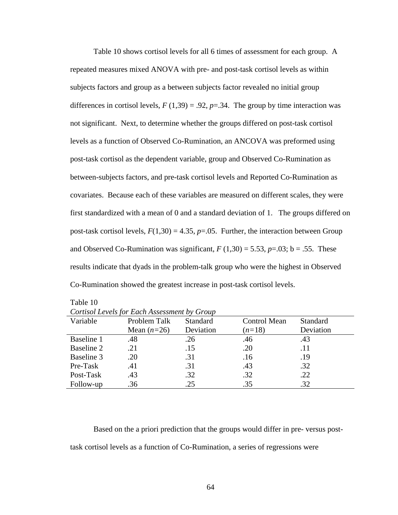Table 10 shows cortisol levels for all 6 times of assessment for each group. A repeated measures mixed ANOVA with pre- and post-task cortisol levels as within subjects factors and group as a between subjects factor revealed no initial group differences in cortisol levels,  $F(1,39) = .92$ ,  $p = .34$ . The group by time interaction was not significant. Next, to determine whether the groups differed on post-task cortisol levels as a function of Observed Co-Rumination, an ANCOVA was preformed using post-task cortisol as the dependent variable, group and Observed Co-Rumination as between-subjects factors, and pre-task cortisol levels and Reported Co-Rumination as covariates. Because each of these variables are measured on different scales, they were first standardized with a mean of 0 and a standard deviation of 1. The groups differed on post-task cortisol levels,  $F(1,30) = 4.35$ ,  $p=.05$ . Further, the interaction between Group and Observed Co-Rumination was significant,  $F(1,30) = 5.53$ ,  $p = .03$ ; b = .55. These results indicate that dyads in the problem-talk group who were the highest in Observed Co-Rumination showed the greatest increase in post-task cortisol levels.

Table 10

| Variable   | Problem Talk  | Standard  | <b>Control Mean</b> | <b>Standard</b> |
|------------|---------------|-----------|---------------------|-----------------|
|            | Mean $(n=26)$ | Deviation | $(n=18)$            | Deviation       |
| Baseline 1 | .48           | .26       | .46                 | .43             |
| Baseline 2 | .21           | .15       | .20                 | .11             |
| Baseline 3 | .20           | .31       | .16                 | .19             |
| Pre-Task   | .41           | .31       | .43                 | .32             |
| Post-Task  | .43           | .32       | .32                 | .22             |
| Follow-up  | .36           | .25       | .35                 | .32             |

|  | Cortisol Levels for Each Assessment by Group |  |
|--|----------------------------------------------|--|
|--|----------------------------------------------|--|

Based on the a priori prediction that the groups would differ in pre- versus posttask cortisol levels as a function of Co-Rumination, a series of regressions were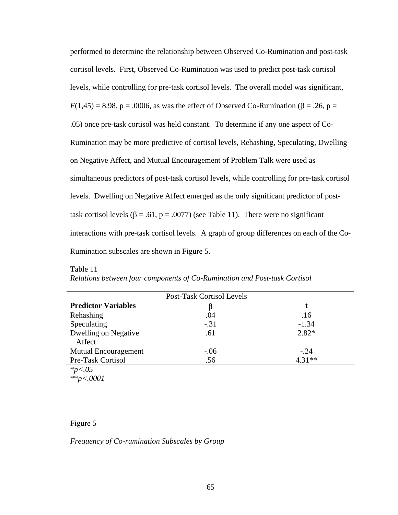performed to determine the relationship between Observed Co-Rumination and post-task cortisol levels. First, Observed Co-Rumination was used to predict post-task cortisol levels, while controlling for pre-task cortisol levels. The overall model was significant,  $F(1,45) = 8.98$ , p = .0006, as was the effect of Observed Co-Rumination ( $\beta$  = .26, p = .05) once pre-task cortisol was held constant. To determine if any one aspect of Co-Rumination may be more predictive of cortisol levels, Rehashing, Speculating, Dwelling on Negative Affect, and Mutual Encouragement of Problem Talk were used as simultaneous predictors of post-task cortisol levels, while controlling for pre-task cortisol levels. Dwelling on Negative Affect emerged as the only significant predictor of posttask cortisol levels ( $\beta$  = .61, p = .0077) (see Table 11). There were no significant interactions with pre-task cortisol levels. A graph of group differences on each of the Co-Rumination subscales are shown in Figure 5.

| Post-Task Cortisol Levels     |        |          |  |  |
|-------------------------------|--------|----------|--|--|
| <b>Predictor Variables</b>    | β      |          |  |  |
| Rehashing                     | .04    | .16      |  |  |
| Speculating                   | $-.31$ | $-1.34$  |  |  |
| Dwelling on Negative          | .61    | $2.82*$  |  |  |
| Affect                        |        |          |  |  |
| Mutual Encouragement          | $-.06$ | $-.24$   |  |  |
| Pre-Task Cortisol             | .56    | $4.31**$ |  |  |
| * $p < .05$<br>** $p < .0001$ |        |          |  |  |
|                               |        |          |  |  |

### Table 11

|  |  |  | Relations between four components of Co-Rumination and Post-task Cortisol |
|--|--|--|---------------------------------------------------------------------------|
|--|--|--|---------------------------------------------------------------------------|

## Figure 5

*Frequency of Co-rumination Subscales by Group*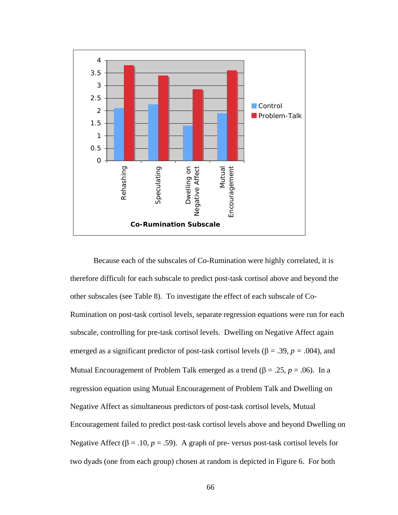

Because each of the subscales of Co-Rumination were highly correlated, it is therefore difficult for each subscale to predict post-task cortisol above and beyond the other subscales (see Table 8). To investigate the effect of each subscale of Co-Rumination on post-task cortisol levels, separate regression equations were run for each subscale, controlling for pre-task cortisol levels. Dwelling on Negative Affect again emerged as a significant predictor of post-task cortisol levels ( $\beta$  = .39, *p* = .004), and Mutual Encouragement of Problem Talk emerged as a trend (β = .25,  $p = .06$ ). In a regression equation using Mutual Encouragement of Problem Talk and Dwelling on Negative Affect as simultaneous predictors of post-task cortisol levels, Mutual Encouragement failed to predict post-task cortisol levels above and beyond Dwelling on Negative Affect ( $\beta$  = .10,  $p$  = .59). A graph of pre-versus post-task cortisol levels for two dyads (one from each group) chosen at random is depicted in Figure 6. For both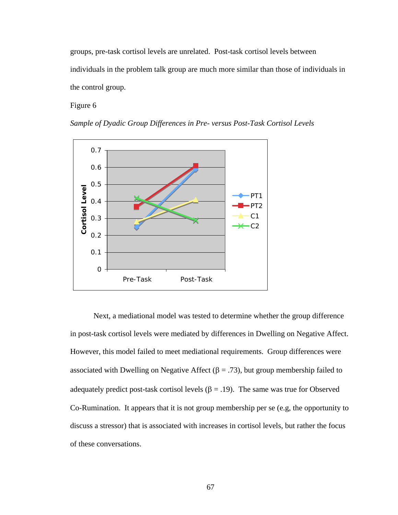groups, pre-task cortisol levels are unrelated. Post-task cortisol levels between individuals in the problem talk group are much more similar than those of individuals in the control group.

Figure 6



*Sample of Dyadic Group Differences in Pre- versus Post-Task Cortisol Levels*

Next, a mediational model was tested to determine whether the group difference in post-task cortisol levels were mediated by differences in Dwelling on Negative Affect. Co-Rumination. It appears that it is not group membership per se (e.g, the opportunity to However, this model failed to meet mediational requirements. Group differences were associated with Dwelling on Negative Affect ( $\beta = .73$ ), but group membership failed to adequately predict post-task cortisol levels ( $\beta$  = .19). The same was true for Observed discuss a stressor) that is associated with increases in cortisol levels, but rather the focus of these conversations.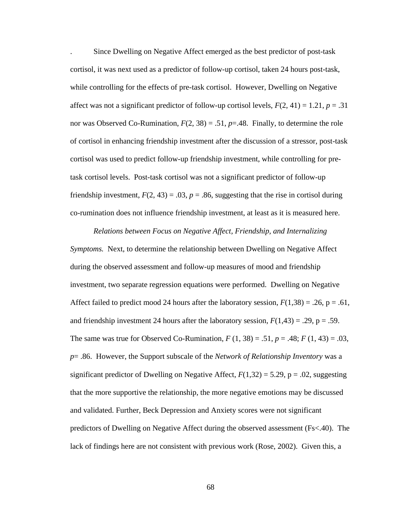. Since Dwelling on Negative Affect emerged as the best predictor of post-task cortisol, it was next used as a predictor of follow-up cortisol, taken 24 hours post-task, while controlling for the effects of pre-task cortisol. However, Dwelling on Negative affect was not a significant predictor of follow-up cortisol levels,  $F(2, 41) = 1.21$ ,  $p = .31$ nor was Observed Co-Rumination,  $F(2, 38) = .51$ ,  $p = .48$ . Finally, to determine the role of cortisol in enhancing friendship investment after the discussion of a stressor, post-task cortisol was used to predict follow-up friendship investment, while controlling for pretask cortisol levels. Post-task cortisol was not a significant predictor of follow-up friendship investment,  $F(2, 43) = .03$ ,  $p = .86$ , suggesting that the rise in cortisol during co-rumination does not influence friendship investment, at least as it is measured here.

*Relations between Focus on Negative Affect, Friendship, and Internalizing Symptoms.* Next, to determine the relationship between Dwelling on Negative Affect during the observed assessment and follow-up measures of mood and friendship investment, two separate regression equations were performed. Dwelling on Negative Affect failed to predict mood 24 hours after the laboratory session,  $F(1,38) = .26$ , p = .61, and friendship investment 24 hours after the laboratory session,  $F(1,43) = .29$ ,  $p = .59$ . The same was true for Observed Co-Rumination,  $F(1, 38) = .51$ ,  $p = .48$ ;  $F(1, 43) = .03$ , *p*= .86. However, the Support subscale of the *Network of Relationship Inventory* was a significant predictor of Dwelling on Negative Affect,  $F(1,32) = 5.29$ ,  $p = .02$ , suggesting that the more supportive the relationship, the more negative emotions may be discussed and validated. Further, Beck Depression and Anxiety scores were not significant predictors of Dwelling on Negative Affect during the observed assessment (Fs<.40). The lack of findings here are not consistent with previous work (Rose, 2002). Given this, a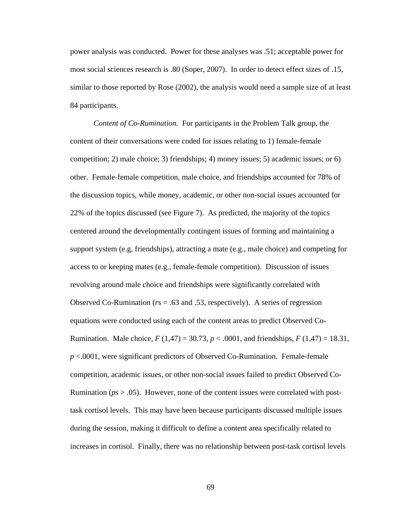power analysis was conducted. Power for these analyses was .51; acceptable power for most social sciences research is .80 (Soper, 2007). In order to detect effect sizes of .15, similar to those reported by Rose (2002), the analysis would need a sample size of at least 84 participants.

*Content of Co-Rumination.* For participants in the Problem Talk group, the content of their conversations were coded for issues relating to 1) female-female competition; 2) male choice; 3) friendships; 4) money issues; 5) academic issues; or 6) other. Female-female competition, male choice, and friendships accounted for 78% of the discussion topics, while money, academic, or other non-social issues accounted for 22% of the topics discussed (see Figure 7). As predicted, the majority of the topics centered around the developmentally contingent issues of forming and maintaining a support system (e.g, friendships), attracting a mate (e.g., male choice) and competing for access to or keeping mates (e.g., female-female competition). Discussion of issues revolving around male choice and friendships were significantly correlated with Observed Co-Rumination (*r*s = .63 and .53, respectively). A series of regression equations were conducted using each of the content areas to predict Observed Co-Rumination. Male choice,  $F(1,47) = 30.73$ ,  $p < .0001$ , and friendships,  $F(1,47) = 18.31$ , *p* <.0001, were significant predictors of Observed Co-Rumination. Female-female competition, academic issues, or other non-social issues failed to predict Observed Co-Rumination (*p*s > .05). However, none of the content issues were correlated with posttask cortisol levels. This may have been because participants discussed multiple issues during the session, making it difficult to define a content area specifically related to increases in cortisol. Finally, there was no relationship between post-task cortisol levels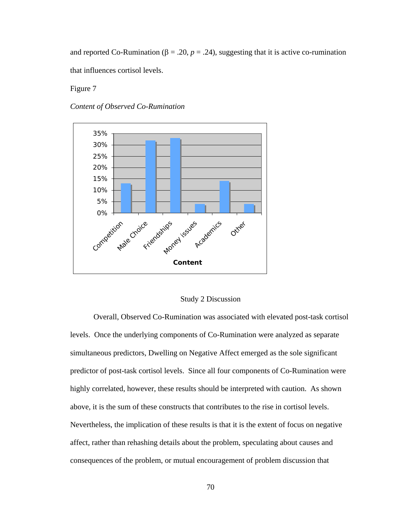and reported Co-Rumination ( $\beta = 0.20$ ,  $p = 0.24$ ), suggesting that it is active co-rumination that influences cortisol levels.

Figure 7





#### Study 2 Discussion

Overall, Observed Co-Rumination was associated with elevated post-task cortisol Nevertheless, the implication of these results is that it is the extent of focus on negative levels. Once the underlying components of Co-Rumination were analyzed as separate simultaneous predictors, Dwelling on Negative Affect emerged as the sole significant predictor of post-task cortisol levels. Since all four components of Co-Rumination were highly correlated, however, these results should be interpreted with caution. As shown above, it is the sum of these constructs that contributes to the rise in cortisol levels. affect, rather than rehashing details about the problem, speculating about causes and consequences of the problem, or mutual encouragement of problem discussion that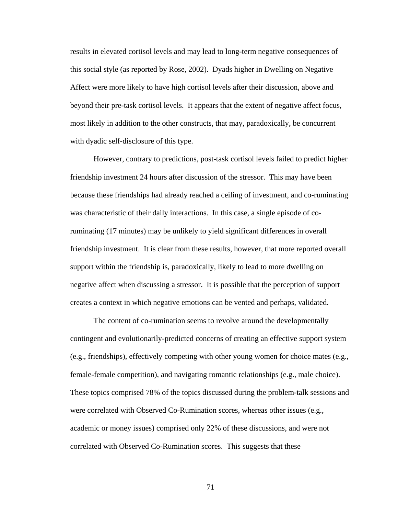results in elevated cortisol levels and may lead to long-term negative consequences o f this social style (as reported by Rose, 2002). Dyads higher in Dwelling on Negative Affect were more likely to have high cortisol levels after their discussion, above and beyond their pre-task cortisol levels. It appears that the extent of negative affect focu s, most likely in addition to the other constructs, that may, paradoxically, be concurrent with dyadic self-disclosure of this type.

However, contrary to predictions, post-task cortisol levels failed to predict higher friends hip investment 24 hours after discussion of the stressor. This may have been because these friendships had already reached a ceiling of investment, and co-ruminating ruminating (17 minutes) may be unlikely to yield significant differences in overall friendship investment. It is clear from these results, however, that more reported overall negative affect when discussing a stressor. It is possible that the perception of support was characteristic of their daily interactions. In this case, a single episode of cosupport within the friendship is, paradoxically, likely to lead to more dwelling on creates a context in which negative emotions can be vented and perhaps, validated.

contingent and evolutionarily-predicted concerns of creating an effective support system These topics comprised 78% of the topics discussed during the problem-talk sessions and The content of co-rumination seems to revolve around the developmentally (e.g., friendships), effectively competing with other young women for choice mates (e.g., female-female competition), and navigating romantic relationships (e.g., male choice). were correlated with Observed Co-Rumination scores, whereas other issues (e.g., academic or money issues) comprised only 22% of these discussions, and were not correlated with Observed Co-Rumination scores. This suggests that these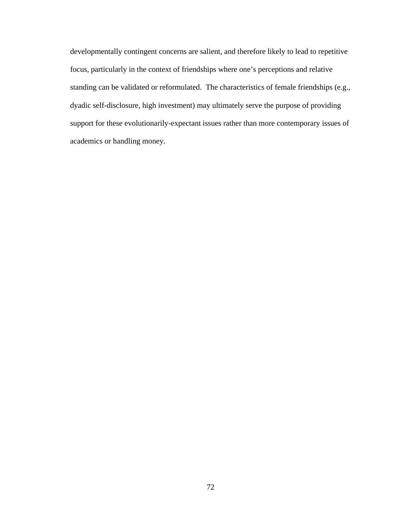developmentally contingent concerns are salient, and therefore likely to lead to repetitive focus, particularly in the context of friendships where one's perceptions and relative standing can be validated or reformulated. The characteristics of female friendships ( e.g., dyadic self-disclosure, high investment) may ultimately serve the purpose of providing support for these evolutionarily-expectant issues rather than more contemporary issues o f academics or handling money.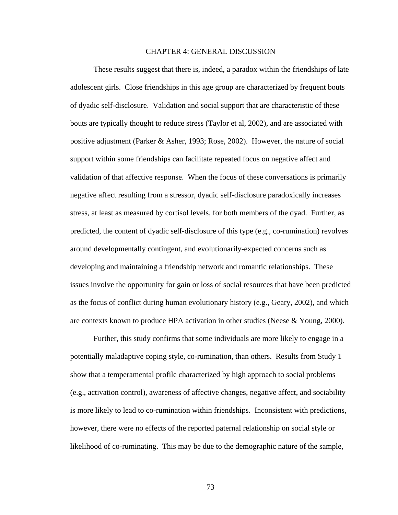#### CHAPTER 4: GENERAL DISCUSSION

 These results suggest that there is, indeed, a paradox within the friendships of late adolescent girls. Close friendships in this age group are characterized by frequent bouts of dyadic self-disclosure. Validation and social support that are characteristic of these bouts are typically thought to reduce stress (Taylor et al, 2002), and are associated with positive adjustment (Parker & Asher, 1993; Rose, 2002). However, the nature of social support within some friendships can facilitate repeated focus on negative affect and validation of that affective response. When the focus of these conversations is primarily negative affect resulting from a stressor, dyadic self-disclosure paradoxically increases stress, at least as measured by cortisol levels, for both members of the dyad. Further, as predicted, the content of dyadic self-disclosure of this type (e.g., co-rumination) revolves around developmentally contingent, and evolutionarily-expected concerns such as developing and maintaining a friendship network and romantic relationships. These issues involve the opportunity for gain or loss of social resources that have been predicted as the focus of conflict during human evolutionary history (e.g., Geary, 2002), and which are contexts known to produce HPA activation in other studies (Neese & Young, 2000).

 Further, this study confirms that some individuals are more likely to engage in a potentially maladaptive coping style, co-rumination, than others. Results from Study 1 show that a temperamental profile characterized by high approach to social problems (e.g., activation control), awareness of affective changes, negative affect, and sociability is more likely to lead to co-rumination within friendships. Inconsistent with predictions, however, there were no effects of the reported paternal relationship on social style or likelihood of co-ruminating. This may be due to the demographic nature of the sample,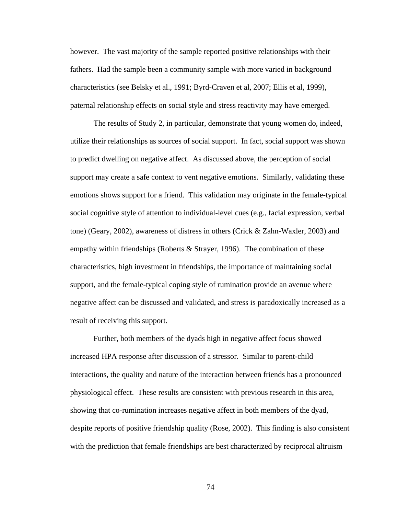however. The vast majority of the sample reported positive relationships with their fathers. Had the sample been a community sample with more varied in background characteristics (see Belsky et al., 1991; Byrd-Craven et al, 2007; Ellis et al, 1999), paternal relationship effects on social style and stress reactivity may have emerged.

 The results of Study 2, in particular, demonstrate that young women do, indeed, utilize their relationships as sources of social support. In fact, social support was shown to predict dwelling on negative affect. As discussed above, the perception of social support may create a safe context to vent negative emotions. Similarly, validating these emotions shows support for a friend. This validation may originate in the female-typical social cognitive style of attention to individual-level cues (e.g., facial expression, verbal tone) (Geary, 2002), awareness of distress in others (Crick & Zahn-Waxler, 2003) and empathy within friendships (Roberts & Strayer, 1996). The combination of these characteristics, high investment in friendships, the importance of maintaining social support, and the female-typical coping style of rumination provide an avenue where negative affect can be discussed and validated, and stress is paradoxically increased as a result of receiving this support.

Further, both members of the dyads high in negative affect focus showed increased HPA response after discussion of a stressor. Similar to parent-child interactions, the quality and nature of the interaction between friends has a pronounced physiological effect. These results are consistent with previous research in this area, showing that co-rumination increases negative affect in both members of the dyad, despite reports of positive friendship quality (Rose, 2002). This finding is also consistent with the prediction that female friendships are best characterized by reciprocal altruism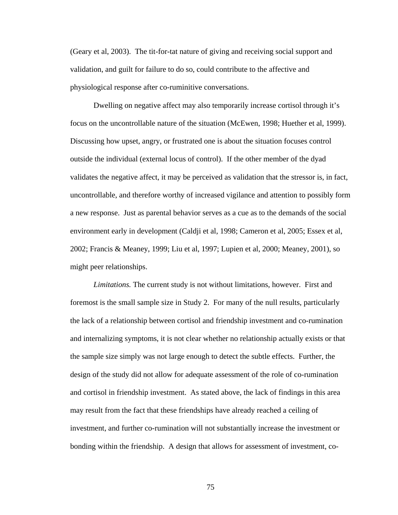(Geary et al, 2003). The tit-for-tat nature of giving and receiving social support and validation, and guilt for failure to do so, could contribute to the affective and physiological response after co-ruminitive conversations.

 Dwelling on negative affect may also temporarily increase cortisol through it's focus on the uncontrollable nature of the situation (McEwen, 1998; Huether et al, 1999). Discussing how upset, angry, or frustrated one is about the situation focuses control outside the individual (external locus of control). If the other member of the dyad validates the negative affect, it may be perceived as validation that the stressor is, in fact, uncontrollable, and therefore worthy of increased vigilance and attention to possibly form a new response. Just as parental behavior serves as a cue as to the demands of the social environment early in development (Caldji et al, 1998; Cameron et al, 2005; Essex et al, 2002; Francis & Meaney, 1999; Liu et al, 1997; Lupien et al, 2000; Meaney, 2001), so might peer relationships.

*Limitations.* The current study is not without limitations, however. First and foremost is the small sample size in Study 2. For many of the null results, particularly the lack of a relationship between cortisol and friendship investment and co-rumination and internalizing symptoms, it is not clear whether no relationship actually exists or that the sample size simply was not large enough to detect the subtle effects. Further, the design of the study did not allow for adequate assessment of the role of co-rumination and cortisol in friendship investment. As stated above, the lack of findings in this area may result from the fact that these friendships have already reached a ceiling of investment, and further co-rumination will not substantially increase the investment or bonding within the friendship. A design that allows for assessment of investment, co-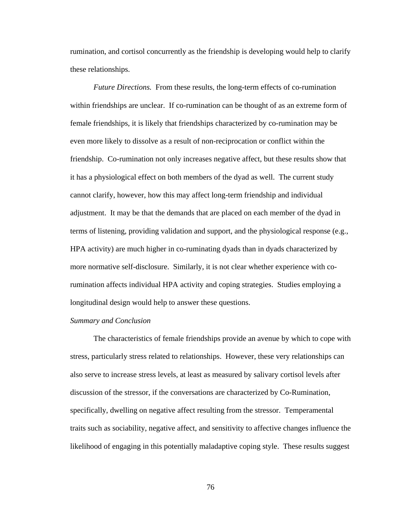rumination, and cortisol concurrently as the friendship is developing would help to clarify these relationships.

*Future Directions.* From these results, the long-term effects of co-rumination within friendships are unclear. If co-rumination can be thought of as an extreme form of female friendships, it is likely that friendships characterized by co-rumination may be even more likely to dissolve as a result of non-reciprocation or conflict within the friendship. Co-rumination not only increases negative affect, but these results show that it has a physiological effect on both members of the dyad as well. The current study cannot clarify, however, how this may affect long-term friendship and individual adjustment. It may be that the demands that are placed on each member of the dyad in terms of listening, providing validation and support, and the physiological response (e.g., HPA activity) are much higher in co-ruminating dyads than in dyads characterized by more normative self-disclosure. Similarly, it is not clear whether experience with corumination affects individual HPA activity and coping strategies. Studies employing a longitudinal design would help to answer these questions.

#### *Summary and Conclusion*

 The characteristics of female friendships provide an avenue by which to cope with stress, particularly stress related to relationships. However, these very relationships can also serve to increase stress levels, at least as measured by salivary cortisol levels after discussion of the stressor, if the conversations are characterized by Co-Rumination, specifically, dwelling on negative affect resulting from the stressor. Temperamental traits such as sociability, negative affect, and sensitivity to affective changes influence the likelihood of engaging in this potentially maladaptive coping style. These results suggest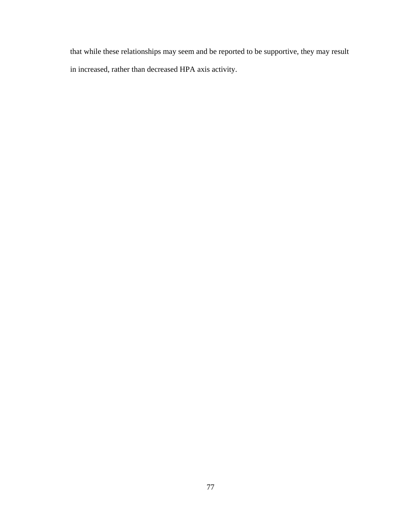that while these relationships may seem and be reported to be supportive, they may result in increased, rather than decreased HPA axis activity.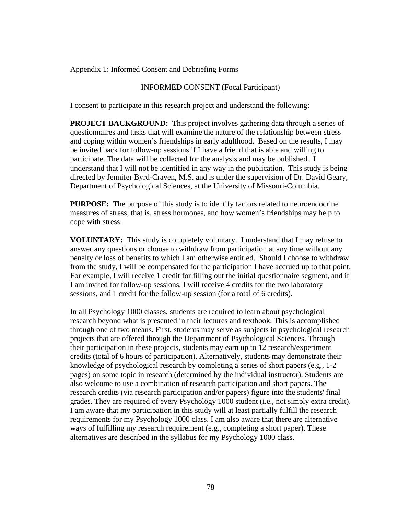Appendix 1: Informed Consent and Debriefing Forms

## INFORMED CONSENT (Focal Participant)

I consent to participate in this research project and understand the following:

**PROJECT BACKGROUND:** This project involves gathering data through a series of questionnaires and tasks that will examine the nature of the relationship between stress and coping within women's friendships in early adulthood. Based on the results, I may be invited back for follow-up sessions if I have a friend that is able and willing to participate. The data will be collected for the analysis and may be published. I understand that I will not be identified in any way in the publication. This study is being directed by Jennifer Byrd-Craven, M.S. and is under the supervision of Dr. David Geary, Department of Psychological Sciences, at the University of Missouri-Columbia.

**PURPOSE:** The purpose of this study is to identify factors related to neuroendocrine measures of stress, that is, stress hormones, and how women's friendships may help to cope with stress.

**VOLUNTARY:** This study is completely voluntary. I understand that I may refuse to answer any questions or choose to withdraw from participation at any time without any penalty or loss of benefits to which I am otherwise entitled. Should I choose to withdraw from the study, I will be compensated for the participation I have accrued up to that point. For example, I will receive 1 credit for filling out the initial questionnaire segment, and if I am invited for follow-up sessions, I will receive 4 credits for the two laboratory sessions, and 1 credit for the follow-up session (for a total of 6 credits).

In all Psychology 1000 classes, students are required to learn about psychological research beyond what is presented in their lectures and textbook. This is accomplished through one of two means. First, students may serve as subjects in psychological research projects that are offered through the Department of Psychological Sciences. Through their participation in these projects, students may earn up to 12 research/experiment credits (total of 6 hours of participation). Alternatively, students may demonstrate their knowledge of psychological research by completing a series of short papers (e.g., 1-2 pages) on some topic in research (determined by the individual instructor). Students are also welcome to use a combination of research participation and short papers. The research credits (via research participation and/or papers) figure into the students' final grades. They are required of every Psychology 1000 student (i.e., not simply extra credit). I am aware that my participation in this study will at least partially fulfill the research requirements for my Psychology 1000 class. I am also aware that there are alternative ways of fulfilling my research requirement (e.g., completing a short paper). These alternatives are described in the syllabus for my Psychology 1000 class.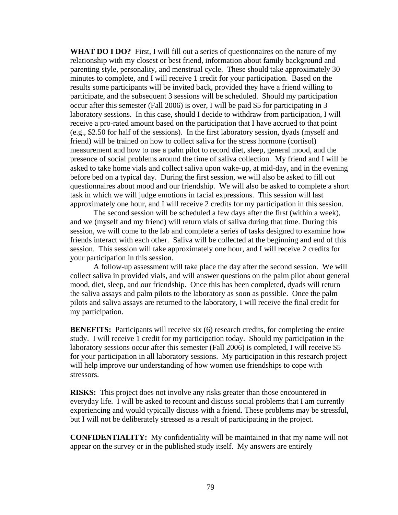**WHAT DO I DO?** First, I will fill out a series of questionnaires on the nature of my relationship with my closest or best friend, information about family background and parenting style, personality, and menstrual cycle. These should take approximately 30 minutes to complete, and I will receive 1 credit for your participation. Based on the results some participants will be invited back, provided they have a friend willing to participate, and the subsequent 3 sessions will be scheduled. Should my participation occur after this semester (Fall 2006) is over, I will be paid \$5 for participating in 3 laboratory sessions. In this case, should I decide to withdraw from participation, I will receive a pro-rated amount based on the participation that I have accrued to that point (e.g., \$2.50 for half of the sessions). In the first laboratory session, dyads (myself and friend) will be trained on how to collect saliva for the stress hormone (cortisol) measurement and how to use a palm pilot to record diet, sleep, general mood, and the presence of social problems around the time of saliva collection. My friend and I will be asked to take home vials and collect saliva upon wake-up, at mid-day, and in the evening before bed on a typical day. During the first session, we will also be asked to fill out questionnaires about mood and our friendship. We will also be asked to complete a short task in which we will judge emotions in facial expressions. This session will last approximately one hour, and I will receive 2 credits for my participation in this session.

 The second session will be scheduled a few days after the first (within a week), and we (myself and my friend) will return vials of saliva during that time. During this session, we will come to the lab and complete a series of tasks designed to examine how friends interact with each other. Saliva will be collected at the beginning and end of this session. This session will take approximately one hour, and I will receive 2 credits for your participation in this session.

 A follow-up assessment will take place the day after the second session. We will collect saliva in provided vials, and will answer questions on the palm pilot about general mood, diet, sleep, and our friendship. Once this has been completed, dyads will return the saliva assays and palm pilots to the laboratory as soon as possible. Once the palm pilots and saliva assays are returned to the laboratory, I will receive the final credit for my participation.

**BENEFITS:** Participants will receive six (6) research credits, for completing the entire study. I will receive 1 credit for my participation today. Should my participation in the laboratory sessions occur after this semester (Fall 2006) is completed, I will receive \$5 for your participation in all laboratory sessions. My participation in this research project will help improve our understanding of how women use friendships to cope with stressors.

**RISKS:** This project does not involve any risks greater than those encountered in everyday life. I will be asked to recount and discuss social problems that I am currently experiencing and would typically discuss with a friend. These problems may be stressful, but I will not be deliberately stressed as a result of participating in the project.

**CONFIDENTIALITY:** My confidentiality will be maintained in that my name will not appear on the survey or in the published study itself. My answers are entirely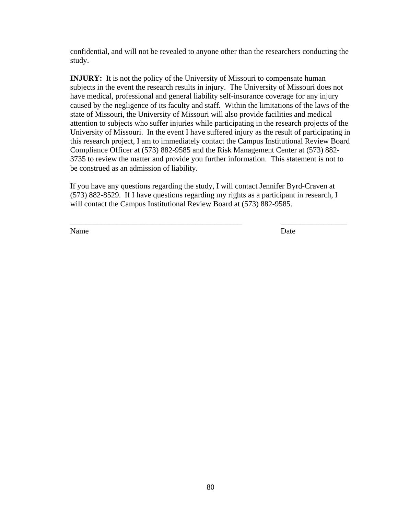confidential, and will not be revealed to anyone other than the researchers conducting the study.

**INJURY:** It is not the policy of the University of Missouri to compensate human subjects in the event the research results in injury. The University of Missouri does not have medical, professional and general liability self-insurance coverage for any injury caused by the negligence of its faculty and staff. Within the limitations of the laws of the state of Missouri, the University of Missouri will also provide facilities and medical attention to subjects who suffer injuries while participating in the research projects of the University of Missouri. In the event I have suffered injury as the result of participating in this research project, I am to immediately contact the Campus Institutional Review Board Compliance Officer at (573) 882-9585 and the Risk Management Center at (573) 882- 3735 to review the matter and provide you further information. This statement is not to be construed as an admission of liability.

If you have any questions regarding the study, I will contact Jennifer Byrd-Craven at (573) 882-8529. If I have questions regarding my rights as a participant in research, I will contact the Campus Institutional Review Board at (573) 882-9585.

\_\_\_\_\_\_\_\_\_\_\_\_\_\_\_\_\_\_\_\_\_\_\_\_\_\_\_\_\_\_\_\_\_\_\_\_\_\_\_\_\_\_\_\_ \_\_\_\_\_\_\_\_\_\_\_\_\_\_\_\_\_

Name Date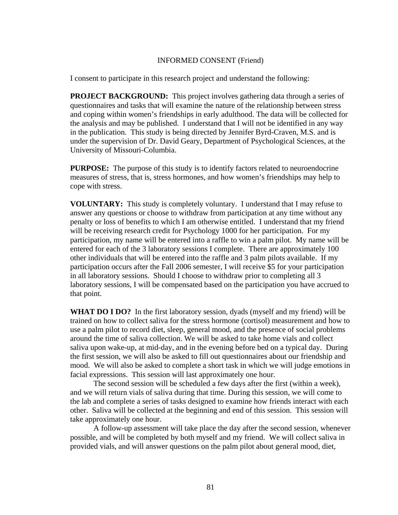## INFORMED CONSENT (Friend)

I consent to participate in this research project and understand the following:

**PROJECT BACKGROUND:** This project involves gathering data through a series of questionnaires and tasks that will examine the nature of the relationship between stress and coping within women's friendships in early adulthood. The data will be collected for the analysis and may be published. I understand that I will not be identified in any way in the publication. This study is being directed by Jennifer Byrd-Craven, M.S. and is under the supervision of Dr. David Geary, Department of Psychological Sciences, at the University of Missouri-Columbia.

**PURPOSE:** The purpose of this study is to identify factors related to neuroendocrine measures of stress, that is, stress hormones, and how women's friendships may help to cope with stress.

**VOLUNTARY:** This study is completely voluntary. I understand that I may refuse to answer any questions or choose to withdraw from participation at any time without any penalty or loss of benefits to which I am otherwise entitled. I understand that my friend will be receiving research credit for Psychology 1000 for her participation. For my participation, my name will be entered into a raffle to win a palm pilot. My name will be entered for each of the 3 laboratory sessions I complete. There are approximately 100 other individuals that will be entered into the raffle and 3 palm pilots available. If my participation occurs after the Fall 2006 semester, I will receive \$5 for your participation in all laboratory sessions. Should I choose to withdraw prior to completing all 3 laboratory sessions, I will be compensated based on the participation you have accrued to that point.

**WHAT DO I DO?** In the first laboratory session, dyads (myself and my friend) will be trained on how to collect saliva for the stress hormone (cortisol) measurement and how to use a palm pilot to record diet, sleep, general mood, and the presence of social problems around the time of saliva collection. We will be asked to take home vials and collect saliva upon wake-up, at mid-day, and in the evening before bed on a typical day. During the first session, we will also be asked to fill out questionnaires about our friendship and mood. We will also be asked to complete a short task in which we will judge emotions in facial expressions. This session will last approximately one hour.

 The second session will be scheduled a few days after the first (within a week), and we will return vials of saliva during that time. During this session, we will come to the lab and complete a series of tasks designed to examine how friends interact with each other. Saliva will be collected at the beginning and end of this session. This session will take approximately one hour.

 A follow-up assessment will take place the day after the second session, whenever possible, and will be completed by both myself and my friend. We will collect saliva in provided vials, and will answer questions on the palm pilot about general mood, diet,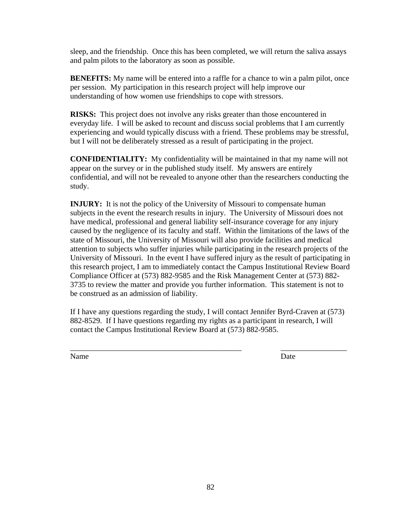sleep, and the friendship. Once this has been completed, we will return the saliva assays and palm pilots to the laboratory as soon as possible.

**BENEFITS:** My name will be entered into a raffle for a chance to win a palm pilot, once per session. My participation in this research project will help improve our understanding of how women use friendships to cope with stressors.

**RISKS:** This project does not involve any risks greater than those encountered in everyday life. I will be asked to recount and discuss social problems that I am currently experiencing and would typically discuss with a friend. These problems may be stressful, but I will not be deliberately stressed as a result of participating in the project.

**CONFIDENTIALITY:** My confidentiality will be maintained in that my name will not appear on the survey or in the published study itself. My answers are entirely confidential, and will not be revealed to anyone other than the researchers conducting the study.

**INJURY:** It is not the policy of the University of Missouri to compensate human subjects in the event the research results in injury. The University of Missouri does not have medical, professional and general liability self-insurance coverage for any injury caused by the negligence of its faculty and staff. Within the limitations of the laws of the state of Missouri, the University of Missouri will also provide facilities and medical attention to subjects who suffer injuries while participating in the research projects of the University of Missouri. In the event I have suffered injury as the result of participating in this research project, I am to immediately contact the Campus Institutional Review Board Compliance Officer at (573) 882-9585 and the Risk Management Center at (573) 882- 3735 to review the matter and provide you further information. This statement is not to be construed as an admission of liability.

If I have any questions regarding the study, I will contact Jennifer Byrd-Craven at (573) 882-8529. If I have questions regarding my rights as a participant in research, I will contact the Campus Institutional Review Board at (573) 882-9585.

Name Date

\_\_\_\_\_\_\_\_\_\_\_\_\_\_\_\_\_\_\_\_\_\_\_\_\_\_\_\_\_\_\_\_\_\_\_\_\_\_\_\_\_\_\_\_ \_\_\_\_\_\_\_\_\_\_\_\_\_\_\_\_\_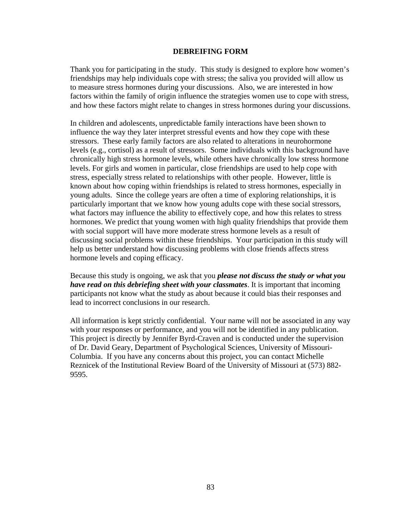#### **DEBREIFING FORM**

Thank you for participating in the study. This study is designed to explore how women's friendships may help individuals cope with stress; the saliva you provided will allow us to measure stress hormones during your discussions. Also, we are interested in how factors within the family of origin influence the strategies women use to cope with stress, and how these factors might relate to changes in stress hormones during your discussions.

In children and adolescents, unpredictable family interactions have been shown to influence the way they later interpret stressful events and how they cope with these stressors. These early family factors are also related to alterations in neurohormone levels (e.g., cortisol) as a result of stressors. Some individuals with this background have chronically high stress hormone levels, while others have chronically low stress hormone levels. For girls and women in particular, close friendships are used to help cope with stress, especially stress related to relationships with other people. However, little is known about how coping within friendships is related to stress hormones, especially in young adults. Since the college years are often a time of exploring relationships, it is particularly important that we know how young adults cope with these social stressors, what factors may influence the ability to effectively cope, and how this relates to stress hormones. We predict that young women with high quality friendships that provide them with social support will have more moderate stress hormone levels as a result of discussing social problems within these friendships. Your participation in this study will help us better understand how discussing problems with close friends affects stress hormone levels and coping efficacy.

Because this study is ongoing, we ask that you *please not discuss the study or what you have read on this debriefing sheet with your classmates*. It is important that incoming participants not know what the study as about because it could bias their responses and lead to incorrect conclusions in our research.

All information is kept strictly confidential. Your name will not be associated in any way with your responses or performance, and you will not be identified in any publication. This project is directly by Jennifer Byrd-Craven and is conducted under the supervision of Dr. David Geary, Department of Psychological Sciences, University of Missouri-Columbia. If you have any concerns about this project, you can contact Michelle Reznicek of the Institutional Review Board of the University of Missouri at (573) 882- 9595.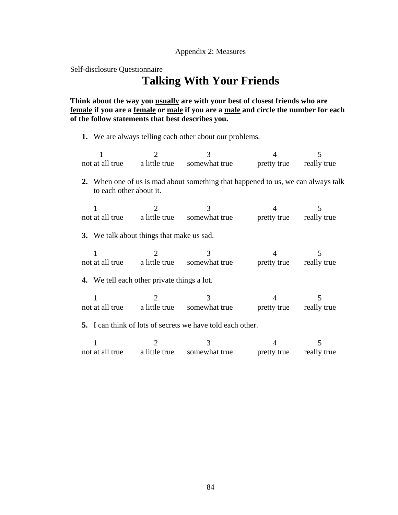Self-disclosure Questionnaire

# **Talking With Your Friends**

**Think about the way you usually are with your best of closest friends who are female if you are a female or male if you are a male and circle the number for each of the follow statements that best describes you.** 

**1.** We are always telling each other about our problems.

|                                                                                                             |                                                              |                                                                                      |                         | 5 |  |  |
|-------------------------------------------------------------------------------------------------------------|--------------------------------------------------------------|--------------------------------------------------------------------------------------|-------------------------|---|--|--|
|                                                                                                             | not at all true a little true                                | somewhat true                                                                        | pretty true really true |   |  |  |
| 2. When one of us is mad about something that happened to us, we can always talk<br>to each other about it. |                                                              |                                                                                      |                         |   |  |  |
| 1                                                                                                           | $\mathcal{D}_{\mathcal{L}}$<br>not at all true a little true | $\mathcal{R}$<br>somewhat true pretty true really true                               | 4                       | 5 |  |  |
| 3. We talk about things that make us sad.                                                                   |                                                              |                                                                                      |                         |   |  |  |
|                                                                                                             | not at all true a little true                                | 3<br>somewhat true pretty true really true                                           | 4                       | 5 |  |  |
|                                                                                                             | <b>4.</b> We tell each other private things a lot.           |                                                                                      |                         |   |  |  |
|                                                                                                             |                                                              | 3<br>not at all true a little true somewhat true pretty true really true             | 4                       | 5 |  |  |
| 5. I can think of lots of secrets we have told each other.                                                  |                                                              |                                                                                      |                         |   |  |  |
|                                                                                                             |                                                              | $\mathcal{R}$<br>not at all true a little true somewhat true pretty true really true | 4                       | 5 |  |  |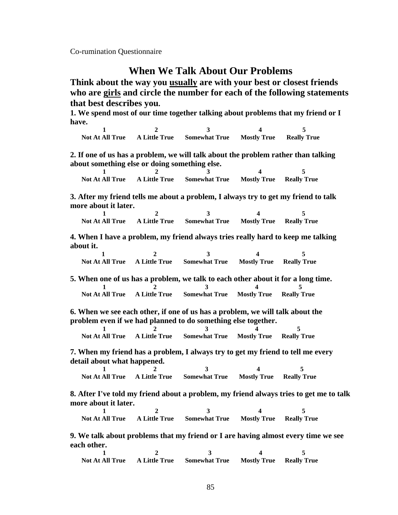Co-rumination Questionnaire

## **When We Talk About Our Problems**

**Think about the way you usually are with your best or closest friends who are girls and circle the number for each of the following statements that best describes you.** 

**1. We spend most of our time together talking about problems that my friend or I have.** 

**1** 2 3 4 5  **Not At All True A Little True Somewhat True Mostly True Really True** 

**2. If one of us has a problem, we will talk about the problem rather than talking about something else or doing something else.** 

**1 2 3 4** 5  **Not At All True A Little True Somewhat True Mostly True Really True** 

**3. After my friend tells me about a problem, I always try to get my friend to talk more about it later.** 

**1** 2 3 4 5  **Not At All True A Little True Somewhat True Mostly True Really True** 

**4. When I have a problem, my friend always tries really hard to keep me talking about it.** 

|  | Not At All True A Little True Somewhat True Mostly True Really True |  |
|--|---------------------------------------------------------------------|--|

**5. When one of us has a problem, we talk to each other about it for a long time. 1** 2 3 4 5  **Not At All True A Little True Somewhat True Mostly True Really True** 

**6. When we see each other, if one of us has a problem, we will talk about the problem even if we had planned to do something else together.** 

**1** 2 3 4 5  **Not At All True A Little True Somewhat True Mostly True Really True** 

**7. When my friend has a problem, I always try to get my friend to tell me every detail about what happened.** 

**1** 2 3 4 5  **Not At All True A Little True Somewhat True Mostly True Really True**

**8. After I've told my friend about a problem, my friend always tries to get me to talk more about it later.** 

**1** 2 3 4 5  **Not At All True A Little True Somewhat True Mostly True Really True** 

**9. We talk about problems that my friend or I are having almost every time we see each other.** 

**1** 2 3 4 5  **Not At All True A Little True Somewhat True Mostly True Really True**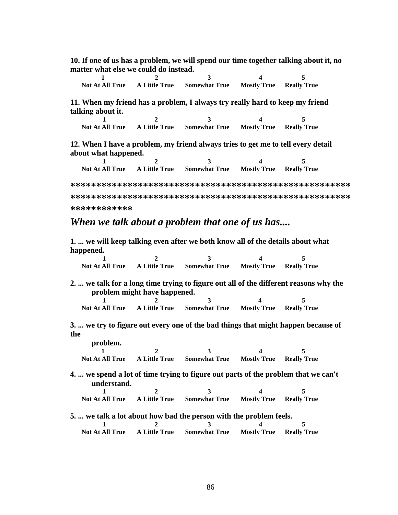**10. If one of us has a problem, we will spend our time together talking about it, no matter what else we could do instead.** 

|  | <b>Not At All True</b> A Little True Somewhat True Mostly True Really True |  |
|--|----------------------------------------------------------------------------|--|

**11. When my friend has a problem, I always try really hard to keep my friend talking about it.** 

|  | Not At All True A Little True Somewhat True Mostly True Really True |  |
|--|---------------------------------------------------------------------|--|

**12. When I have a problem, my friend always tries to get me to tell every detail about what happened.** 

|  | <b>Not At All True</b> A Little True Somewhat True Mostly True Really True |  |
|--|----------------------------------------------------------------------------|--|

**\*\*\*\*\*\*\*\*\*\*\*\*\*\*\*\*\*\*\*\*\*\*\*\*\*\*\*\*\*\*\*\*\*\*\*\*\*\*\*\*\*\*\*\*\*\*\*\*\*\*\*\*\*\* \*\*\*\*\*\*\*\*\*\*\*\*\*\*\*\*\*\*\*\*\*\*\*\*\*\*\*\*\*\*\*\*\*\*\*\*\*\*\*\*\*\*\*\*\*\*\*\*\*\*\*\*\*\* \*\*\*\*\*\*\*\*\*\*\*\*** 

## *When we talk about a problem that one of us has....*

**1. ... we will keep talking even after we both know all of the details about what happened.** 

| $\mathbf{1}$                                                                                      | $\mathcal{D}_{\mathcal{L}}$  | $\mathbf{3}$                                                        |                                | 5                                                                                     |
|---------------------------------------------------------------------------------------------------|------------------------------|---------------------------------------------------------------------|--------------------------------|---------------------------------------------------------------------------------------|
|                                                                                                   |                              | Not At All True A Little True Somewhat True Mostly True Really True |                                |                                                                                       |
|                                                                                                   | problem might have happened. |                                                                     |                                | 2.  we talk for a long time trying to figure out all of the different reasons why the |
|                                                                                                   |                              | 3                                                                   |                                |                                                                                       |
| <b>Not At All True</b>                                                                            | <b>A Little True</b>         | <b>Somewhat True</b>                                                | <b>Mostly True</b>             | <b>Really True</b>                                                                    |
| the                                                                                               |                              |                                                                     |                                | 3.  we try to figure out every one of the bad things that might happen because of     |
| problem.                                                                                          |                              |                                                                     |                                |                                                                                       |
|                                                                                                   | $\mathcal{D}_{\cdot}$        | 3                                                                   |                                | 5                                                                                     |
| <b>Not At All True</b>                                                                            |                              | A Little True Somewhat True Mostly True                             |                                | <b>Really True</b>                                                                    |
| 4.  we spend a lot of time trying to figure out parts of the problem that we can't<br>understand. |                              |                                                                     |                                |                                                                                       |
|                                                                                                   | $\mathfrak{D}$               | $\mathbf{3}$                                                        |                                | 5                                                                                     |
| Not At All True                                                                                   | <b>A Little True</b>         | <b>Somewhat True Mostly True Really True</b>                        |                                |                                                                                       |
| 5.  we talk a lot about how bad the person with the problem feels.                                |                              |                                                                     |                                |                                                                                       |
|                                                                                                   | 2                            | $\mathbf{3}$                                                        |                                | 5                                                                                     |
| <b>Not At All True</b> A Little True                                                              |                              | <b>Somewhat True</b>                                                | <b>Mostly True Really True</b> |                                                                                       |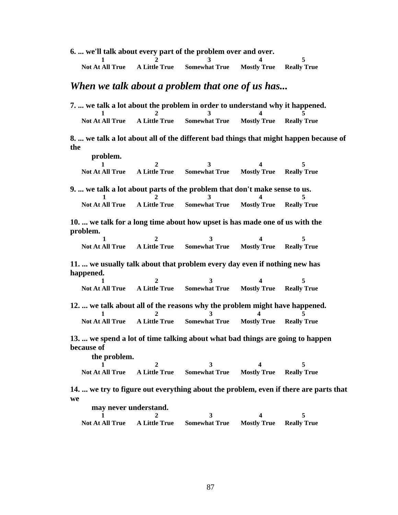**6. ... we'll talk about every part of the problem over and over.** 

|  | Not At All True A Little True Somewhat True Mostly True Really True |  |
|--|---------------------------------------------------------------------|--|

## *When we talk about a problem that one of us has...*

| 7.  we talk a lot about the problem in order to understand why it happened. |                 |                      |                                |  |
|-----------------------------------------------------------------------------|-----------------|----------------------|--------------------------------|--|
|                                                                             |                 |                      |                                |  |
| <b>Not At All True</b>                                                      | - A Little True | <b>Somewhat True</b> | <b>Mostly True</b> Really True |  |

**8. ... we talk a lot about all of the different bad things that might happen because of the** 

| problem.               |                                                     |  |
|------------------------|-----------------------------------------------------|--|
|                        |                                                     |  |
| <b>Not At All True</b> | A Little True Somewhat True Mostly True Really True |  |

**9.** ... we talk a lot about parts of the problem that don't make sense to us.

|  | Not At All True A Little True Somewhat True Mostly True Really True |  |
|--|---------------------------------------------------------------------|--|

**10. ... we talk for a long time about how upset is has made one of us with the problem.** 

|  | Not At All True A Little True Somewhat True Mostly True Really True |  |
|--|---------------------------------------------------------------------|--|

**11. ... we usually talk about that problem every day even if nothing new has happened.** 

|  | Not At All True A Little True Somewhat True Mostly True Really True |  |
|--|---------------------------------------------------------------------|--|

**12.** ... we talk about all of the reasons why the problem might have happened.<br>
1 2 3 4 5<br>
Not At All True A Little True Somewhat True Mostly True Really True  **Not At All True A Little True Somewhat True Mostly True Really True**

**13. ... we spend a lot of time talking about what bad things are going to happen because of** 

| the problem.           |               |                      |                                |  |
|------------------------|---------------|----------------------|--------------------------------|--|
|                        |               |                      |                                |  |
| <b>Not At All True</b> | A Little True | <b>Somewhat True</b> | <b>Mostly True</b> Really True |  |

**14. ... we try to figure out everything about the problem, even if there are parts that we** 

| may never understand.  |                |                             |                                |  |
|------------------------|----------------|-----------------------------|--------------------------------|--|
|                        | $\overline{2}$ |                             |                                |  |
| <b>Not At All True</b> |                | A Little True Somewhat True | <b>Mostly True Really True</b> |  |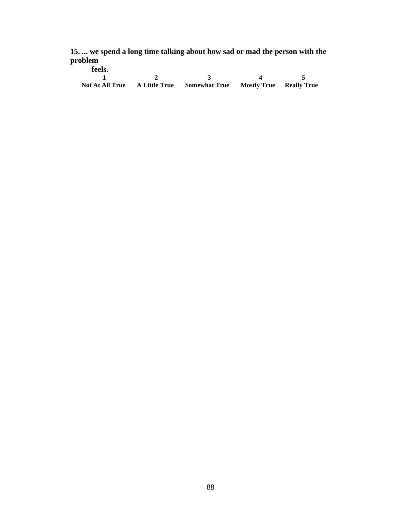**15. ... we spend a long time talking about how sad or mad the person with the problem** 

| feels. |                                                                            |  |
|--------|----------------------------------------------------------------------------|--|
|        |                                                                            |  |
|        | <b>Not At All True A Little True Somewhat True Mostly True Really True</b> |  |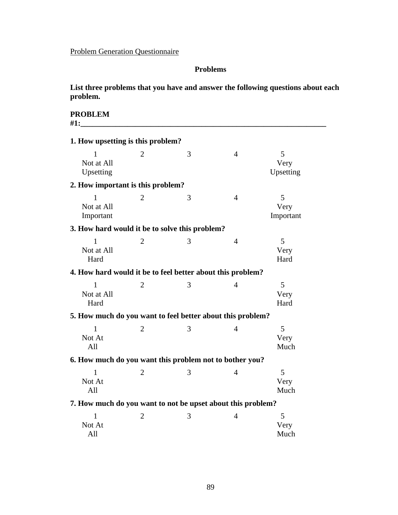## Problem Generation Questionnaire

## **Problems**

**List three problems that you have and answer the following questions about each problem.**

**PROBLEM #1:\_\_\_\_\_\_\_\_\_\_\_\_\_\_\_\_\_\_\_\_\_\_\_\_\_\_\_\_\_\_\_\_\_\_\_\_\_\_\_\_\_\_\_\_\_\_\_\_\_\_\_\_\_\_\_\_\_\_\_\_\_\_\_** 

| 1. How upsetting is this problem?                           |                |   |                |                        |
|-------------------------------------------------------------|----------------|---|----------------|------------------------|
| 1<br>Not at All<br>Upsetting                                | $\overline{2}$ | 3 | $\overline{4}$ | 5<br>Very<br>Upsetting |
| 2. How important is this problem?                           |                |   |                |                        |
| 1<br>Not at All<br>Important                                | $\overline{2}$ | 3 | $\overline{4}$ | 5<br>Very<br>Important |
| 3. How hard would it be to solve this problem?              |                |   |                |                        |
| 1<br>Not at All<br>Hard                                     | 2              | 3 | $\overline{4}$ | 5<br>Very<br>Hard      |
| 4. How hard would it be to feel better about this problem?  |                |   |                |                        |
| $\mathbf{1}$<br>Not at All<br>Hard                          | $\overline{2}$ | 3 | $\overline{4}$ | 5<br>Very<br>Hard      |
| 5. How much do you want to feel better about this problem?  |                |   |                |                        |
| 1<br>Not At<br>All                                          | $\overline{2}$ | 3 | 4              | 5<br>Very<br>Much      |
| 6. How much do you want this problem not to bother you?     |                |   |                |                        |
| $\mathbf{1}$<br>Not At<br>All                               | $\overline{2}$ | 3 | $\overline{4}$ | 5<br>Very<br>Much      |
| 7. How much do you want to not be upset about this problem? |                |   |                |                        |
| 1<br>Not At<br>All                                          | $\overline{2}$ | 3 | $\overline{4}$ | 5<br>Very<br>Much      |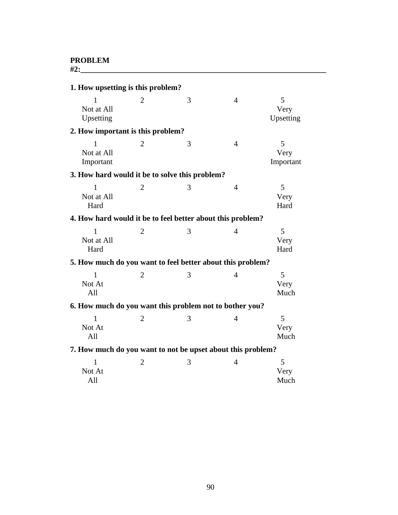**#2:\_\_\_\_\_\_\_\_\_\_\_\_\_\_\_\_\_\_\_\_\_\_\_\_\_\_\_\_\_\_\_\_\_\_\_\_\_\_\_\_\_\_\_\_\_\_\_\_\_\_\_\_\_\_\_\_\_\_\_\_\_\_\_** 

| 1. How upsetting is this problem?                           |                |   |                |                        |
|-------------------------------------------------------------|----------------|---|----------------|------------------------|
| $\mathbf{1}$<br>Not at All<br>Upsetting                     | $\overline{2}$ | 3 | $\overline{4}$ | 5<br>Very<br>Upsetting |
| 2. How important is this problem?                           |                |   |                |                        |
| $\mathbf{1}$<br>Not at All<br>Important                     | 2              | 3 | $\overline{4}$ | 5<br>Very<br>Important |
| 3. How hard would it be to solve this problem?              |                |   |                |                        |
| $\mathbf{1}$<br>Not at All<br>Hard                          | $\overline{2}$ | 3 | $\overline{4}$ | 5<br>Very<br>Hard      |
| 4. How hard would it be to feel better about this problem?  |                |   |                |                        |
| $\mathbf{1}$<br>Not at All<br>Hard                          | $\overline{2}$ | 3 | $\overline{4}$ | 5<br>Very<br>Hard      |
| 5. How much do you want to feel better about this problem?  |                |   |                |                        |
| $\mathbf{1}$<br>Not At<br>All                               | $\overline{2}$ | 3 | $\overline{4}$ | 5<br>Very<br>Much      |
| 6. How much do you want this problem not to bother you?     |                |   |                |                        |
| $\mathbf{1}$<br>Not At<br>All                               | $\overline{2}$ | 3 | $\overline{4}$ | 5<br>Very<br>Much      |
| 7. How much do you want to not be upset about this problem? |                |   |                |                        |
| $\mathbf{1}$<br>Not At<br>All                               | $\overline{2}$ | 3 | $\overline{4}$ | 5<br>Very<br>Much      |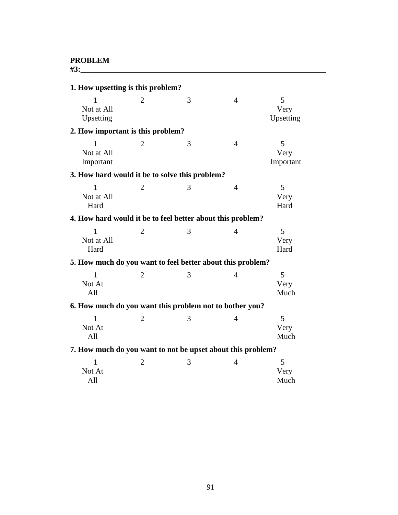**#3:\_\_\_\_\_\_\_\_\_\_\_\_\_\_\_\_\_\_\_\_\_\_\_\_\_\_\_\_\_\_\_\_\_\_\_\_\_\_\_\_\_\_\_\_\_\_\_\_\_\_\_\_\_\_\_\_\_\_\_\_\_\_\_** 

| 1. How upsetting is this problem?                           |                |   |                |                        |
|-------------------------------------------------------------|----------------|---|----------------|------------------------|
| 1<br>Not at All<br>Upsetting                                | $\overline{2}$ | 3 | $\overline{4}$ | 5<br>Very<br>Upsetting |
| 2. How important is this problem?                           |                |   |                |                        |
| 1<br>Not at All<br>Important                                | 2              | 3 | $\overline{4}$ | 5<br>Very<br>Important |
| 3. How hard would it be to solve this problem?              |                |   |                |                        |
| 1<br>Not at All<br>Hard                                     | $\overline{2}$ | 3 | $\overline{4}$ | 5<br>Very<br>Hard      |
| 4. How hard would it be to feel better about this problem?  |                |   |                |                        |
| $\mathbf{1}$<br>Not at All<br>Hard                          | $\overline{2}$ | 3 | $\overline{4}$ | 5<br>Very<br>Hard      |
| 5. How much do you want to feel better about this problem?  |                |   |                |                        |
| $\mathbf{1}$<br>Not At<br>All                               | $\overline{2}$ | 3 | $\overline{4}$ | 5<br>Very<br>Much      |
| 6. How much do you want this problem not to bother you?     |                |   |                |                        |
| $\mathbf{1}$<br>Not At<br>All                               | $\overline{2}$ | 3 | $\overline{4}$ | 5<br>Very<br>Much      |
| 7. How much do you want to not be upset about this problem? |                |   |                |                        |
| 1<br>Not At<br>All                                          | $\overline{2}$ | 3 | 4              | 5<br>Very<br>Much      |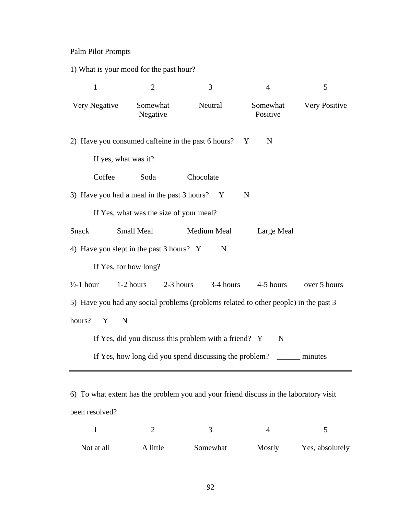## Palm Pilot Prompts

1) What is your mood for the past hour?

| $\mathbf{1}$                                                                         | $\overline{2}$                          | 3                                                      | $\overline{4}$       | 5             |
|--------------------------------------------------------------------------------------|-----------------------------------------|--------------------------------------------------------|----------------------|---------------|
| Very Negative                                                                        | Somewhat<br>Negative                    | Neutral                                                | Somewhat<br>Positive | Very Positive |
| 2) Have you consumed caffeine in the past 6 hours?                                   |                                         |                                                        | N<br>Y               |               |
| If yes, what was it?                                                                 |                                         |                                                        |                      |               |
| Coffee                                                                               | Soda                                    | Chocolate                                              |                      |               |
| 3) Have you had a meal in the past 3 hours?                                          |                                         | $\mathbf{Y}$                                           | N                    |               |
|                                                                                      | If Yes, what was the size of your meal? |                                                        |                      |               |
| Snack                                                                                | <b>Small Meal</b>                       | Medium Meal                                            | Large Meal           |               |
| 4) Have you slept in the past 3 hours? Y                                             |                                         | N                                                      |                      |               |
|                                                                                      | If Yes, for how long?                   |                                                        |                      |               |
| $\frac{1}{2}$ -1 hour                                                                | 2-3 hours<br>1-2 hours                  | 3-4 hours                                              | 4-5 hours            | over 5 hours  |
| 5) Have you had any social problems (problems related to other people) in the past 3 |                                         |                                                        |                      |               |
| hours?<br>Y<br>N                                                                     |                                         |                                                        |                      |               |
|                                                                                      |                                         | If Yes, did you discuss this problem with a friend? Y  | N                    |               |
|                                                                                      |                                         | If Yes, how long did you spend discussing the problem? |                      | minutes       |
|                                                                                      |                                         |                                                        |                      |               |

6) To what extent has the problem you and your friend discuss in the laboratory visit been resolved?

| Not at all | A little | Somewhat | Mostly | Yes, absolutely |
|------------|----------|----------|--------|-----------------|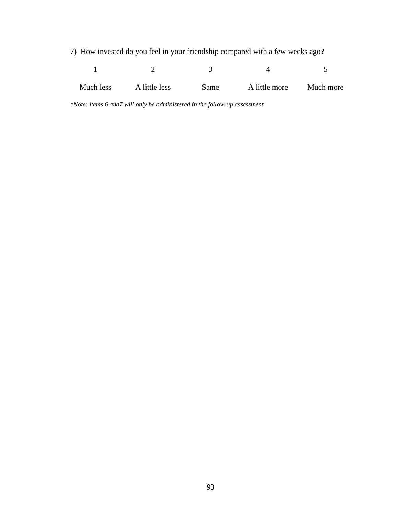7) How invested do you feel in your friendship compared with a few weeks ago?

| Much less | A little less | <b>Same</b> | A little more | Much more |
|-----------|---------------|-------------|---------------|-----------|

*\*Note: items 6 and7 will only be administered in the follow-up assessment*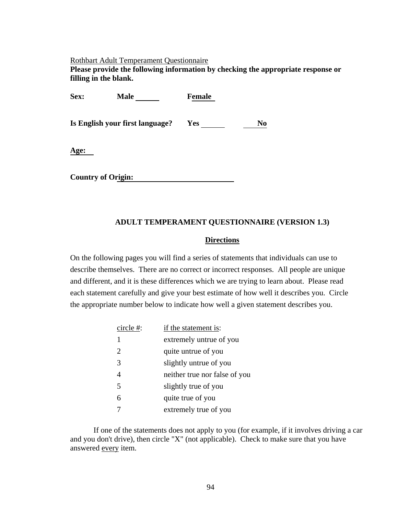#### Rothbart Adult Temperament Questionnaire

**Please provide the following information by checking the appropriate response or filling in the blank.** 

| Sex: | <b>Male</b>                     | <b>Female</b> |    |
|------|---------------------------------|---------------|----|
|      | Is English your first language? | Yes           | No |
| Age: |                                 |               |    |
|      | <b>Country of Origin:</b>       |               |    |

## **ADULT TEMPERAMENT QUESTIONNAIRE (VERSION 1.3)**

## **Directions**

On the following pages you will find a series of statements that individuals can use to describe themselves. There are no correct or incorrect responses. All people are unique and different, and it is these differences which we are trying to learn about. Please read each statement carefully and give your best estimate of how well it describes you. Circle the appropriate number below to indicate how well a given statement describes you.

| circle #: | if the statement is:          |
|-----------|-------------------------------|
| 1         | extremely untrue of you       |
| 2         | quite untrue of you           |
| 3         | slightly untrue of you        |
|           | neither true nor false of you |
| 5         | slightly true of you          |
| 6         | quite true of you             |
|           | extremely true of you         |

If one of the statements does not apply to you (for example, if it involves driving a car and you don't drive), then circle "X" (not applicable). Check to make sure that you have answered every item.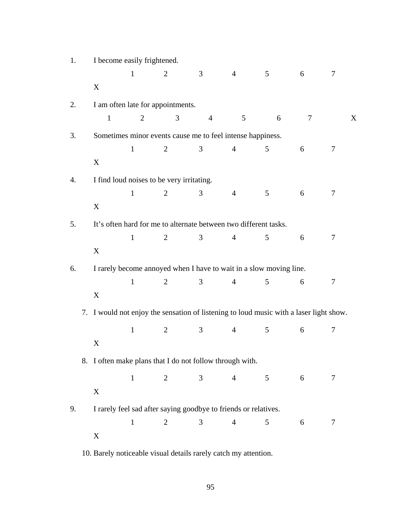| 1. | I become easily frightened.                                                            |                |                                                                    |                |                |                |                 |        |  |
|----|----------------------------------------------------------------------------------------|----------------|--------------------------------------------------------------------|----------------|----------------|----------------|-----------------|--------|--|
|    |                                                                                        | $\mathbf{1}$   | $\overline{2}$                                                     | 3              | $\overline{4}$ | 5              | 6               | 7      |  |
|    | X                                                                                      |                |                                                                    |                |                |                |                 |        |  |
| 2. |                                                                                        |                | I am often late for appointments.                                  |                |                |                |                 |        |  |
|    | $\mathbf{1}$                                                                           | $\overline{2}$ | 3                                                                  | $\overline{4}$ | 5              | 6              | 7               | X      |  |
| 3. |                                                                                        |                | Sometimes minor events cause me to feel intense happiness.         |                |                |                |                 |        |  |
|    |                                                                                        | $\mathbf{1}$   | $\overline{2}$                                                     | 3              | $\overline{4}$ | 5              | 6               | 7      |  |
|    | X                                                                                      |                |                                                                    |                |                |                |                 |        |  |
| 4. | I find loud noises to be very irritating.                                              |                |                                                                    |                |                |                |                 |        |  |
|    |                                                                                        | $\mathbf{1}$   | 2                                                                  | 3              | $\overline{4}$ | 5              | 6               | 7      |  |
|    | X                                                                                      |                |                                                                    |                |                |                |                 |        |  |
| 5. |                                                                                        |                | It's often hard for me to alternate between two different tasks.   |                |                |                |                 |        |  |
|    |                                                                                        | $\mathbf{1}$   | $\overline{2}$                                                     | 3              | $\overline{4}$ | 5              | 6               | 7      |  |
|    | X                                                                                      |                |                                                                    |                |                |                |                 |        |  |
| 6. |                                                                                        |                | I rarely become annoyed when I have to wait in a slow moving line. |                |                |                |                 |        |  |
|    |                                                                                        | $\mathbf{1}$   | $\overline{2}$                                                     | 3              | $\overline{4}$ | 5              | 6               | $\tau$ |  |
|    | X                                                                                      |                |                                                                    |                |                |                |                 |        |  |
|    | 7. I would not enjoy the sensation of listening to loud music with a laser light show. |                |                                                                    |                |                |                |                 |        |  |
|    |                                                                                        | $\mathbf{1}$   | $\overline{2}$                                                     | 3              | $\overline{4}$ | 5              | 6               | $\tau$ |  |
|    | X                                                                                      |                |                                                                    |                |                |                |                 |        |  |
|    | 8. I often make plans that I do not follow through with.                               |                |                                                                    |                |                |                |                 |        |  |
|    |                                                                                        | $\mathbf{1}$   | $\overline{2}$                                                     | 3              | $\overline{4}$ | 5 <sup>5</sup> | $6\overline{6}$ | 7      |  |
|    | X                                                                                      |                |                                                                    |                |                |                |                 |        |  |
| 9. |                                                                                        |                | I rarely feel sad after saying goodbye to friends or relatives.    |                |                |                |                 |        |  |
|    |                                                                                        | $\mathbf{1}$   | $\overline{2}$                                                     | 3              | $\overline{4}$ | 5              | 6               | 7      |  |
|    | X                                                                                      |                |                                                                    |                |                |                |                 |        |  |

10. Barely noticeable visual details rarely catch my attention.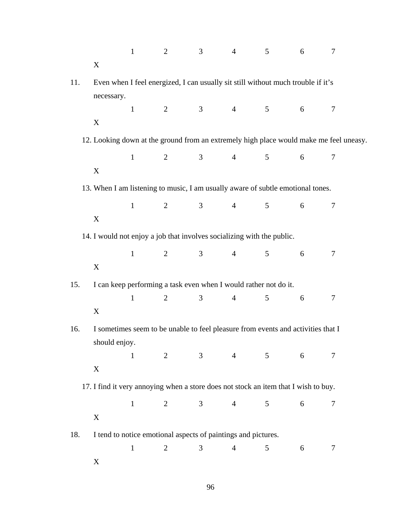|     |                                                                                                | $\mathbf{1}$      | $\overline{2}$ | 3              | $\overline{4}$ | 5              | 6 | 7                                                                                      |  |  |
|-----|------------------------------------------------------------------------------------------------|-------------------|----------------|----------------|----------------|----------------|---|----------------------------------------------------------------------------------------|--|--|
|     | $\mathbf X$                                                                                    |                   |                |                |                |                |   |                                                                                        |  |  |
| 11. | Even when I feel energized, I can usually sit still without much trouble if it's<br>necessary. |                   |                |                |                |                |   |                                                                                        |  |  |
|     |                                                                                                | $\mathbf{1}$      | $\overline{2}$ | 3 <sup>7</sup> | $\overline{4}$ | 5 <sup>5</sup> | 6 | $\tau$                                                                                 |  |  |
|     | X                                                                                              |                   |                |                |                |                |   |                                                                                        |  |  |
|     |                                                                                                |                   |                |                |                |                |   | 12. Looking down at the ground from an extremely high place would make me feel uneasy. |  |  |
|     |                                                                                                | $\mathbf{1}$      | 2              | 3 <sup>7</sup> | $\overline{4}$ | 5 <sup>5</sup> | 6 | 7                                                                                      |  |  |
|     | $\mathbf X$                                                                                    |                   |                |                |                |                |   |                                                                                        |  |  |
|     | 13. When I am listening to music, I am usually aware of subtle emotional tones.                |                   |                |                |                |                |   |                                                                                        |  |  |
|     |                                                                                                | $1 \qquad \qquad$ | 2 $\qquad$ 3   |                | $\overline{4}$ | 5 <sup>5</sup> | 6 | 7                                                                                      |  |  |
|     | X                                                                                              |                   |                |                |                |                |   |                                                                                        |  |  |
|     | 14. I would not enjoy a job that involves socializing with the public.                         |                   |                |                |                |                |   |                                                                                        |  |  |
|     |                                                                                                | $\mathbf{1}$      | $\overline{2}$ | 3 <sup>7</sup> | 4              | 5 <sup>5</sup> | 6 | 7                                                                                      |  |  |
|     | $\mathbf X$                                                                                    |                   |                |                |                |                |   |                                                                                        |  |  |
| 15. | I can keep performing a task even when I would rather not do it.                               |                   |                |                |                |                |   |                                                                                        |  |  |
|     | $\mathbf X$                                                                                    | $\mathbf{1}$      | $\overline{2}$ | 3              | $\overline{4}$ | 5              | 6 | 7                                                                                      |  |  |
| 16. | I sometimes seem to be unable to feel pleasure from events and activities that I               |                   |                |                |                |                |   |                                                                                        |  |  |
|     | should enjoy.                                                                                  |                   |                |                |                |                |   |                                                                                        |  |  |
|     |                                                                                                | $\mathbf{1}$      | $\overline{2}$ | $\mathfrak{Z}$ | $\overline{4}$ | 5              | 6 | 7                                                                                      |  |  |
|     | X                                                                                              |                   |                |                |                |                |   |                                                                                        |  |  |
|     | 17. I find it very annoying when a store does not stock an item that I wish to buy.            |                   |                |                |                |                |   |                                                                                        |  |  |
|     |                                                                                                | $\mathbf{1}$      | $\overline{2}$ | 3              | $\overline{4}$ | 5              | 6 | 7                                                                                      |  |  |
|     | X                                                                                              |                   |                |                |                |                |   |                                                                                        |  |  |
| 18. | I tend to notice emotional aspects of paintings and pictures.                                  |                   |                |                |                |                |   |                                                                                        |  |  |
|     |                                                                                                | $\mathbf{1}$      | $\overline{2}$ | 3              | $\overline{4}$ | 5              | 6 | 7                                                                                      |  |  |
|     | X                                                                                              |                   |                |                |                |                |   |                                                                                        |  |  |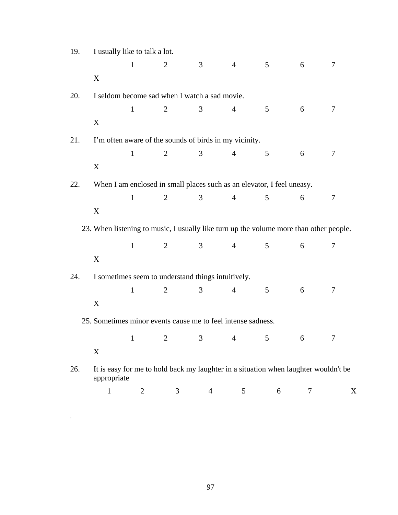| 19. | I usually like to talk a lot.                                                          |                |                                                                                     |                |                |                 |   |   |
|-----|----------------------------------------------------------------------------------------|----------------|-------------------------------------------------------------------------------------|----------------|----------------|-----------------|---|---|
|     |                                                                                        | $\mathbf{1}$   | 2                                                                                   | 3              | $\overline{4}$ | $\mathfrak{S}$  | 6 | 7 |
|     | X                                                                                      |                |                                                                                     |                |                |                 |   |   |
| 20. |                                                                                        |                | I seldom become sad when I watch a sad movie.                                       |                |                |                 |   |   |
|     |                                                                                        | $\mathbf{1}$   | $\overline{2}$                                                                      | 3              | $\overline{4}$ | $5\overline{)}$ | 6 | 7 |
|     | X                                                                                      |                |                                                                                     |                |                |                 |   |   |
| 21. |                                                                                        |                | I'm often aware of the sounds of birds in my vicinity.                              |                |                |                 |   |   |
|     |                                                                                        | $\mathbf{1}$   | $\overline{2}$                                                                      | 3              | $\overline{4}$ | 5               | 6 | 7 |
|     | X                                                                                      |                |                                                                                     |                |                |                 |   |   |
| 22. |                                                                                        |                | When I am enclosed in small places such as an elevator, I feel uneasy.              |                |                |                 |   |   |
|     |                                                                                        | $\mathbf{1}$   | $\overline{2}$                                                                      | 3              | $\overline{4}$ | $5\overline{)}$ | 6 | 7 |
|     | X                                                                                      |                |                                                                                     |                |                |                 |   |   |
|     | 23. When listening to music, I usually like turn up the volume more than other people. |                |                                                                                     |                |                |                 |   |   |
|     |                                                                                        | $\mathbf{1}$   | $\overline{2}$                                                                      | 3 <sup>7</sup> | $4 -$          | 5 <sup>5</sup>  | 6 | 7 |
|     | X                                                                                      |                |                                                                                     |                |                |                 |   |   |
| 24. |                                                                                        |                | I sometimes seem to understand things intuitively.                                  |                |                |                 |   |   |
|     |                                                                                        | $\mathbf{1}$   | $\overline{2}$                                                                      | 3              | $\overline{4}$ | 5               | 6 | 7 |
|     | X                                                                                      |                |                                                                                     |                |                |                 |   |   |
|     | 25. Sometimes minor events cause me to feel intense sadness.                           |                |                                                                                     |                |                |                 |   |   |
|     |                                                                                        | $1$ and $1$    |                                                                                     | 2 $3$ 4        |                | $5 \t\t 6$      |   | 7 |
|     | X                                                                                      |                |                                                                                     |                |                |                 |   |   |
| 26. | appropriate                                                                            |                | It is easy for me to hold back my laughter in a situation when laughter wouldn't be |                |                |                 |   |   |
|     | $\mathbf{1}$                                                                           | $\overline{2}$ | 3                                                                                   | $\overline{4}$ | 5              | 6               | 7 | X |

.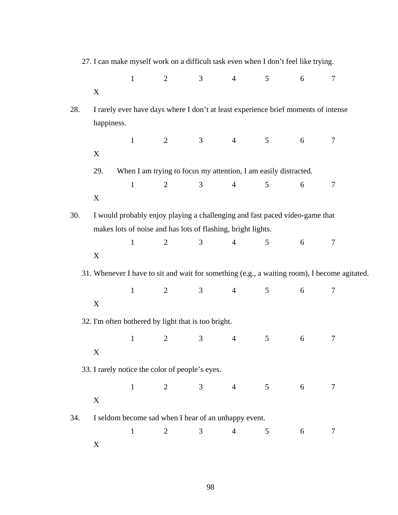|            | X           | $\mathbf{1}$                                                                                                                                                                                                                                                                                                                                                                                                                                                                                                                                                                                                                                                                                                                                                                                                                                                                                                                                                                                                                                                                                                             | $\overline{2}$ |  | 5 <sup>5</sup>  | $6\,$           | $\tau$ |  |
|------------|-------------|--------------------------------------------------------------------------------------------------------------------------------------------------------------------------------------------------------------------------------------------------------------------------------------------------------------------------------------------------------------------------------------------------------------------------------------------------------------------------------------------------------------------------------------------------------------------------------------------------------------------------------------------------------------------------------------------------------------------------------------------------------------------------------------------------------------------------------------------------------------------------------------------------------------------------------------------------------------------------------------------------------------------------------------------------------------------------------------------------------------------------|----------------|--|-----------------|-----------------|--------|--|
| 28.        | happiness.  | 27. I can make myself work on a difficult task even when I don't feel like trying.<br>3 <sup>7</sup><br>$4\overline{ }$<br>I rarely ever have days where I don't at least experience brief moments of intense<br>$\mathbf{1}$<br>2 3<br>$\overline{4}$<br>When I am trying to focus my attention, I am easily distracted.<br>$\overline{2}$<br>3<br>$\overline{4}$<br>$\mathbf{1}$<br>I would probably enjoy playing a challenging and fast paced video-game that<br>makes lots of noise and has lots of flashing, bright lights.<br>3 <sup>7</sup><br>$\overline{4}$<br>$\mathbf{1}$<br>$\overline{2}$<br>31. Whenever I have to sit and wait for something (e.g., a waiting room), I become agitated.<br>$2 \qquad \qquad 3 \qquad \qquad 4$<br>$\mathbf{1}$<br>32. I'm often bothered by light that is too bright.<br>$\mathbf{1}$<br>$\overline{2}$<br>3<br>$\overline{4}$<br>33. I rarely notice the color of people's eyes.<br>$\overline{2}$<br>$\mathbf{1}$<br>3<br>$\overline{4}$<br>I seldom become sad when I hear of an unhappy event.<br>$\mathbf{1}$<br>$\overline{3}$<br>$\overline{2}$<br>$\overline{4}$ |                |  |                 |                 |        |  |
|            | $\mathbf X$ |                                                                                                                                                                                                                                                                                                                                                                                                                                                                                                                                                                                                                                                                                                                                                                                                                                                                                                                                                                                                                                                                                                                          |                |  | 5 <sup>5</sup>  | 6               | 7      |  |
|            | 29.         |                                                                                                                                                                                                                                                                                                                                                                                                                                                                                                                                                                                                                                                                                                                                                                                                                                                                                                                                                                                                                                                                                                                          |                |  |                 |                 |        |  |
|            |             |                                                                                                                                                                                                                                                                                                                                                                                                                                                                                                                                                                                                                                                                                                                                                                                                                                                                                                                                                                                                                                                                                                                          |                |  | $\mathfrak{S}$  | 6               | 7      |  |
|            | $\mathbf X$ |                                                                                                                                                                                                                                                                                                                                                                                                                                                                                                                                                                                                                                                                                                                                                                                                                                                                                                                                                                                                                                                                                                                          |                |  |                 |                 |        |  |
| 30.<br>34. |             |                                                                                                                                                                                                                                                                                                                                                                                                                                                                                                                                                                                                                                                                                                                                                                                                                                                                                                                                                                                                                                                                                                                          |                |  |                 |                 |        |  |
|            |             |                                                                                                                                                                                                                                                                                                                                                                                                                                                                                                                                                                                                                                                                                                                                                                                                                                                                                                                                                                                                                                                                                                                          |                |  | 5               | 6               | 7      |  |
|            | X           |                                                                                                                                                                                                                                                                                                                                                                                                                                                                                                                                                                                                                                                                                                                                                                                                                                                                                                                                                                                                                                                                                                                          |                |  |                 |                 |        |  |
| X          |             |                                                                                                                                                                                                                                                                                                                                                                                                                                                                                                                                                                                                                                                                                                                                                                                                                                                                                                                                                                                                                                                                                                                          |                |  |                 |                 |        |  |
|            | X           |                                                                                                                                                                                                                                                                                                                                                                                                                                                                                                                                                                                                                                                                                                                                                                                                                                                                                                                                                                                                                                                                                                                          |                |  | 5 <sup>5</sup>  | 6               | $\tau$ |  |
|            |             |                                                                                                                                                                                                                                                                                                                                                                                                                                                                                                                                                                                                                                                                                                                                                                                                                                                                                                                                                                                                                                                                                                                          |                |  |                 |                 |        |  |
|            |             |                                                                                                                                                                                                                                                                                                                                                                                                                                                                                                                                                                                                                                                                                                                                                                                                                                                                                                                                                                                                                                                                                                                          |                |  | 5               | 6               | 7      |  |
|            | X           |                                                                                                                                                                                                                                                                                                                                                                                                                                                                                                                                                                                                                                                                                                                                                                                                                                                                                                                                                                                                                                                                                                                          |                |  |                 |                 |        |  |
|            |             |                                                                                                                                                                                                                                                                                                                                                                                                                                                                                                                                                                                                                                                                                                                                                                                                                                                                                                                                                                                                                                                                                                                          |                |  |                 |                 |        |  |
|            |             |                                                                                                                                                                                                                                                                                                                                                                                                                                                                                                                                                                                                                                                                                                                                                                                                                                                                                                                                                                                                                                                                                                                          |                |  | $5\overline{)}$ | $6\overline{6}$ | $\tau$ |  |
|            |             |                                                                                                                                                                                                                                                                                                                                                                                                                                                                                                                                                                                                                                                                                                                                                                                                                                                                                                                                                                                                                                                                                                                          |                |  |                 |                 |        |  |
|            |             |                                                                                                                                                                                                                                                                                                                                                                                                                                                                                                                                                                                                                                                                                                                                                                                                                                                                                                                                                                                                                                                                                                                          |                |  | 5               |                 | 7      |  |
|            | $\mathbf X$ |                                                                                                                                                                                                                                                                                                                                                                                                                                                                                                                                                                                                                                                                                                                                                                                                                                                                                                                                                                                                                                                                                                                          |                |  |                 | 6               |        |  |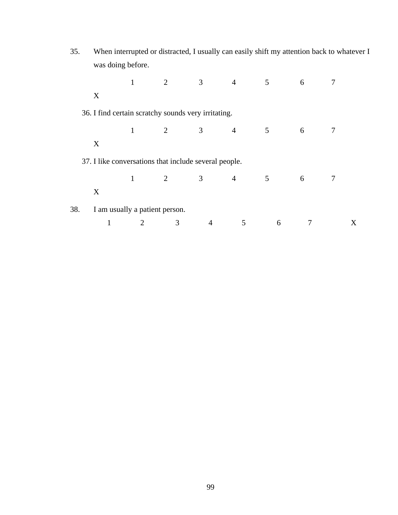| 35. | When interrupted or distracted, I usually can easily shift my attention back to whatever I |                   |                                                       |                |                |                 |   |        |  |
|-----|--------------------------------------------------------------------------------------------|-------------------|-------------------------------------------------------|----------------|----------------|-----------------|---|--------|--|
|     |                                                                                            | was doing before. |                                                       |                |                |                 |   |        |  |
|     |                                                                                            | $\mathbf{1}$      | $\overline{2}$                                        | 3 <sup>7</sup> | $\overline{4}$ | $5\overline{)}$ | 6 | 7      |  |
|     | X                                                                                          |                   |                                                       |                |                |                 |   |        |  |
|     |                                                                                            |                   | 36. I find certain scratchy sounds very irritating.   |                |                |                 |   |        |  |
|     |                                                                                            | $\mathbf{1}$      | 2                                                     | $\mathfrak{Z}$ | $\overline{4}$ | 5               | 6 | $\tau$ |  |
|     | X                                                                                          |                   |                                                       |                |                |                 |   |        |  |
|     |                                                                                            |                   | 37. I like conversations that include several people. |                |                |                 |   |        |  |
|     |                                                                                            | $\mathbf{1}$      | $\overline{2}$                                        | 3 <sup>1</sup> | $\overline{4}$ | 5               | 6 | 7      |  |
|     | X                                                                                          |                   |                                                       |                |                |                 |   |        |  |
| 38. |                                                                                            |                   | I am usually a patient person.                        |                |                |                 |   |        |  |
|     | $\mathbf{1}$                                                                               | $\overline{2}$    | 3                                                     | $\overline{4}$ | 5              | 6               | 7 | X      |  |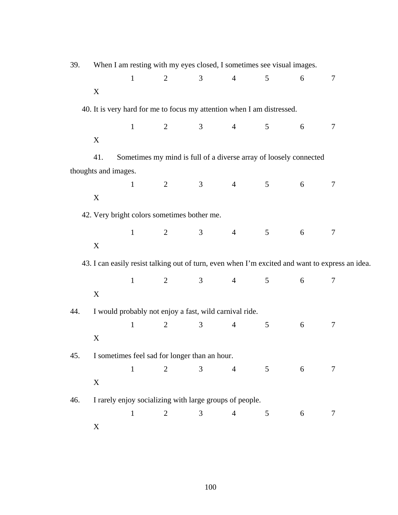| 39. |                                                                        |              | When I am resting with my eyes closed, I sometimes see visual images. |                |                |                 |   |                                                                                                 |
|-----|------------------------------------------------------------------------|--------------|-----------------------------------------------------------------------|----------------|----------------|-----------------|---|-------------------------------------------------------------------------------------------------|
|     |                                                                        | $\mathbf{1}$ | $\overline{2}$                                                        | 3              | $\overline{4}$ | 5               | 6 | 7                                                                                               |
|     | X                                                                      |              |                                                                       |                |                |                 |   |                                                                                                 |
|     | 40. It is very hard for me to focus my attention when I am distressed. |              |                                                                       |                |                |                 |   |                                                                                                 |
|     |                                                                        | $\mathbf 1$  | 2 $3$                                                                 |                | $\overline{4}$ | 5 <sup>5</sup>  | 6 | $\overline{7}$                                                                                  |
|     | X                                                                      |              |                                                                       |                |                |                 |   |                                                                                                 |
|     | 41.                                                                    |              | Sometimes my mind is full of a diverse array of loosely connected     |                |                |                 |   |                                                                                                 |
|     | thoughts and images.                                                   |              |                                                                       |                |                |                 |   |                                                                                                 |
|     |                                                                        | $\mathbf{1}$ | $\overline{2}$                                                        | 3              | $\overline{4}$ | 5 <sup>5</sup>  | 6 | 7                                                                                               |
|     | X                                                                      |              |                                                                       |                |                |                 |   |                                                                                                 |
|     | 42. Very bright colors sometimes bother me.                            |              |                                                                       |                |                |                 |   |                                                                                                 |
|     |                                                                        | $\mathbf{1}$ | $\overline{2}$                                                        | $\mathfrak{Z}$ | $\overline{4}$ | 5 <sup>5</sup>  | 6 | $\tau$                                                                                          |
|     | X                                                                      |              |                                                                       |                |                |                 |   |                                                                                                 |
|     |                                                                        |              |                                                                       |                |                |                 |   | 43. I can easily resist talking out of turn, even when I'm excited and want to express an idea. |
|     |                                                                        | $\mathbf{1}$ | $2 \qquad \qquad 3$                                                   |                | $\overline{4}$ | $5\overline{)}$ | 6 | $\tau$                                                                                          |
|     | $\boldsymbol{X}$                                                       |              |                                                                       |                |                |                 |   |                                                                                                 |
|     |                                                                        |              | I would probably not enjoy a fast, wild carnival ride.                |                |                |                 |   |                                                                                                 |
|     |                                                                        | $\mathbf{1}$ | $\overline{2}$                                                        | 3              | $\overline{4}$ | 5               | 6 | 7                                                                                               |
|     | $\mathbf X$                                                            |              |                                                                       |                |                |                 |   |                                                                                                 |
| 45. |                                                                        |              | I sometimes feel sad for longer than an hour.                         |                |                |                 |   |                                                                                                 |
|     |                                                                        | $\mathbf{1}$ | $\overline{2}$                                                        | 3              | $\overline{4}$ | 5 <sup>5</sup>  | 6 | $\tau$                                                                                          |
|     | X                                                                      |              |                                                                       |                |                |                 |   |                                                                                                 |
| 46. |                                                                        |              | I rarely enjoy socializing with large groups of people.               |                |                |                 |   |                                                                                                 |
|     |                                                                        | $\mathbf{1}$ | $\overline{2}$                                                        | $\overline{3}$ | $\overline{4}$ | $\mathfrak{S}$  | 6 | 7                                                                                               |
|     | X                                                                      |              |                                                                       |                |                |                 |   |                                                                                                 |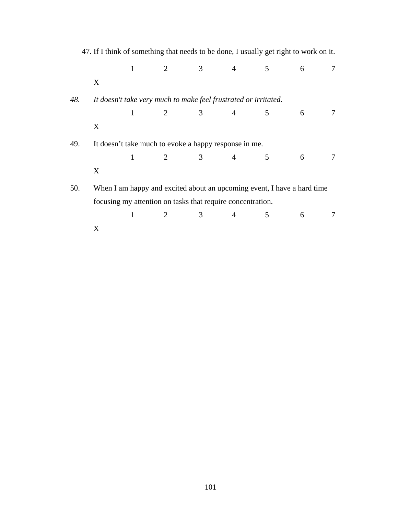|     |   |              |                                                                 |                |                |   | 47. If I think of something that needs to be done, I usually get right to work on it. |   |
|-----|---|--------------|-----------------------------------------------------------------|----------------|----------------|---|---------------------------------------------------------------------------------------|---|
|     |   | $1 -$        | $\overline{2}$                                                  | 3 <sup>7</sup> | $\overline{4}$ | 5 | 6                                                                                     | 7 |
|     | X |              |                                                                 |                |                |   |                                                                                       |   |
| 48. |   |              | It doesn't take very much to make feel frustrated or irritated. |                |                |   |                                                                                       |   |
|     |   | $\mathbf{1}$ | 2 3                                                             |                | $\overline{4}$ | 5 | 6                                                                                     | 7 |
|     | X |              |                                                                 |                |                |   |                                                                                       |   |
| 49. |   |              | It doesn't take much to evoke a happy response in me.           |                |                |   |                                                                                       |   |
|     |   | $\mathbf{1}$ | 2 3                                                             |                | $\overline{4}$ | 5 | 6                                                                                     | 7 |
|     | X |              |                                                                 |                |                |   |                                                                                       |   |
| 50. |   |              |                                                                 |                |                |   | When I am happy and excited about an upcoming event, I have a hard time               |   |
|     |   |              | focusing my attention on tasks that require concentration.      |                |                |   |                                                                                       |   |
|     |   | 1            | $\overline{2}$                                                  | 3              | 4              | 5 | 6                                                                                     | 7 |
|     | X |              |                                                                 |                |                |   |                                                                                       |   |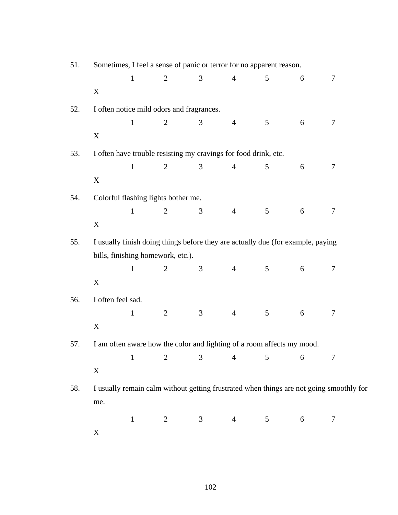| 51. | Sometimes, I feel a sense of panic or terror for no apparent reason. |              |                                     |                                           |                |                                                                                         |   |        |  |  |
|-----|----------------------------------------------------------------------|--------------|-------------------------------------|-------------------------------------------|----------------|-----------------------------------------------------------------------------------------|---|--------|--|--|
|     |                                                                      | $\mathbf{1}$ | $\overline{2}$                      | 3                                         | $\overline{4}$ | 5                                                                                       | 6 | $\tau$ |  |  |
|     | $\mathbf X$                                                          |              |                                     |                                           |                |                                                                                         |   |        |  |  |
| 52. |                                                                      |              |                                     | I often notice mild odors and fragrances. |                |                                                                                         |   |        |  |  |
|     |                                                                      | $\mathbf{1}$ | $\overline{2}$                      | 3                                         | $\overline{4}$ | 5                                                                                       | 6 | 7      |  |  |
|     | $\mathbf X$                                                          |              |                                     |                                           |                |                                                                                         |   |        |  |  |
| 53. |                                                                      |              |                                     |                                           |                | I often have trouble resisting my cravings for food drink, etc.                         |   |        |  |  |
|     |                                                                      | $\mathbf{1}$ | $\overline{2}$                      | 3                                         | $\overline{4}$ | 5                                                                                       | 6 | 7      |  |  |
|     | $\mathbf X$                                                          |              |                                     |                                           |                |                                                                                         |   |        |  |  |
| 54. |                                                                      |              | Colorful flashing lights bother me. |                                           |                |                                                                                         |   |        |  |  |
|     |                                                                      | $\mathbf 1$  | $\overline{2}$                      | 3                                         | $\overline{4}$ | $\mathfrak{S}$                                                                          | 6 | 7      |  |  |
|     | $\mathbf X$                                                          |              |                                     |                                           |                |                                                                                         |   |        |  |  |
| 55. |                                                                      |              |                                     |                                           |                | I usually finish doing things before they are actually due (for example, paying         |   |        |  |  |
|     |                                                                      |              | bills, finishing homework, etc.).   |                                           |                |                                                                                         |   |        |  |  |
|     |                                                                      | $\mathbf{1}$ | $\overline{2}$                      | 3                                         | $\overline{4}$ | $5\overline{)}$                                                                         | 6 | 7      |  |  |
|     | $\mathbf X$                                                          |              |                                     |                                           |                |                                                                                         |   |        |  |  |
| 56. | I often feel sad.                                                    |              |                                     |                                           |                |                                                                                         |   |        |  |  |
|     |                                                                      | $\mathbf{1}$ | $\overline{2}$                      | 3                                         | $\overline{4}$ | 5                                                                                       | 6 | 7      |  |  |
|     | $\mathbf X$                                                          |              |                                     |                                           |                |                                                                                         |   |        |  |  |
| 57. |                                                                      |              |                                     |                                           |                | I am often aware how the color and lighting of a room affects my mood.                  |   |        |  |  |
|     |                                                                      | $\mathbf{1}$ | $\overline{2}$                      | 3                                         | $\overline{4}$ | 5                                                                                       | 6 | 7      |  |  |
|     | $\mathbf X$                                                          |              |                                     |                                           |                |                                                                                         |   |        |  |  |
| 58. |                                                                      |              |                                     |                                           |                | I usually remain calm without getting frustrated when things are not going smoothly for |   |        |  |  |
|     | me.                                                                  |              |                                     |                                           |                |                                                                                         |   |        |  |  |
|     |                                                                      | $\mathbf{1}$ | 2                                   | 3                                         | $\overline{4}$ | $\mathfrak{S}$                                                                          | 6 | $\tau$ |  |  |
|     | $\mathbf X$                                                          |              |                                     |                                           |                |                                                                                         |   |        |  |  |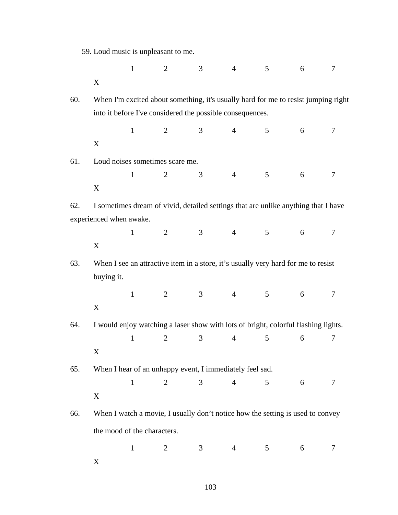| 59. Loud music is unpleasant to me. |  |  |  |  |  |  |  |
|-------------------------------------|--|--|--|--|--|--|--|
|-------------------------------------|--|--|--|--|--|--|--|

|     |                                                                                    | $\mathbf{1}$ | $\overline{2}$ | 3              | $\overline{4}$ | 5              | 6 | 7 |
|-----|------------------------------------------------------------------------------------|--------------|----------------|----------------|----------------|----------------|---|---|
|     | X                                                                                  |              |                |                |                |                |   |   |
| 60. | When I'm excited about something, it's usually hard for me to resist jumping right |              |                |                |                |                |   |   |
|     | into it before I've considered the possible consequences.                          |              |                |                |                |                |   |   |
|     |                                                                                    | $\mathbf{1}$ | $\overline{2}$ | 3              | $\overline{4}$ | 5              | 6 | 7 |
|     | X                                                                                  |              |                |                |                |                |   |   |
| 61. | Loud noises sometimes scare me.                                                    |              |                |                |                |                |   |   |
|     |                                                                                    | $\mathbf{1}$ | 2              | 3              | $\overline{4}$ | 5              | 6 | 7 |
|     | X                                                                                  |              |                |                |                |                |   |   |
| 62. | I sometimes dream of vivid, detailed settings that are unlike anything that I have |              |                |                |                |                |   |   |
|     | experienced when awake.                                                            |              |                |                |                |                |   |   |
|     |                                                                                    | $\mathbf{1}$ | $\overline{2}$ | 3 <sup>1</sup> | $4 -$          | $\mathfrak{S}$ | 6 | 7 |
|     | X                                                                                  |              |                |                |                |                |   |   |
| 63. | When I see an attractive item in a store, it's usually very hard for me to resist  |              |                |                |                |                |   |   |
|     | buying it.                                                                         |              |                |                |                |                |   |   |
|     |                                                                                    | $\mathbf{1}$ | 2              | $\mathfrak{Z}$ | $\overline{4}$ | 5 <sup>5</sup> | 6 | 7 |
|     | X                                                                                  |              |                |                |                |                |   |   |
| 64. | I would enjoy watching a laser show with lots of bright, colorful flashing lights. |              |                |                |                |                |   |   |
|     |                                                                                    | $\mathbf{1}$ | $\overline{2}$ | 3              | $\overline{4}$ | 5              | 6 | 7 |
|     | X                                                                                  |              |                |                |                |                |   |   |
| 65. | When I hear of an unhappy event, I immediately feel sad.                           |              |                |                |                |                |   |   |
|     |                                                                                    | $\mathbf{1}$ | 2              | 3 <sup>7</sup> | $\overline{4}$ | 5              | 6 | 7 |
|     | X                                                                                  |              |                |                |                |                |   |   |
| 66. | When I watch a movie, I usually don't notice how the setting is used to convey     |              |                |                |                |                |   |   |
|     | the mood of the characters.                                                        |              |                |                |                |                |   |   |
|     |                                                                                    | $\mathbf{1}$ | 2              | 3 <sup>7</sup> | $\overline{4}$ | 5 <sup>5</sup> | 6 | 7 |
|     |                                                                                    |              |                |                |                |                |   |   |

X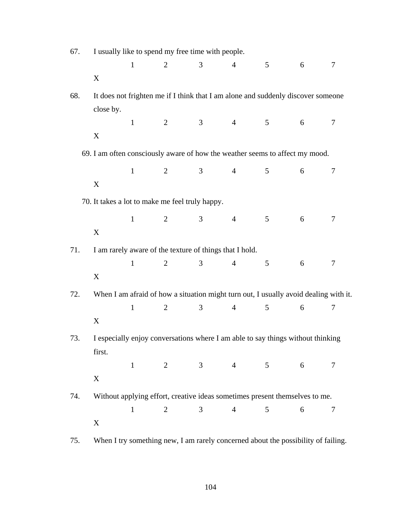| I usually like to spend my free time with people.<br>67. |           |              |                |                                                         |                |                                                                                      |   |        |
|----------------------------------------------------------|-----------|--------------|----------------|---------------------------------------------------------|----------------|--------------------------------------------------------------------------------------|---|--------|
|                                                          |           | $\mathbf{1}$ | $\overline{2}$ | 3                                                       | $\overline{4}$ | 5                                                                                    | 6 | $\tau$ |
|                                                          | X         |              |                |                                                         |                |                                                                                      |   |        |
| 68.                                                      |           |              |                |                                                         |                | It does not frighten me if I think that I am alone and suddenly discover someone     |   |        |
|                                                          | close by. |              |                |                                                         |                |                                                                                      |   |        |
|                                                          |           | $\mathbf{1}$ | $\overline{2}$ | 3 <sup>7</sup>                                          | $\overline{4}$ | 5                                                                                    | 6 | 7      |
|                                                          | X         |              |                |                                                         |                |                                                                                      |   |        |
|                                                          |           |              |                |                                                         |                | 69. I am often consciously aware of how the weather seems to affect my mood.         |   |        |
|                                                          |           | $\mathbf{1}$ | $\overline{2}$ | 3 <sup>7</sup>                                          | $\overline{4}$ | 5                                                                                    | 6 | 7      |
|                                                          | X         |              |                |                                                         |                |                                                                                      |   |        |
|                                                          |           |              |                | 70. It takes a lot to make me feel truly happy.         |                |                                                                                      |   |        |
|                                                          |           | $\mathbf{1}$ | 2              | 3 <sup>7</sup>                                          | $\overline{4}$ | 5                                                                                    | 6 | 7      |
|                                                          | X         |              |                |                                                         |                |                                                                                      |   |        |
| 71.                                                      |           |              |                | I am rarely aware of the texture of things that I hold. |                |                                                                                      |   |        |
|                                                          |           | $\mathbf{1}$ | $\overline{2}$ | $\mathfrak{Z}$                                          | $\overline{4}$ | 5                                                                                    | 6 | 7      |
|                                                          | X         |              |                |                                                         |                |                                                                                      |   |        |
| 72.                                                      |           |              |                |                                                         |                | When I am afraid of how a situation might turn out, I usually avoid dealing with it. |   |        |
|                                                          |           | $\mathbf{1}$ | $\overline{2}$ | 3                                                       | $\overline{4}$ | 5                                                                                    | 6 | 7      |
|                                                          | X         |              |                |                                                         |                |                                                                                      |   |        |
| 73.                                                      |           |              |                |                                                         |                | I especially enjoy conversations where I am able to say things without thinking      |   |        |
|                                                          | first.    |              |                |                                                         |                |                                                                                      |   |        |
|                                                          |           |              |                |                                                         |                | $1 \t 2 \t 3 \t 4 \t 5$                                                              | 6 | 7      |
|                                                          | X         |              |                |                                                         |                |                                                                                      |   |        |
| 74.                                                      |           |              |                |                                                         |                | Without applying effort, creative ideas sometimes present themselves to me.          |   |        |
|                                                          |           | $\mathbf{1}$ | $\overline{2}$ | 3                                                       | $\overline{4}$ | 5                                                                                    | 6 | $\tau$ |
|                                                          | X         |              |                |                                                         |                |                                                                                      |   |        |
| 75.                                                      |           |              |                |                                                         |                | When I try something new, I am rarely concerned about the possibility of failing.    |   |        |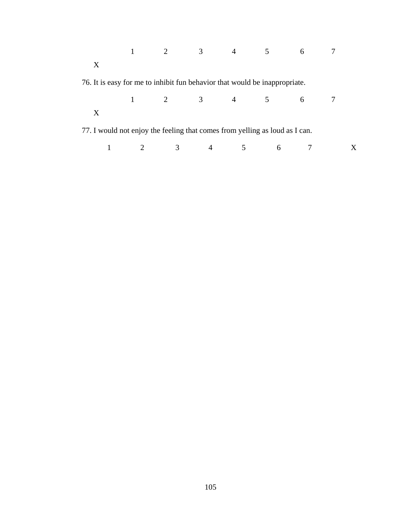|              |                                                                             |                                         | 2 3 4               | 5 <sup>5</sup> | 6 |  |
|--------------|-----------------------------------------------------------------------------|-----------------------------------------|---------------------|----------------|---|--|
| $\mathbf{X}$ |                                                                             |                                         |                     |                |   |  |
|              | 76. It is easy for me to inhibit fun behavior that would be inappropriate.  |                                         |                     |                |   |  |
|              |                                                                             | $1 \qquad 2 \qquad 3 \qquad 4 \qquad 5$ |                     |                | 6 |  |
| $\mathbf{X}$ |                                                                             |                                         |                     |                |   |  |
|              | 77. I would not enjoy the feeling that comes from yelling as loud as I can. |                                         |                     |                |   |  |
|              |                                                                             |                                         | 3 <sup>7</sup><br>4 | 6              |   |  |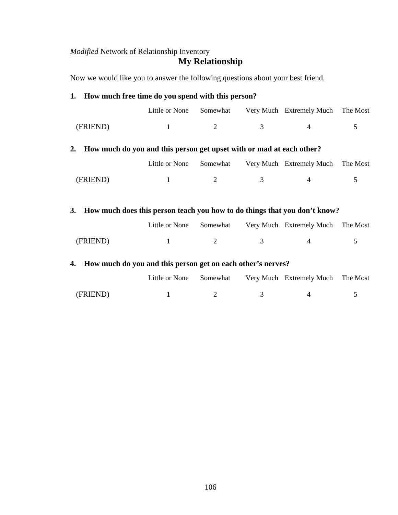# *Modified* Network of Relationship Inventory **My Relationship**

Now we would like you to answer the following questions about your best friend.

|                                                                                 | 1. How much free time do you spend with this person?                 |          |   |                                   |          |  |  |  |  |  |  |
|---------------------------------------------------------------------------------|----------------------------------------------------------------------|----------|---|-----------------------------------|----------|--|--|--|--|--|--|
|                                                                                 | Little or None                                                       | Somewhat |   | Very Much Extremely Much          | The Most |  |  |  |  |  |  |
| (FRIEND)                                                                        | 1                                                                    | 2        | 3 | $\overline{4}$                    | 5        |  |  |  |  |  |  |
| 2.                                                                              | How much do you and this person get upset with or mad at each other? |          |   |                                   |          |  |  |  |  |  |  |
|                                                                                 | Little or None                                                       | Somewhat |   | Very Much Extremely Much The Most |          |  |  |  |  |  |  |
| (FRIEND)                                                                        | 1                                                                    | 2        | 3 | $\overline{4}$                    | 5        |  |  |  |  |  |  |
| How much does this person teach you how to do things that you don't know?<br>3. |                                                                      |          |   |                                   |          |  |  |  |  |  |  |
|                                                                                 | Little or None                                                       | Somewhat |   | Very Much Extremely Much          | The Most |  |  |  |  |  |  |
| (FRIEND)                                                                        | 1                                                                    | 2        | 3 | $\overline{4}$                    | 5        |  |  |  |  |  |  |

# **4. How much do you and this person get on each other's nerves?**

|          |  | Little or None Somewhat Very Much Extremely Much The Most |  |
|----------|--|-----------------------------------------------------------|--|
| (FRIEND) |  |                                                           |  |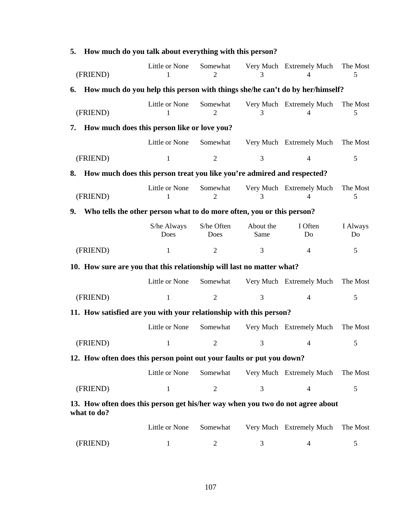| 5. | How much do you talk about everything with this person?                                       |                     |                    |                   |                               |                |
|----|-----------------------------------------------------------------------------------------------|---------------------|--------------------|-------------------|-------------------------------|----------------|
|    | (FRIEND)                                                                                      | Little or None      | Somewhat           | 3                 | Very Much Extremely Much      | The Most<br>5  |
| 6. | How much do you help this person with things she/he can't do by her/himself?                  |                     |                    |                   |                               |                |
|    | (FRIEND)                                                                                      | Little or None      | Somewhat           | 3                 | Very Much Extremely Much<br>4 | The Most<br>5  |
| 7. | How much does this person like or love you?                                                   |                     |                    |                   |                               |                |
|    |                                                                                               | Little or None      | Somewhat           |                   | Very Much Extremely Much      | The Most       |
|    | (FRIEND)                                                                                      | $\mathbf{1}$        | $\overline{2}$     | 3                 | $\overline{4}$                | 5              |
| 8. | How much does this person treat you like you're admired and respected?                        |                     |                    |                   |                               |                |
|    | (FRIEND)                                                                                      | Little or None      | Somewhat<br>2      | 3                 | Very Much Extremely Much<br>4 | The Most<br>5  |
| 9. | Who tells the other person what to do more often, you or this person?                         |                     |                    |                   |                               |                |
|    |                                                                                               | S/he Always<br>Does | S/he Often<br>Does | About the<br>Same | I Often<br>Do                 | I Always<br>Do |
|    | (FRIEND)                                                                                      | 1                   | $\overline{2}$     | 3                 | 4                             | 5              |
|    | 10. How sure are you that this relationship will last no matter what?                         |                     |                    |                   |                               |                |
|    |                                                                                               | Little or None      | Somewhat           |                   | Very Much Extremely Much      | The Most       |
|    | (FRIEND)                                                                                      | 1                   | $\overline{2}$     | 3                 | $\overline{4}$                | 5              |
|    | 11. How satisfied are you with your relationship with this person?                            |                     |                    |                   |                               |                |
|    |                                                                                               | Little or None      | Somewhat           |                   | Very Much Extremely Much      | The Most       |
|    | (FRIEND)                                                                                      | $\mathbf{1}$        | $\overline{2}$     | 3                 | 4                             | 5              |
|    | 12. How often does this person point out your faults or put you down?                         |                     |                    |                   |                               |                |
|    |                                                                                               | Little or None      | Somewhat           |                   | Very Much Extremely Much      | The Most       |
|    | (FRIEND)                                                                                      | $\mathbf{1}$        | $\overline{2}$     | 3                 | 4                             | 5              |
|    | 13. How often does this person get his/her way when you two do not agree about<br>what to do? |                     |                    |                   |                               |                |
|    |                                                                                               | Little or None      | Somewhat           |                   | Very Much Extremely Much      | The Most       |
|    | (FRIEND)                                                                                      | $\mathbf{1}$        | 2                  | 3                 | $\overline{4}$                | 5              |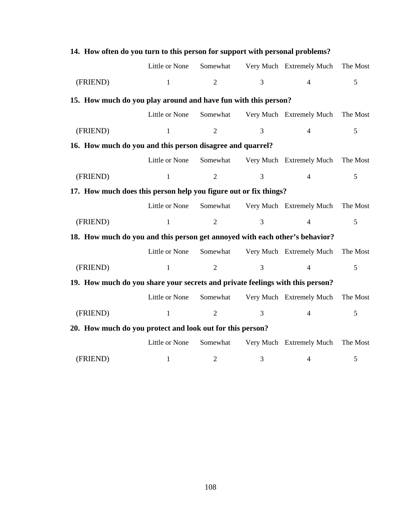|                                                                               | 14. How often do you turn to this person for support with personal problems? |                |                |                          |          |  |  |  |  |  |  |
|-------------------------------------------------------------------------------|------------------------------------------------------------------------------|----------------|----------------|--------------------------|----------|--|--|--|--|--|--|
|                                                                               | Little or None                                                               | Somewhat       |                | Very Much Extremely Much | The Most |  |  |  |  |  |  |
| (FRIEND)                                                                      | $\mathbf{1}$                                                                 | $\overline{2}$ | 3              | $\overline{4}$           | 5        |  |  |  |  |  |  |
| 15. How much do you play around and have fun with this person?                |                                                                              |                |                |                          |          |  |  |  |  |  |  |
|                                                                               | Little or None                                                               | Somewhat       |                | Very Much Extremely Much | The Most |  |  |  |  |  |  |
| (FRIEND)                                                                      | $\mathbf{1}$                                                                 | $\overline{2}$ | $\mathfrak{Z}$ | $\overline{4}$           | 5        |  |  |  |  |  |  |
| 16. How much do you and this person disagree and quarrel?                     |                                                                              |                |                |                          |          |  |  |  |  |  |  |
|                                                                               | Little or None                                                               | Somewhat       |                | Very Much Extremely Much | The Most |  |  |  |  |  |  |
| (FRIEND)                                                                      | $\mathbf{1}$                                                                 | $\overline{2}$ | 3              | $\overline{4}$           | 5        |  |  |  |  |  |  |
| 17. How much does this person help you figure out or fix things?              |                                                                              |                |                |                          |          |  |  |  |  |  |  |
|                                                                               | Little or None                                                               | Somewhat       |                | Very Much Extremely Much | The Most |  |  |  |  |  |  |
| (FRIEND)                                                                      | $\mathbf{1}$                                                                 | $\overline{2}$ | 3              | $\overline{4}$           | 5        |  |  |  |  |  |  |
| 18. How much do you and this person get annoyed with each other's behavior?   |                                                                              |                |                |                          |          |  |  |  |  |  |  |
|                                                                               | Little or None                                                               | Somewhat       |                | Very Much Extremely Much | The Most |  |  |  |  |  |  |
| (FRIEND)                                                                      | $\mathbf{1}$                                                                 | $\overline{2}$ | 3              | $\overline{4}$           | 5        |  |  |  |  |  |  |
| 19. How much do you share your secrets and private feelings with this person? |                                                                              |                |                |                          |          |  |  |  |  |  |  |
|                                                                               | Little or None                                                               | Somewhat       |                | Very Much Extremely Much | The Most |  |  |  |  |  |  |
| (FRIEND)                                                                      | $\mathbf{1}$                                                                 | $\overline{2}$ | $\overline{3}$ | $\overline{4}$           | 5        |  |  |  |  |  |  |
| 20. How much do you protect and look out for this person?                     |                                                                              |                |                |                          |          |  |  |  |  |  |  |
|                                                                               | Little or None                                                               | Somewhat       |                | Very Much Extremely Much | The Most |  |  |  |  |  |  |
| (FRIEND)                                                                      | 1                                                                            | $\overline{2}$ | 3              | 4                        | 5        |  |  |  |  |  |  |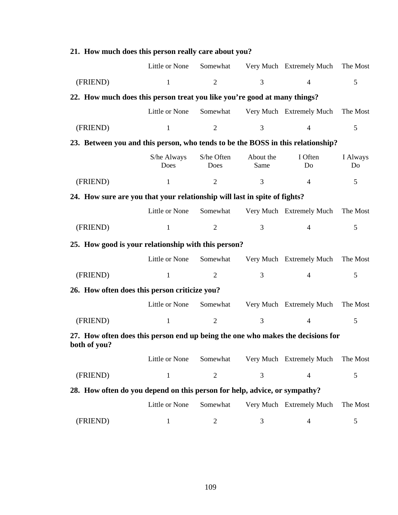|                                                                                                 | Little or None      | Somewhat           |                   | Very Much Extremely Much | The Most       |  |  |  |  |
|-------------------------------------------------------------------------------------------------|---------------------|--------------------|-------------------|--------------------------|----------------|--|--|--|--|
| (FRIEND)                                                                                        | $\mathbf{1}$        | $\overline{2}$     | 3                 | $\overline{4}$           | 5              |  |  |  |  |
| 22. How much does this person treat you like you're good at many things?                        |                     |                    |                   |                          |                |  |  |  |  |
|                                                                                                 | Little or None      | Somewhat           |                   | Very Much Extremely Much | The Most       |  |  |  |  |
| (FRIEND)                                                                                        | $\mathbf{1}$        | $\overline{2}$     | 3                 | $\overline{4}$           | 5              |  |  |  |  |
| 23. Between you and this person, who tends to be the BOSS in this relationship?                 |                     |                    |                   |                          |                |  |  |  |  |
|                                                                                                 | S/he Always<br>Does | S/he Often<br>Does | About the<br>Same | I Often<br>Do            | I Always<br>Do |  |  |  |  |
| (FRIEND)                                                                                        | $\mathbf{1}$        | $\mathfrak{2}$     | 3                 | $\overline{4}$           | 5              |  |  |  |  |
| 24. How sure are you that your relationship will last in spite of fights?                       |                     |                    |                   |                          |                |  |  |  |  |
|                                                                                                 | Little or None      | Somewhat           |                   | Very Much Extremely Much | The Most       |  |  |  |  |
| (FRIEND)                                                                                        | $\mathbf{1}$        | $\mathfrak{2}$     | 3                 | $\overline{4}$           | 5              |  |  |  |  |
| 25. How good is your relationship with this person?                                             |                     |                    |                   |                          |                |  |  |  |  |
|                                                                                                 | Little or None      | Somewhat           |                   | Very Much Extremely Much | The Most       |  |  |  |  |
| (FRIEND)                                                                                        | $\mathbf{1}$        | $\overline{2}$     | 3                 | $\overline{4}$           | 5              |  |  |  |  |
| 26. How often does this person criticize you?                                                   |                     |                    |                   |                          |                |  |  |  |  |
|                                                                                                 | Little or None      | Somewhat           |                   | Very Much Extremely Much | The Most       |  |  |  |  |
| (FRIEND)                                                                                        | $\mathbf{1}$        | $\overline{2}$     | 3                 | $\overline{4}$           | 5              |  |  |  |  |
| 27. How often does this person end up being the one who makes the decisions for<br>both of you? |                     |                    |                   |                          |                |  |  |  |  |
|                                                                                                 | Little or None      | Somewhat           |                   | Very Much Extremely Much | The Most       |  |  |  |  |
| (FRIEND)                                                                                        | $\mathbf{1}$        | $\overline{2}$     | 3                 | 4                        | 5              |  |  |  |  |
| 28. How often do you depend on this person for help, advice, or sympathy?                       |                     |                    |                   |                          |                |  |  |  |  |
|                                                                                                 | Little or None      | Somewhat           |                   | Very Much Extremely Much | The Most       |  |  |  |  |
| (FRIEND)                                                                                        | $\mathbf{1}$        | $\overline{c}$     | 3                 | 4                        | 5              |  |  |  |  |

# **21. How much does this person really care about you?**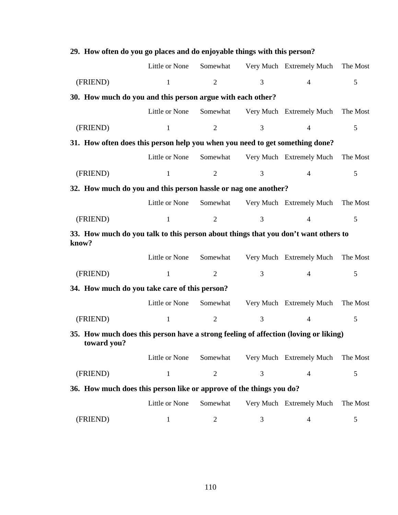| 29. How often do you go places and do enjoyable things with this person?                           |                |                |   |                          |          |  |  |
|----------------------------------------------------------------------------------------------------|----------------|----------------|---|--------------------------|----------|--|--|
|                                                                                                    | Little or None | Somewhat       |   | Very Much Extremely Much | The Most |  |  |
| (FRIEND)                                                                                           | 1              | $\overline{2}$ | 3 | $\overline{4}$           | 5        |  |  |
| 30. How much do you and this person argue with each other?                                         |                |                |   |                          |          |  |  |
|                                                                                                    | Little or None | Somewhat       |   | Very Much Extremely Much | The Most |  |  |
| (FRIEND)                                                                                           | $\mathbf{1}$   | $\overline{2}$ | 3 | $\overline{4}$           | 5        |  |  |
| 31. How often does this person help you when you need to get something done?                       |                |                |   |                          |          |  |  |
|                                                                                                    | Little or None | Somewhat       |   | Very Much Extremely Much | The Most |  |  |
| (FRIEND)                                                                                           | $\mathbf{1}$   | $\overline{2}$ | 3 | $\overline{4}$           | 5        |  |  |
| 32. How much do you and this person hassle or nag one another?                                     |                |                |   |                          |          |  |  |
|                                                                                                    | Little or None | Somewhat       |   | Very Much Extremely Much | The Most |  |  |
| (FRIEND)                                                                                           | $\mathbf{1}$   | $\overline{2}$ | 3 | $\overline{4}$           | 5        |  |  |
| 33. How much do you talk to this person about things that you don't want others to<br>know?        |                |                |   |                          |          |  |  |
|                                                                                                    | Little or None | Somewhat       |   | Very Much Extremely Much | The Most |  |  |
| (FRIEND)                                                                                           | $\mathbf{1}$   | $\overline{2}$ | 3 | $\overline{4}$           | 5        |  |  |
| 34. How much do you take care of this person?                                                      |                |                |   |                          |          |  |  |
|                                                                                                    | Little or None | Somewhat       |   | Very Much Extremely Much | The Most |  |  |
| (FRIEND)                                                                                           | $\mathbf{1}$   | $\overline{2}$ | 3 | $\overline{4}$           | 5        |  |  |
| 35. How much does this person have a strong feeling of affection (loving or liking)<br>toward you? |                |                |   |                          |          |  |  |
|                                                                                                    | Little or None | Somewhat       |   | Very Much Extremely Much | The Most |  |  |
| (FRIEND)                                                                                           | 1              | $\overline{2}$ | 3 | 4                        | 5        |  |  |
| 36. How much does this person like or approve of the things you do?                                |                |                |   |                          |          |  |  |
|                                                                                                    | Little or None | Somewhat       |   | Very Much Extremely Much | The Most |  |  |
| (FRIEND)                                                                                           | $\mathbf{1}$   | 2              | 3 | $\overline{\mathcal{A}}$ | 5        |  |  |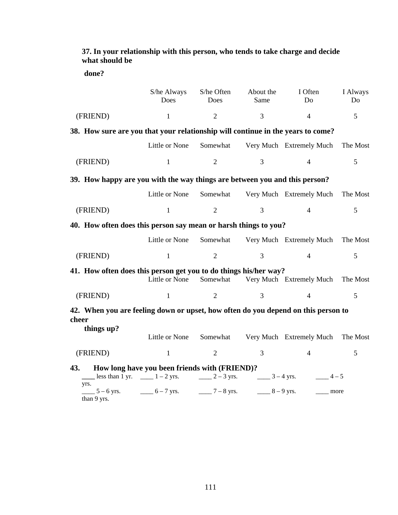| what should be                                                                             |                                               |                    |                   |                           |                            |
|--------------------------------------------------------------------------------------------|-----------------------------------------------|--------------------|-------------------|---------------------------|----------------------------|
| done?                                                                                      |                                               |                    |                   |                           |                            |
|                                                                                            | S/he Always<br>Does                           | S/he Often<br>Does | About the<br>Same | I Often<br>D <sub>0</sub> | I Always<br>D <sub>0</sub> |
| (FRIEND)                                                                                   | $\mathbf{1}$                                  | $\overline{2}$     | 3                 | $\overline{4}$            | 5                          |
| 38. How sure are you that your relationship will continue in the years to come?            |                                               |                    |                   |                           |                            |
|                                                                                            | Little or None                                | Somewhat           |                   | Very Much Extremely Much  | The Most                   |
| (FRIEND)                                                                                   | 1                                             | $\overline{2}$     | 3                 | $\overline{4}$            | 5                          |
| 39. How happy are you with the way things are between you and this person?                 |                                               |                    |                   |                           |                            |
|                                                                                            | Little or None                                | Somewhat           |                   | Very Much Extremely Much  | The Most                   |
| (FRIEND)                                                                                   | $\mathbf{1}$                                  | $\overline{2}$     | 3                 | $\overline{4}$            | 5                          |
| 40. How often does this person say mean or harsh things to you?                            |                                               |                    |                   |                           |                            |
|                                                                                            | Little or None                                | Somewhat           |                   | Very Much Extremely Much  | The Most                   |
| (FRIEND)                                                                                   | $\mathbf{1}$                                  | $\overline{2}$     | 3                 | $\overline{4}$            | 5                          |
| 41. How often does this person get you to do things his/her way?                           | Little or None                                | Somewhat           |                   | Very Much Extremely Much  | The Most                   |
| (FRIEND)                                                                                   | $\mathbf{1}$                                  | $\overline{2}$     | 3                 | $\overline{4}$            | 5                          |
| 42. When you are feeling down or upset, how often do you depend on this person to<br>cheer |                                               |                    |                   |                           |                            |
| things up?                                                                                 | Little or None                                | Somewhat           |                   | Very Much Extremely Much  | The Most                   |
| (FRIEND)                                                                                   | $\mathbf{1}$                                  | $\overline{2}$     | $\overline{3}$    | $\overline{4}$            | 5                          |
| 43.<br>less than 1 yr. $\_\_\_\_\_$ 1 – 2 yrs.                                             | How long have you been friends with (FRIEND)? | $2 - 3$ yrs.       | $-3 - 4$ yrs.     | $4-5$                     |                            |
| yrs.<br>$5 - 6$ yrs.                                                                       | $-6 - 7$ yrs.                                 | $- 7 - 8$ yrs.     | $-8 - 9$ yrs.     |                           | more                       |

**37. In your relationship with this person, who tends to take charge and decide what should be** 

than 9 yrs.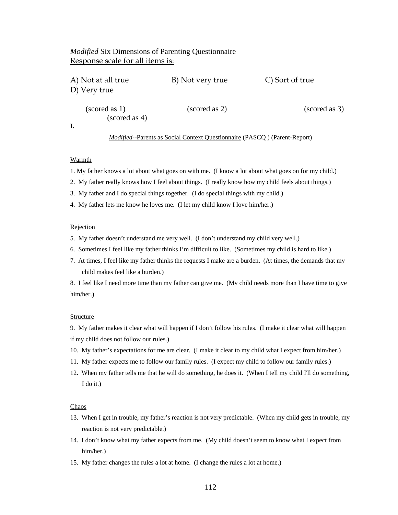# *Modified* Six Dimensions of Parenting Questionnaire Response scale for all items is:

| A) Not at all true<br>D) Very true             | B) Not very true | C) Sort of true       |  |
|------------------------------------------------|------------------|-----------------------|--|
| $\left($ scored as 1)<br>$\left($ scored as 4) | (scored as 2)    | $\left($ scored as 3) |  |

# *Modified--*Parents as Social Context Questionnaire (PASCQ ) (Parent-Report)

## Warmth

1. My father knows a lot about what goes on with me. (I know a lot about what goes on for my child.)

- 2. My father really knows how I feel about things. (I really know how my child feels about things.)
- 3. My father and I do special things together. (I do special things with my child.)
- 4. My father lets me know he loves me. (I let my child know I love him/her.)

## Rejection

- 5. My father doesn't understand me very well. (I don't understand my child very well.)
- 6. Sometimes I feel like my father thinks I'm difficult to like. (Sometimes my child is hard to like.)
- 7. At times, I feel like my father thinks the requests I make are a burden. (At times, the demands that my child makes feel like a burden.)

8. I feel like I need more time than my father can give me. (My child needs more than I have time to give him/her.)

#### Structure

9. My father makes it clear what will happen if I don't follow his rules. (I make it clear what will happen if my child does not follow our rules.)

- 10. My father's expectations for me are clear. (I make it clear to my child what I expect from him/her.)
- 11. My father expects me to follow our family rules. (I expect my child to follow our family rules.)
- 12. When my father tells me that he will do something, he does it. (When I tell my child I'll do something, I do it.)

### Chaos

- 13. When I get in trouble, my father's reaction is not very predictable. (When my child gets in trouble, my reaction is not very predictable.)
- 14. I don't know what my father expects from me. (My child doesn't seem to know what I expect from him/her.)
- 15. My father changes the rules a lot at home. (I change the rules a lot at home.)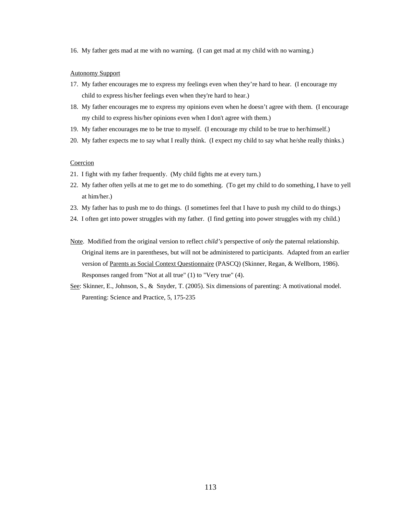16. My father gets mad at me with no warning. (I can get mad at my child with no warning.)

### Autonomy Support

- 17. My father encourages me to express my feelings even when they're hard to hear. (I encourage my child to express his/her feelings even when they're hard to hear.)
- 18. My father encourages me to express my opinions even when he doesn't agree with them. (I encourage my child to express his/her opinions even when I don't agree with them.)
- 19. My father encourages me to be true to myself. (I encourage my child to be true to her/himself.)
- 20. My father expects me to say what I really think. (I expect my child to say what he/she really thinks.)

## Coercion

- 21. I fight with my father frequently. (My child fights me at every turn.)
- 22. My father often yells at me to get me to do something. (To get my child to do something, I have to yell at him/her.)
- 23. My father has to push me to do things. (I sometimes feel that I have to push my child to do things.)
- 24. I often get into power struggles with my father. (I find getting into power struggles with my child.)
- Note. Modified from the original version to reflect *child's* perspective of *only* the paternal relationship. Original items are in parentheses, but will not be administered to participants. Adapted from an earlier version of Parents as Social Context Questionnaire (PASCQ) (Skinner, Regan, & Wellborn, 1986). Responses ranged from "Not at all true" (1) to "Very true" (4).
- See: Skinner, E., Johnson, S., & Snyder, T. (2005). Six dimensions of parenting: A motivational model. Parenting: Science and Practice, 5, 175-235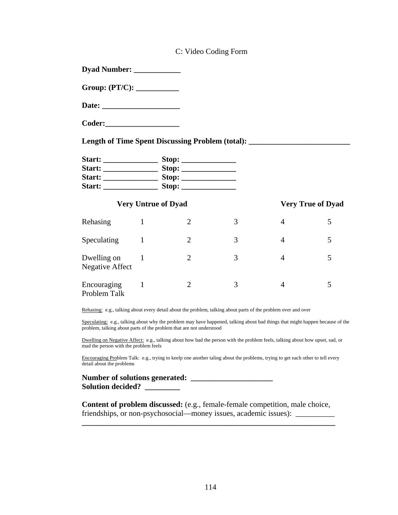|                                                                                                                |              |                            | C: Video Coding Form |                |                          |
|----------------------------------------------------------------------------------------------------------------|--------------|----------------------------|----------------------|----------------|--------------------------|
| Dyad Number: ______________                                                                                    |              |                            |                      |                |                          |
|                                                                                                                |              |                            |                      |                |                          |
|                                                                                                                |              |                            |                      |                |                          |
|                                                                                                                |              |                            |                      |                |                          |
| Length of Time Spent Discussing Problem (total): ________________________________                              |              |                            |                      |                |                          |
|                                                                                                                |              |                            |                      |                |                          |
|                                                                                                                |              |                            |                      |                |                          |
|                                                                                                                |              |                            |                      |                |                          |
|                                                                                                                |              |                            |                      |                |                          |
|                                                                                                                |              | <b>Very Untrue of Dyad</b> |                      |                | <b>Very True of Dyad</b> |
| Rehasing 1                                                                                                     |              | $\overline{2}$             | 3                    | $\overline{4}$ | 5                        |
| Speculating<br>$\sim$ 1                                                                                        |              | $\overline{2}$             | 3                    | $\overline{4}$ | 5                        |
| Dwelling on<br><b>Negative Affect</b>                                                                          | $\mathbf{1}$ | $\overline{2}$             | 3                    | 4              | 5                        |
| Encouraging<br>Problem Talk                                                                                    | $\mathbf{1}$ | $\overline{2}$             | 3                    | $\overline{4}$ | 5                        |
| Rehasing: e.g., talking about every detail about the problem, talking about parts of the problem over and over |              |                            |                      |                |                          |

Speculating: e.g., talking about why the problem may have happened, talking about bad things that might happen because of the problem, talking about parts of the problem that are not understood

Dwelling on Negative Affect: e.g., talking about how bad the person with the problem feels, talking about how upset, sad, or mad the person with the problem feels

Encouraging Problem Talk: e.g., trying to keelp one another taling about the problems, trying to get each other to tell every detail about the problems

**Number of solutions generated: \_\_\_\_\_\_\_\_\_\_\_\_\_\_\_\_\_\_\_\_\_ Solution decided? \_\_\_\_\_\_\_\_\_** 

**Content of problem discussed:** (e.g., female-female competition, male choice, friendships, or non-psychosocial—money issues, academic issues): \_\_\_\_\_\_\_\_\_\_\_\_\_\_\_

**\_\_\_\_\_\_\_\_\_\_\_\_\_\_\_\_\_\_\_\_\_\_\_\_\_\_\_\_\_\_\_\_\_\_\_\_\_\_\_\_\_\_\_\_\_\_\_\_\_\_\_\_\_\_\_\_\_\_\_\_\_\_\_\_\_**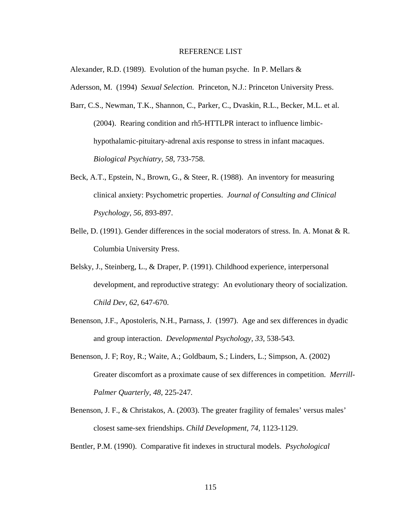## REFERENCE LIST

Alexander, R.D. (1989). Evolution of the human psyche. In P. Mellars &

Adersson, M. (1994) *Sexual Selection.* Princeton, N.J.: Princeton University Press.

- Barr, C.S., Newman, T.K., Shannon, C., Parker, C., Dvaskin, R.L., Becker, M.L. et al. (2004). Rearing condition and rh5-HTTLPR interact to influence limbichypothalamic-pituitary-adrenal axis response to stress in infant macaques. *Biological Psychiatry, 58,* 733-758.
- Beck, A.T., Epstein, N., Brown, G., & Steer, R. (1988). An inventory for measuring clinical anxiety: Psychometric properties. *Journal of Consulting and Clinical Psychology, 56,* 893-897.
- Belle, D. (1991). Gender differences in the social moderators of stress. In. A. Monat & R. Columbia University Press.
- Belsky, J., Steinberg, L., & Draper, P. (1991). Childhood experience, interpersonal development, and reproductive strategy: An evolutionary theory of socialization. *Child Dev, 62*, 647-670.
- Benenson, J.F., Apostoleris, N.H., Parnass, J. (1997). Age and sex differences in dyadic and group interaction. *Developmental Psychology, 33,* 538-543.
- Benenson, J. F; Roy, R.; Waite, A.; Goldbaum, S.; Linders, L.; Simpson, A. (2002) Greater discomfort as a proximate cause of sex differences in competition. *Merrill-Palmer Quarterly, 48,* 225-247*.*
- Benenson, J. F., & Christakos, A. (2003). The greater fragility of females' versus males' closest same-sex friendships. *Child Development, 74,* 1123-1129.

Bentler, P.M. (1990). Comparative fit indexes in structural models. *Psychological*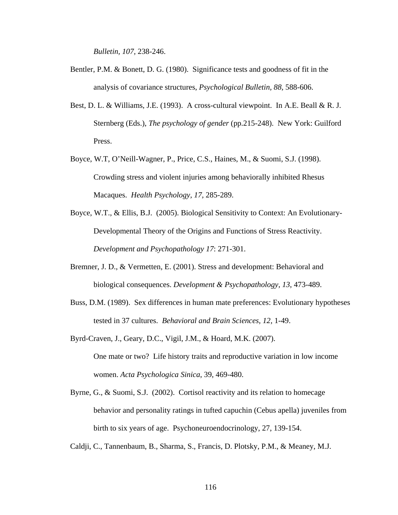*Bulletin, 107,* 238-246.

- Bentler, P.M. & Bonett, D. G. (1980). Significance tests and goodness of fit in the analysis of covariance structures, *Psychological Bulletin, 88,* 588-606.
- Best, D. L. & Williams, J.E. (1993). A cross-cultural viewpoint. In A.E. Beall & R. J. Sternberg (Eds.), *The psychology of gender* (pp.215-248). New York: Guilford Press.
- Boyce, W.T, O'Neill-Wagner, P., Price, C.S., Haines, M., & Suomi, S.J. (1998). Crowding stress and violent injuries among behaviorally inhibited Rhesus Macaques. *Health Psychology, 17,* 285-289.
- Boyce, W.T., & Ellis, B.J. (2005). Biological Sensitivity to Context: An Evolutionary- Developmental Theory of the Origins and Functions of Stress Reactivity. *Development and Psychopathology 17*: 271-301.
- Bremner, J. D., & Vermetten, E. (2001). Stress and development: Behavioral and biological consequences. *Development & Psychopathology, 13*, 473-489.
- Buss, D.M. (1989). Sex differences in human mate preferences: Evolutionary hypotheses tested in 37 cultures. *Behavioral and Brain Sciences, 12,* 1-49.
- Byrd-Craven, J., Geary, D.C., Vigil, J.M., & Hoard, M.K. (2007). One mate or two? Life history traits and reproductive variation in low income women. *Acta Psychologica Sinica*, 39, 469-480.
- Byrne, G., & Suomi, S.J. (2002). Cortisol reactivity and its relation to homecage behavior and personality ratings in tufted capuchin (Cebus apella) juveniles from birth to six years of age. Psychoneuroendocrinology, 27, 139-154.
- Caldji, C., Tannenbaum, B., Sharma, S., Francis, D. Plotsky, P.M., & Meaney, M.J.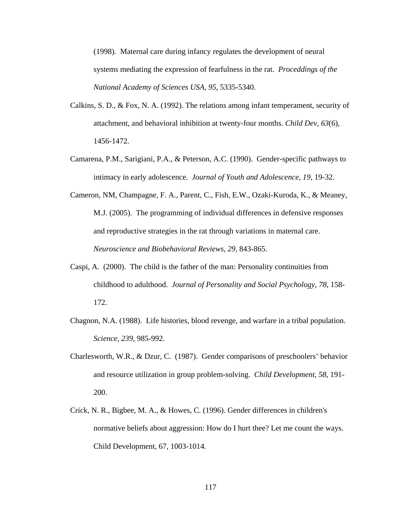(1998). Maternal care during infancy regulates the development of neural systems mediating the expression of fearfulness in the rat. *Proceddings of the National Academy of Sciences USA, 95,* 5335-5340.

- Calkins, S. D., & Fox, N. A. (1992). The relations among infant temperament, security of attachment, and behavioral inhibition at twenty-four months. *Child Dev, 63*(6), 1456-1472.
- Camarena, P.M., Sarigiani, P.A., & Peterson, A.C. (1990). Gender-specific pathways to intimacy in early adolescence. *Journal of Youth and Adolescence, 19,* 19-32.
- Cameron, NM, Champagne, F. A., Parent, C., Fish, E.W., Ozaki-Kuroda, K., & Meaney, M.J. (2005). The programming of individual differences in defensive responses and reproductive strategies in the rat through variations in maternal care. *Neuroscience and Biobehavioral Reviews, 29,* 843-865.
- Caspi, A. (2000). The child is the father of the man: Personality continuities from childhood to adulthood. *Journal of Personality and Social Psychology, 78,* 158- 172.
- Chagnon, N.A. (1988). Life histories, blood revenge, and warfare in a tribal population. *Science, 239,* 985-992.
- Charlesworth, W.R., & Dzur, C. (1987). Gender comparisons of preschoolers' behavior and resource utilization in group problem-solving. *Child Development, 58,* 191- 200.
- Crick, N. R., Bigbee, M. A., & Howes, C. (1996). Gender differences in children's normative beliefs about aggression: How do I hurt thee? Let me count the ways. Child Development, 67, 1003-1014.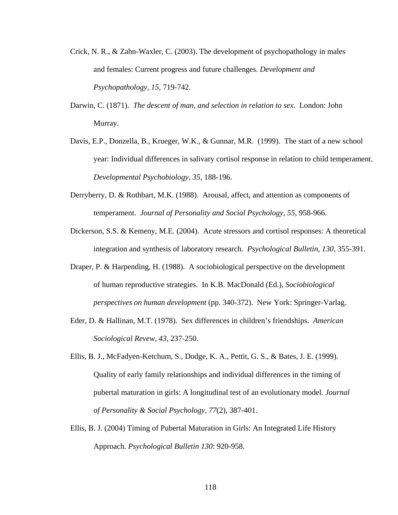- Crick, N. R., & Zahn-Waxler, C. (2003). The development of psychopathology in males and females: Current progress and future challenges. *Development and Psychopathology, 15*, 719-742.
- Darwin, C. (1871). *The descent of man, and selection in relation to sex.* London: John Murray.
- Davis, E.P., Donzella, B., Krueger, W.K., & Gunnar, M.R. (1999). The start of a new school year: Individual differences in salivary cortisol response in relation to child temperament. *Developmental Psychobiology, 35,* 188-196.
- Derryberry, D. & Rothbart, M.K. (1988). Arousal, affect, and attention as components of temperament. *Journal of Personality and Social Psychology, 55,* 958-966.
- Dickerson, S.S. & Kemeny, M.E. (2004). Acute stressors and cortisol responses: A theoretical integration and synthesis of laboratory research. *Psychological Bulletin, 130,* 355-391.
- Draper, P. & Harpending, H. (1988). A sociobiological perspective on the development of human reproductive strategies. In K.B. MacDonald (Ed.), *Sociobiological perspectives on human development* (pp. 340-372). New York: Springer-Varlag.
- Eder, D. & Hallinan, M.T. (1978). Sex differences in children's friendships. *American Sociological Revew, 43,* 237-250.
- Ellis, B. J., McFadyen-Ketchum, S., Dodge, K. A., Pettit, G. S., & Bates, J. E. (1999). Quality of early family relationships and individual differences in the timing of pubertal maturation in girls: A longitudinal test of an evolutionary model. *Journal of Personality & Social Psychology, 77*(2), 387-401.
- Ellis, B. J. (2004) Timing of Pubertal Maturation in Girls: An Integrated Life History Approach. *Psychological Bulletin 130*: 920-958.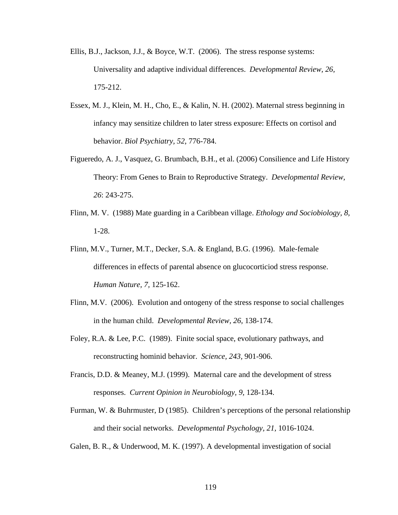- Ellis, B.J., Jackson, J.J., & Boyce, W.T. (2006). The stress response systems: Universality and adaptive individual differences. *Developmental Review, 26,* 175-212.
- Essex, M. J., Klein, M. H., Cho, E., & Kalin, N. H. (2002). Maternal stress beginning in infancy may sensitize children to later stress exposure: Effects on cortisol and behavior. *Biol Psychiatry, 52*, 776-784.
- Figueredo, A. J., Vasquez, G. Brumbach, B.H., et al. (2006) Consilience and Life History Theory: From Genes to Brain to Reproductive Strategy. *Developmental Review, 26*: 243-275.
- Flinn, M. V. (1988) Mate guarding in a Caribbean village. *Ethology and Sociobiology, 8,*  1-28.
- Flinn, M.V., Turner, M.T., Decker, S.A. & England, B.G. (1996). Male-female differences in effects of parental absence on glucocorticiod stress response. *Human Nature, 7,* 125-162.
- Flinn, M.V. (2006). Evolution and ontogeny of the stress response to social challenges in the human child. *Developmental Review, 26,* 138-174.
- Foley, R.A. & Lee, P.C. (1989). Finite social space, evolutionary pathways, and reconstructing hominid behavior. *Science, 243,* 901-906.
- Francis, D.D. & Meaney, M.J. (1999). Maternal care and the development of stress responses. *Current Opinion in Neurobiology, 9,* 128-134.
- Furman, W. & Buhrmuster, D (1985). Children's perceptions of the personal relationship and their social networks. *Developmental Psychology, 21,* 1016-1024.
- Galen, B. R., & Underwood, M. K. (1997). A developmental investigation of social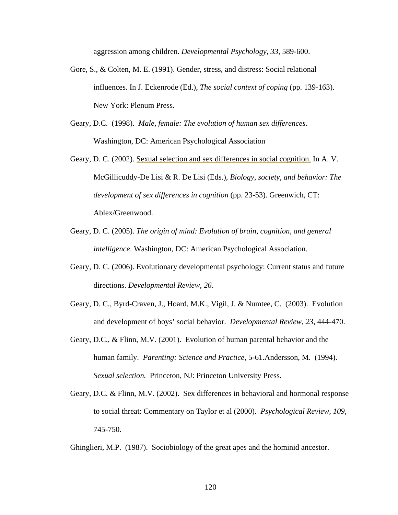aggression among children. *Developmental Psychology, 33,* 589-600.

- Gore, S., & Colten, M. E. (1991). Gender, stress, and distress: Social relational influences. In J. Eckenrode (Ed.), *The social context of coping* (pp. 139-163). New York: Plenum Press.
- Geary, D.C. (1998). *Male, female: The evolution of human sex differences.* Washington, DC: American Psychological Association
- Geary, D. C. (2002). [Sexual selection and sex differences in social cognition.](http://www.missouri.edu/%7Epsycorie/selection.htm) In A. V. McGillicuddy-De Lisi & R. De Lisi (Eds.), *Biology, society, and behavior: The development of sex differences in cognition* (pp. 23-53). Greenwich, CT: Ablex/Greenwood.
- Geary, D. C. (2005). *The origin of mind: Evolution of brain, cognition, and general intelligence*. Washington, DC: American Psychological Association.
- Geary, D. C. (2006). Evolutionary developmental psychology: Current status and future directions. *Developmental Review, 26.*
- Geary, D. C., Byrd-Craven, J., Hoard, M.K., Vigil, J. & Numtee, C. (2003). Evolution and development of boys' social behavior. *Developmental Review, 23,* 444-470.
- Geary, D.C., & Flinn, M.V. (2001). Evolution of human parental behavior and the human family. *Parenting: Science and Practice,* 5-61.Andersson, M. (1994). *Sexual selection.* Princeton, NJ: Princeton University Press.
- Geary, D.C. & Flinn, M.V. (2002). Sex differences in behavioral and hormonal response to social threat: Commentary on Taylor et al (2000). *Psychological Review, 109,* 745-750.

Ghinglieri, M.P. (1987). Sociobiology of the great apes and the hominid ancestor.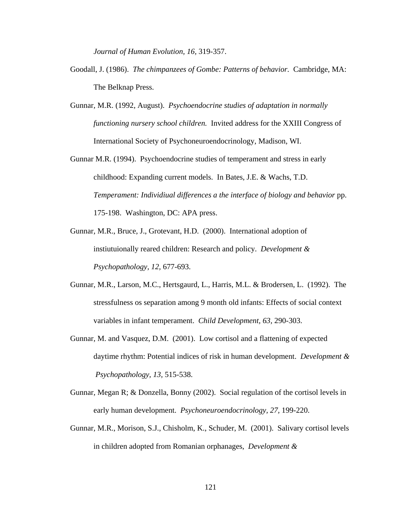*Journal of Human Evolution, 16,* 319-357.

- Goodall, J. (1986). *The chimpanzees of Gombe: Patterns of behavior.* Cambridge, MA: The Belknap Press.
- Gunnar, M.R. (1992, August). *Psychoendocrine studies of adaptation in normally functioning nursery school children.* Invited address for the XXIII Congress of International Society of Psychoneuroendocrinology, Madison, WI.
- Gunnar M.R. (1994). Psychoendocrine studies of temperament and stress in early childhood: Expanding current models. In Bates, J.E. & Wachs, T.D. *Temperament: Individiual differences a the interface of biology and behavior* pp. 175-198. Washington, DC: APA press.
- Gunnar, M.R., Bruce, J., Grotevant, H.D. (2000). International adoption of instiutuionally reared children: Research and policy. *Development & Psychopathology, 12,* 677-693.
- Gunnar, M.R., Larson, M.C., Hertsgaurd, L., Harris, M.L. & Brodersen, L. (1992). The stressfulness os separation among 9 month old infants: Effects of social context variables in infant temperament. *Child Development, 63,* 290-303.
- Gunnar, M. and Vasquez, D.M. (2001). Low cortisol and a flattening of expected daytime rhythm: Potential indices of risk in human development. *Development & Psychopathology, 13,* 515-538.
- Gunnar, Megan R; & Donzella, Bonny (2002). Social regulation of the cortisol levels in early human development. *Psychoneuroendocrinology, 27,* 199-220.
- Gunnar, M.R., Morison, S.J., Chisholm, K., Schuder, M. (2001). Salivary cortisol levels in children adopted from Romanian orphanages, *Development &*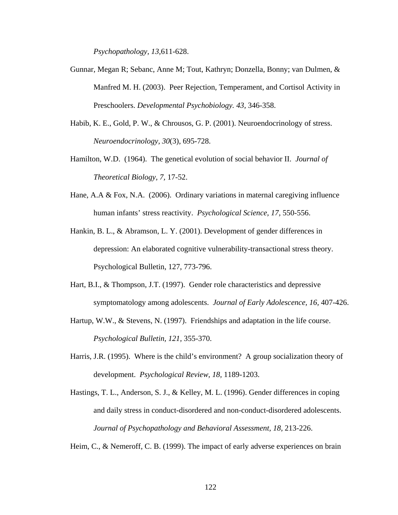*Psychopathology, 13,*611-628.

- Gunnar, Megan R; Sebanc, Anne M; Tout, Kathryn; Donzella, Bonny; van Dulmen, & Manfred M. H. (2003). Peer Rejection, Temperament, and Cortisol Activity in Preschoolers. *Developmental Psychobiology. 43,* 346-358.
- Habib, K. E., Gold, P. W., & Chrousos, G. P. (2001). Neuroendocrinology of stress. *Neuroendocrinology, 30*(3), 695-728.
- Hamilton, W.D. (1964). The genetical evolution of social behavior II. *Journal of Theoretical Biology, 7,* 17-52.
- Hane, A.A & Fox, N.A. (2006). Ordinary variations in maternal caregiving influence human infants' stress reactivity. *Psychological Science, 17,* 550-556.
- Hankin, B. L., & Abramson, L. Y. (2001). Development of gender differences in depression: An elaborated cognitive vulnerability-transactional stress theory. Psychological Bulletin, 127, 773-796.
- Hart, B.I., & Thompson, J.T. (1997). Gender role characteristics and depressive symptomatology among adolescents. *Journal of Early Adolescence, 16,* 407-426.
- Hartup, W.W., & Stevens, N. (1997). Friendships and adaptation in the life course. *Psychological Bulletin, 121,* 355-370.
- Harris, J.R. (1995). Where is the child's environment? A group socialization theory of development. *Psychological Review, 18,* 1189-1203.
- Hastings, T. L., Anderson, S. J., & Kelley, M. L. (1996). Gender differences in coping and daily stress in conduct-disordered and non-conduct-disordered adolescents. *Journal of Psychopathology and Behavioral Assessment, 18,* 213-226.

Heim, C., & Nemeroff, C. B. (1999). The impact of early adverse experiences on brain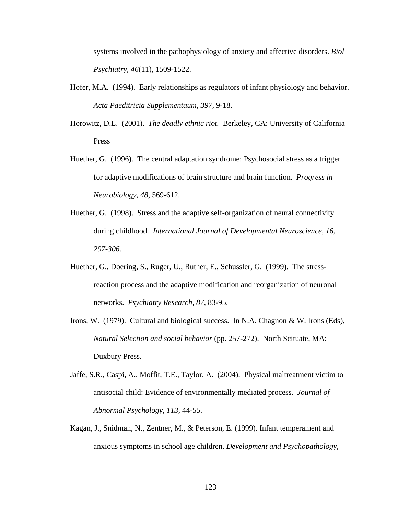systems involved in the pathophysiology of anxiety and affective disorders. *Biol Psychiatry, 46*(11), 1509-1522.

- Hofer, M.A. (1994). Early relationships as regulators of infant physiology and behavior. *Acta Paeditricia Supplementaum, 397,* 9-18.
- Horowitz, D.L. (2001). *The deadly ethnic riot.* Berkeley, CA: University of California Press
- Huether, G. (1996). The central adaptation syndrome: Psychosocial stress as a trigger for adaptive modifications of brain structure and brain function. *Progress in Neurobiology, 48,* 569-612.
- Huether, G. (1998). Stress and the adaptive self-organization of neural connectivity during childhood. *International Journal of Developmental Neuroscience, 16, 297-306.*
- Huether, G., Doering, S., Ruger, U., Ruther, E., Schussler, G. (1999). The stressreaction process and the adaptive modification and reorganization of neuronal networks. *Psychiatry Research, 87,* 83-95.
- Irons, W. (1979). Cultural and biological success. In N.A. Chagnon & W. Irons (Eds), *Natural Selection and social behavior* (pp. 257-272). North Scituate, MA: Duxbury Press.
- Jaffe, S.R., Caspi, A., Moffit, T.E., Taylor, A. (2004). Physical maltreatment victim to antisocial child: Evidence of environmentally mediated process. *Journal of Abnormal Psychology, 113,* 44-55.
- Kagan, J., Snidman, N., Zentner, M., & Peterson, E. (1999). Infant temperament and anxious symptoms in school age children. *Development and Psychopathology,*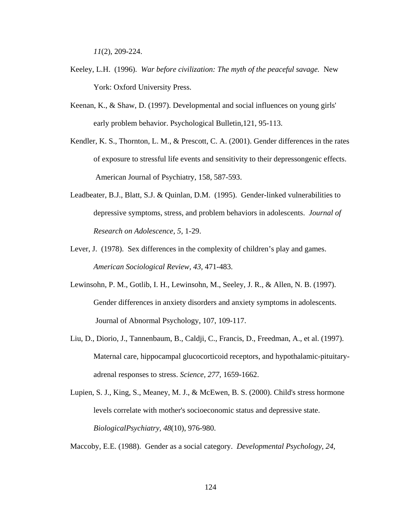*11*(2), 209-224.

- Keeley, L.H. (1996). *War before civilization: The myth of the peaceful savage.* New York: Oxford University Press.
- Keenan, K., & Shaw, D. (1997). Developmental and social influences on young girls' early problem behavior. Psychological Bulletin,121, 95-113.
- Kendler, K. S., Thornton, L. M., & Prescott, C. A. (2001). Gender differences in the rates of exposure to stressful life events and sensitivity to their depressongenic effects. American Journal of Psychiatry, 158, 587-593.
- Leadbeater, B.J., Blatt, S.J. & Quinlan, D.M. (1995). Gender-linked vulnerabilities to depressive symptoms, stress, and problem behaviors in adolescents. *Journal of Research on Adolescence, 5,* 1-29.
- Lever, J. (1978). Sex differences in the complexity of children's play and games. *American Sociological Review, 43,* 471-483.
- Lewinsohn, P. M., Gotlib, I. H., Lewinsohn, M., Seeley, J. R., & Allen, N. B. (1997). Gender differences in anxiety disorders and anxiety symptoms in adolescents. Journal of Abnormal Psychology, 107, 109-117.
- Liu, D., Diorio, J., Tannenbaum, B., Caldji, C., Francis, D., Freedman, A., et al. (1997). Maternal care, hippocampal glucocorticoid receptors, and hypothalamic-pituitaryadrenal responses to stress. *Science, 277*, 1659-1662.
- Lupien, S. J., King, S., Meaney, M. J., & McEwen, B. S. (2000). Child's stress hormone levels correlate with mother's socioeconomic status and depressive state. *BiologicalPsychiatry, 48*(10), 976-980.

Maccoby, E.E. (1988). Gender as a social category. *Developmental Psychology, 24,*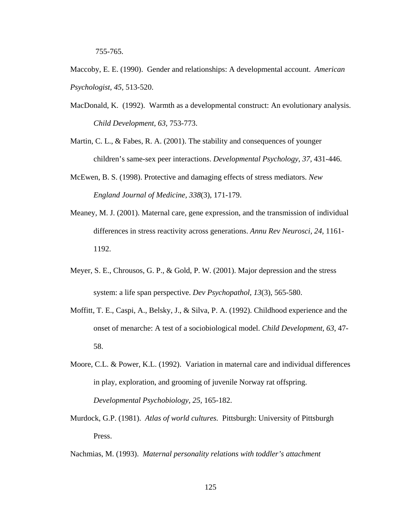755-765.

Maccoby, E. E. (1990). Gender and relationships: A developmental account. *American Psychologist, 45,* 513-520.

- MacDonald, K. (1992). Warmth as a developmental construct: An evolutionary analysis. *Child Development, 63,* 753-773.
- Martin, C. L., & Fabes, R. A. (2001). The stability and consequences of younger children's same-sex peer interactions. *Developmental Psychology, 37,* 431-446.
- McEwen, B. S. (1998). Protective and damaging effects of stress mediators. *New England Journal of Medicine, 338*(3), 171-179.
- Meaney, M. J. (2001). Maternal care, gene expression, and the transmission of individual differences in stress reactivity across generations. *Annu Rev Neurosci, 24*, 1161- 1192.
- Meyer, S. E., Chrousos, G. P., & Gold, P. W. (2001). Major depression and the stress system: a life span perspective. *Dev Psychopathol, 13*(3), 565-580.
- Moffitt, T. E., Caspi, A., Belsky, J., & Silva, P. A. (1992). Childhood experience and the onset of menarche: A test of a sociobiological model. *Child Development, 63*, 47- 58.
- Moore, C.L. & Power, K.L. (1992). Variation in maternal care and individual differences in play, exploration, and grooming of juvenile Norway rat offspring. *Developmental Psychobiology, 25,* 165-182.
- Murdock, G.P. (1981). *Atlas of world cultures.* Pittsburgh: University of Pittsburgh Press.

Nachmias, M. (1993). *Maternal personality relations with toddler's attachment*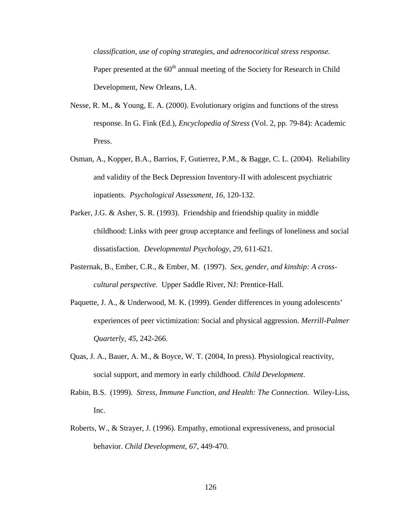*classification, use of coping strategies, and adrenocoritical stress response.* Paper presented at the  $60<sup>th</sup>$  annual meeting of the Society for Research in Child Development, New Orleans, LA.

- Nesse, R. M., & Young, E. A. (2000). Evolutionary origins and functions of the stress response. In G. Fink (Ed.), *Encyclopedia of Stress* (Vol. 2, pp. 79-84): Academic Press.
- Osman, A., Kopper, B.A., Barrios, F, Gutierrez, P.M., & Bagge, C. L. (2004). Reliability and validity of the Beck Depression Inventory-II with adolescent psychiatric inpatients. *Psychological Assessment, 16,* 120-132.
- Parker, J.G. & Asher, S. R. (1993). Friendship and friendship quality in middle childhood: Links with peer group acceptance and feelings of loneliness and social dissatisfaction. *Developmental Psychology, 29,* 611-621.
- Pasternak, B., Ember, C.R., & Ember, M. (1997). *Sex, gender, and kinship: A crosscultural perspective.* Upper Saddle River, NJ: Prentice-Hall.
- Paquette, J. A., & Underwood, M. K. (1999). Gender differences in young adolescents' experiences of peer victimization: Social and physical aggression. *Merrill-Palmer Quarterly, 45,* 242-266.
- Quas, J. A., Bauer, A. M., & Boyce, W. T. (2004, In press). Physiological reactivity, social support, and memory in early childhood. *Child Development*.
- Rabin, B.S. (1999). *Stress, Immune Function, and Health: The Connection.* Wiley-Liss, Inc.
- Roberts, W., & Strayer, J. (1996). Empathy, emotional expressiveness, and prosocial behavior. *Child Development, 67,* 449-470.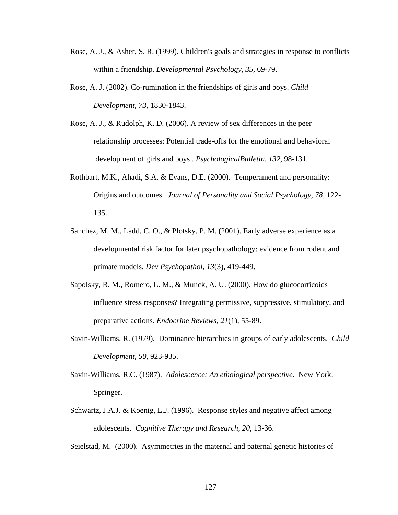- Rose, A. J., & Asher, S. R. (1999). Children's goals and strategies in response to conflicts within a friendship. *Developmental Psychology, 35,* 69-79.
- Rose, A. J. (2002). Co-rumination in the friendships of girls and boys. *Child Development, 73,* 1830-1843.
- Rose, A. J., & Rudolph, K. D. (2006). A review of sex differences in the peer relationship processes: Potential trade-offs for the emotional and behavioral development of girls and boys . *PsychologicalBulletin, 132,* 98-131*.*
- Rothbart, M.K., Ahadi, S.A. & Evans, D.E. (2000). Temperament and personality: Origins and outcomes. *Journal of Personality and Social Psychology, 78,* 122- 135.
- Sanchez, M. M., Ladd, C. O., & Plotsky, P. M. (2001). Early adverse experience as a developmental risk factor for later psychopathology: evidence from rodent and primate models. *Dev Psychopathol, 13*(3), 419-449.
- Sapolsky, R. M., Romero, L. M., & Munck, A. U. (2000). How do glucocorticoids influence stress responses? Integrating permissive, suppressive, stimulatory, and preparative actions. *Endocrine Reviews, 21*(1), 55-89.
- Savin-Williams, R. (1979). Dominance hierarchies in groups of early adolescents. *Child Development, 50,* 923-935.
- Savin-Williams, R.C. (1987). *Adolescence: An ethological perspective.* New York: Springer.
- Schwartz, J.A.J. & Koenig, L.J. (1996). Response styles and negative affect among adolescents. *Cognitive Therapy and Research, 20,* 13-36.

Seielstad, M. (2000). Asymmetries in the maternal and paternal genetic histories of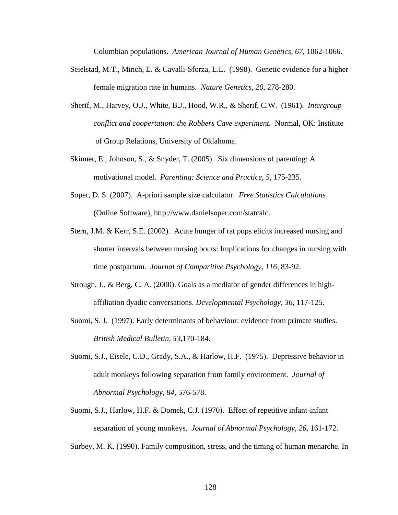Columbian populations. *American Journal of Human Genetics, 67,* 1062-1066.

- Seielstad, M.T., Minch, E. & Cavalli-Sforza, L.L. (1998). Genetic evidence for a higher female migration rate in humans. *Nature Genetics, 20,* 278-280.
- Sherif, M., Harvey, O.J., White, B.J., Hood, W.R,, & Sherif, C.W. (1961). *Intergroup conflict and coopertation: the Robbers Cave experiment.* Normal, OK: Institute of Group Relations, University of Oklahoma.
- Skinner, E., Johnson, S., & Snyder, T. (2005). Six dimensions of parenting: A motivational model. *Parenting: Science and Practice, 5,* 175-235.
- Soper, D. S. (2007). A-priori sample size calculator. *Free Statistics Calculations* (Online Software), http://www.danielsoper.com/statcalc.
- Stern, J.M. & Kerr, S.E. (2002). Acute hunger of rat pups elicits increased nursing and shorter intervals between nursing bouts: Implications for changes in nursing with time postpartum. *Journal of Comparitive Psychology, 116,* 83-92.
- Strough, J., & Berg, C. A. (2000). Goals as a mediator of gender differences in highaffiliation dyadic conversations. *Developmental Psychology, 36,* 117-125.
- Suomi, S. J. (1997). Early determinants of behaviour: evidence from primate studies. *British Medical Bulletin, 53,*170-184.
- Suomi, S.J., Eisele, C.D., Grady, S.A., & Harlow, H.F. (1975). Depressive behavior in adult monkeys following separation from family environment. *Journal of Abnormal Psychology, 84,* 576-578.
- Suomi, S.J., Harlow, H.F. & Domek, C.J. (1970). Effect of repetitive infant-infant separation of young monkeys. *Journal of Abnormal Psychology, 26,* 161-172.

Surbey, M. K. (1990). Family composition, stress, and the timing of human menarche. In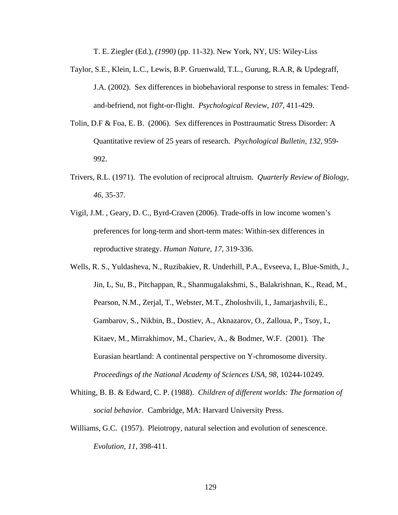T. E. Ziegler (Ed.), *(1990)* (pp. 11-32). New York, NY, US: Wiley-Liss

- Taylor, S.E., Klein, L.C., Lewis, B.P. Gruenwald, T.L., Gurung, R.A.R, & Updegraff, J.A. (2002). Sex differences in biobehavioral response to stress in females: Tendand-befriend, not fight-or-flight. *Psychological Review, 107,* 411-429.
- Tolin, D.F & Foa, E. B. (2006). Sex differences in Posttraumatic Stress Disorder: A Quantitative review of 25 years of research. *Psychological Bulletin, 132,* 959- 992.
- Trivers, R.L. (1971). The evolution of reciprocal altruism. *Quarterly Review of Biology, 46,* 35-37.
- Vigil, J.M. , Geary, D. C., Byrd-Craven (2006). Trade-offs in low income women's preferences for long-term and short-term mates: Within-sex differences in reproductive strategy. *Human Nature, 17,* 319-336.
- Wells, R. S., Yuldasheva, N., Ruzibakiev, R. Underhill, P.A., Evseeva, I., Blue-Smith, J., Jin, L, Su, B., Pitchappan, R., Shanmugalakshmi, S., Balakrishnan, K., Read, M., Pearson, N.M., Zerjal, T., Webster, M.T., Zholoshvili, I., Jamarjashvili, E., Gambarov, S., Nikbin, B., Dostiev, A., Aknazarov, O., Zalloua, P., Tsoy, I., Kitaev, M., Mirrakhimov, M., Chariev, A., & Bodmer, W.F. (2001). The Eurasian heartland: A continental perspective on Y-chromosome diversity. *Proceedings of the National Academy of Sciences USA, 98, 10244-10249.*
- Whiting, B. B. & Edward, C. P. (1988). *Children of different worlds: The formation of social behavior.* Cambridge, MA: Harvard University Press.
- Williams, G.C. (1957). Pleiotropy, natural selection and evolution of senescence. *Evolution, 11,* 398-411.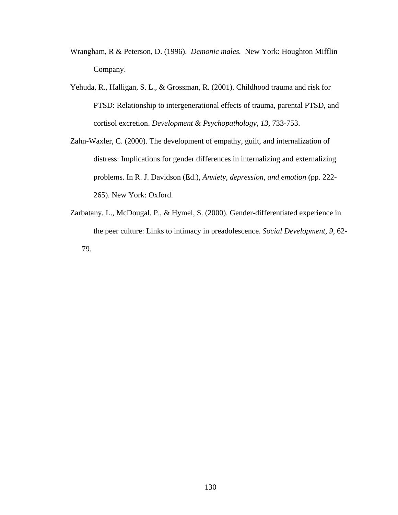- Wrangham, R & Peterson, D. (1996). *Demonic males.* New York: Houghton Mifflin Company.
- Yehuda, R., Halligan, S. L., & Grossman, R. (2001). Childhood trauma and risk for PTSD: Relationship to intergenerational effects of trauma, parental PTSD, and cortisol excretion. *Development & Psychopathology, 13*, 733-753.
- Zahn-Waxler, C. (2000). The development of empathy, guilt, and internalization of distress: Implications for gender differences in internalizing and externalizing problems. In R. J. Davidson (Ed.), *Anxiety, depression, and emotion* (pp. 222- 265). New York: Oxford.
- Zarbatany, L., McDougal, P., & Hymel, S. (2000). Gender-differentiated experience in the peer culture: Links to intimacy in preadolescence. *Social Development, 9,* 62- 79.